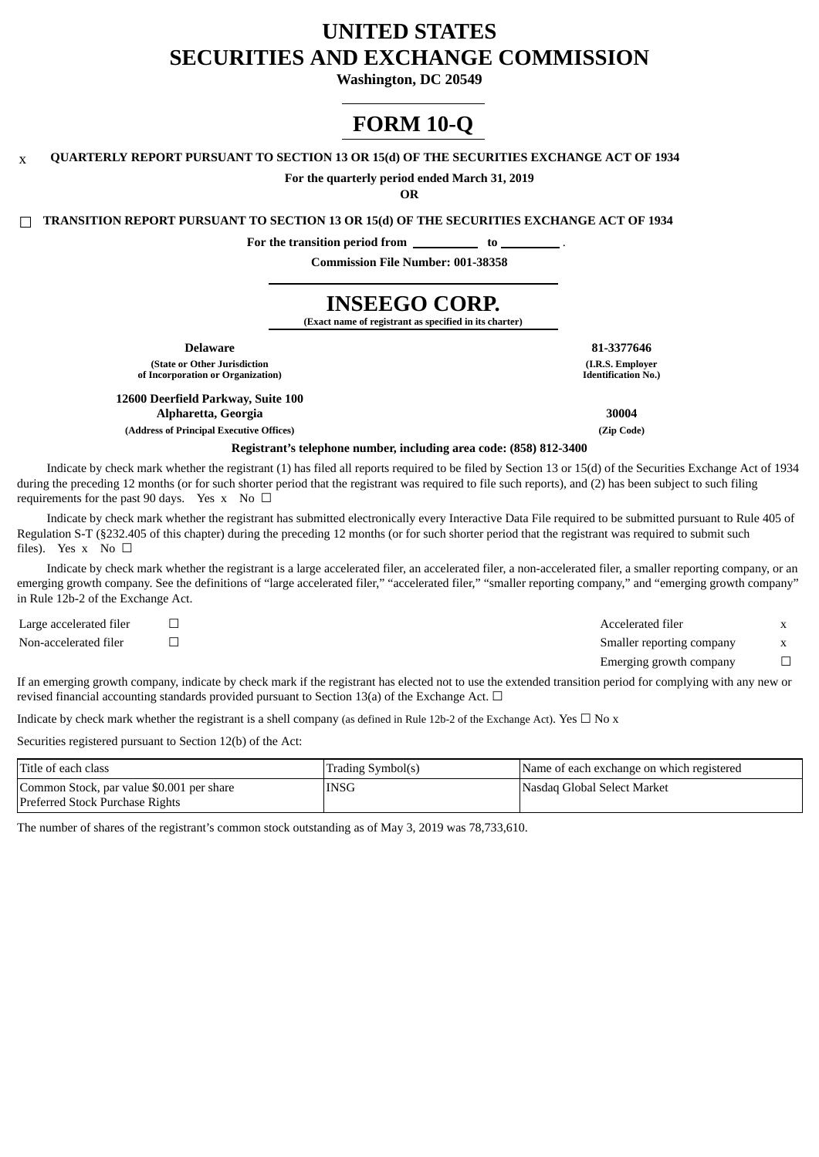# **UNITED STATES SECURITIES AND EXCHANGE COMMISSION**

**Washington, DC 20549**

# **FORM 10-Q**

## x **QUARTERLY REPORT PURSUANT TO SECTION 13 OR 15(d) OF THE SECURITIES EXCHANGE ACT OF 1934**

**For the quarterly period ended March 31, 2019**

**OR**

☐ **TRANSITION REPORT PURSUANT TO SECTION 13 OR 15(d) OF THE SECURITIES EXCHANGE ACT OF 1934**

**For the transition period from to** .

**Commission File Number: 001-38358**

# **INSEEGO CORP.**

**(Exact name of registrant as specified in its charter)**

**(State or Other Jurisdiction of Incorporation or Organization)**

**12600 Deerfield Parkway, Suite 100 Alpharetta, Georgia 30004 (Address of Principal Executive Offices) (Zip Code)**

**Delaware 81-3377646 (I.R.S. Employer Identification No.)**

## **Registrant's telephone number, including area code: (858) 812-3400**

Indicate by check mark whether the registrant (1) has filed all reports required to be filed by Section 13 or 15(d) of the Securities Exchange Act of 1934 during the preceding 12 months (or for such shorter period that the registrant was required to file such reports), and (2) has been subject to such filing requirements for the past 90 days. Yes  $x \to 0$ 

Indicate by check mark whether the registrant has submitted electronically every Interactive Data File required to be submitted pursuant to Rule 405 of Regulation S-T (§232.405 of this chapter) during the preceding 12 months (or for such shorter period that the registrant was required to submit such files). Yes x No □

Indicate by check mark whether the registrant is a large accelerated filer, an accelerated filer, a non-accelerated filer, a smaller reporting company, or an emerging growth company. See the definitions of "large accelerated filer," "accelerated filer," "smaller reporting company," and "emerging growth company" in Rule 12b-2 of the Exchange Act.

| Large accelerated filer | Accelerated filer         |  |
|-------------------------|---------------------------|--|
| Non-accelerated filer   | Smaller reporting company |  |
|                         | Emerging growth company   |  |

If an emerging growth company, indicate by check mark if the registrant has elected not to use the extended transition period for complying with any new or revised financial accounting standards provided pursuant to Section 13(a) of the Exchange Act.  $\Box$ 

Indicate by check mark whether the registrant is a shell company (as defined in Rule 12b-2 of the Exchange Act). Yes  $\Box$  No x

Securities registered pursuant to Section 12(b) of the Act:

| Title of each class                       | <b>Trading Symbol(s)</b> | Name of each exchange on which registered |
|-------------------------------------------|--------------------------|-------------------------------------------|
| Common Stock, par value \$0.001 per share | <b>INSG</b>              | Nasdag Global Select Market               |
| Preferred Stock Purchase Rights           |                          |                                           |

The number of shares of the registrant's common stock outstanding as of May 3, 2019 was 78,733,610.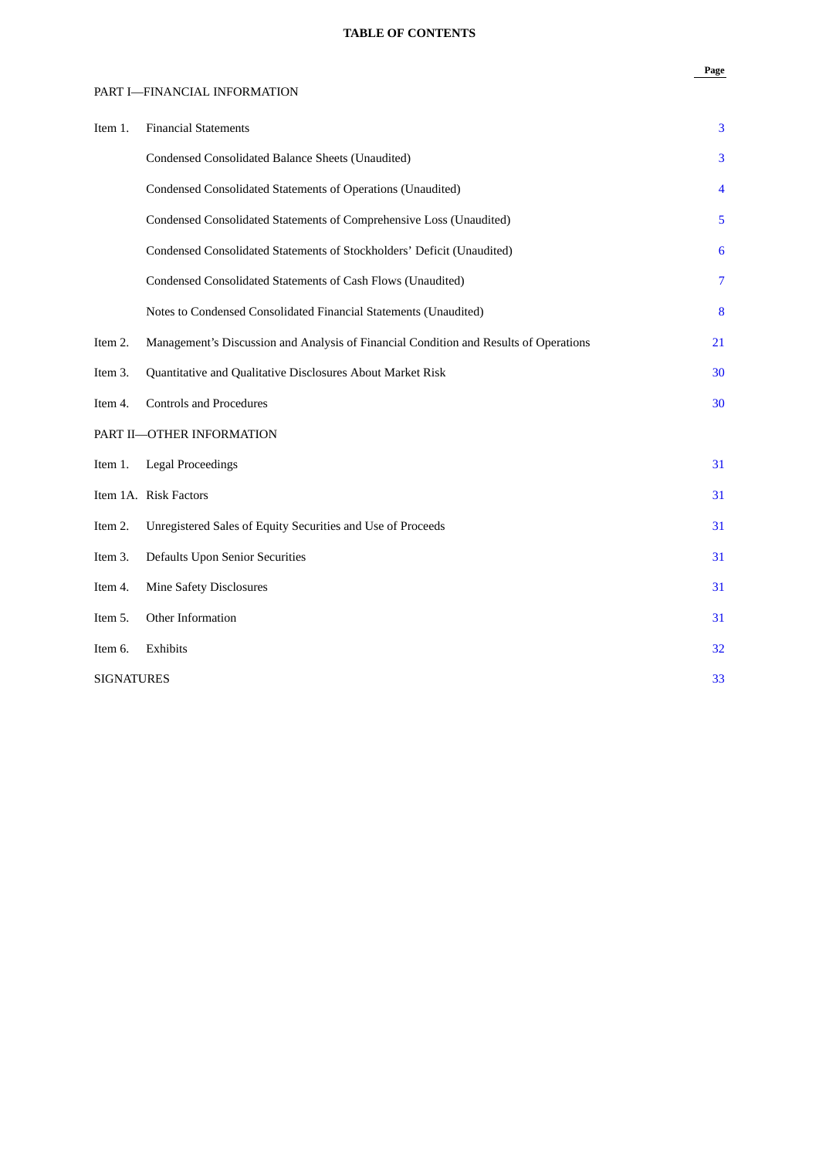# **TABLE OF CONTENTS**

# PART I—FINANCIAL [INFORMATION](#page-2-0)

| Item 1.           | <b>Financial Statements</b>                                                           | 3  |
|-------------------|---------------------------------------------------------------------------------------|----|
|                   | Condensed Consolidated Balance Sheets (Unaudited)                                     | 3  |
|                   | Condensed Consolidated Statements of Operations (Unaudited)                           | 4  |
|                   | Condensed Consolidated Statements of Comprehensive Loss (Unaudited)                   | 5  |
|                   | Condensed Consolidated Statements of Stockholders' Deficit (Unaudited)                | 6  |
|                   | Condensed Consolidated Statements of Cash Flows (Unaudited)                           | 7  |
|                   | Notes to Condensed Consolidated Financial Statements (Unaudited)                      | 8  |
| Item 2.           | Management's Discussion and Analysis of Financial Condition and Results of Operations | 21 |
| Item 3.           | Quantitative and Qualitative Disclosures About Market Risk                            | 30 |
| Item 4.           | <b>Controls and Procedures</b>                                                        | 30 |
|                   | PART II-OTHER INFORMATION                                                             |    |
| Item 1.           | <b>Legal Proceedings</b>                                                              | 31 |
|                   | Item 1A. Risk Factors                                                                 | 31 |
| Item 2.           | Unregistered Sales of Equity Securities and Use of Proceeds                           | 31 |
| Item 3.           | Defaults Upon Senior Securities                                                       | 31 |
| Item 4.           | <b>Mine Safety Disclosures</b>                                                        | 31 |
| Item 5.           | Other Information                                                                     | 31 |
| Item 6.           | Exhibits                                                                              | 32 |
| <b>SIGNATURES</b> |                                                                                       | 33 |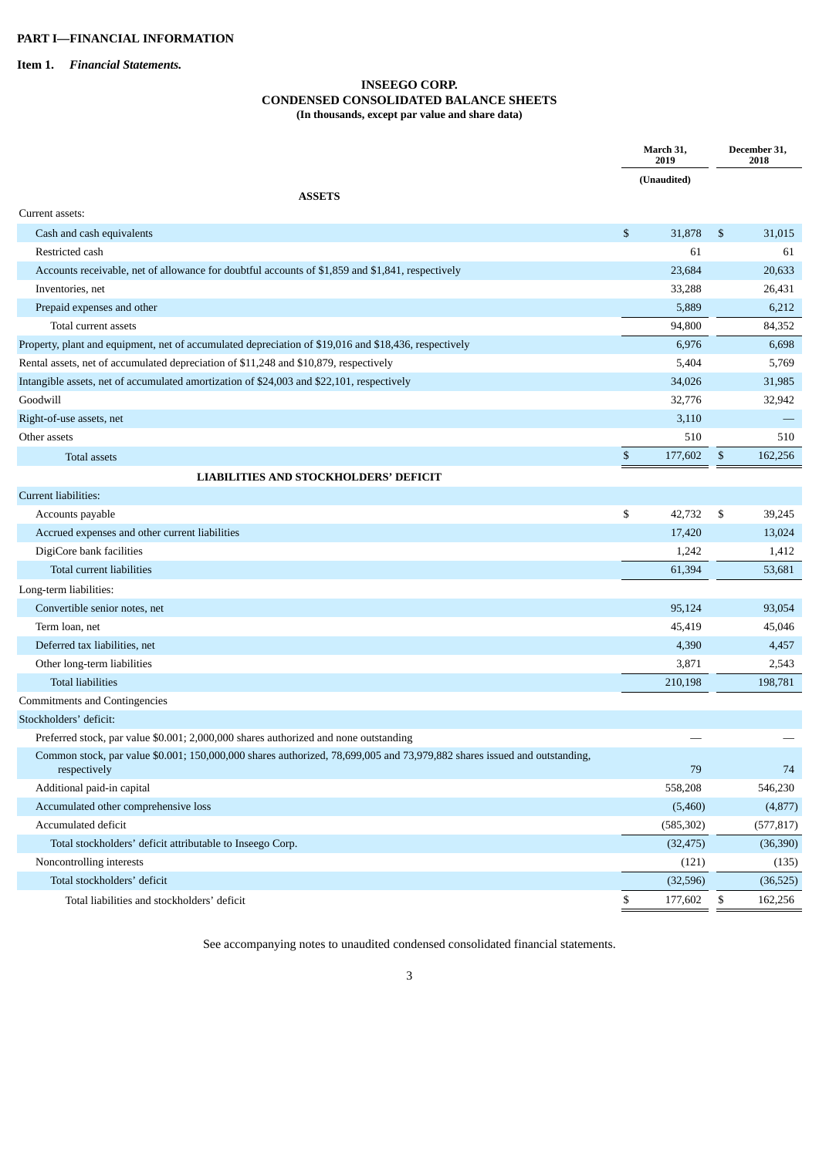<span id="page-2-0"></span>**Item 1.** *Financial Statements.*

## **INSEEGO CORP. CONDENSED CONSOLIDATED BALANCE SHEETS (In thousands, except par value and share data)**

|                                                                                                                                          |    | March 31,<br>2019 |                | December 31,<br>2018 |
|------------------------------------------------------------------------------------------------------------------------------------------|----|-------------------|----------------|----------------------|
|                                                                                                                                          |    | (Unaudited)       |                |                      |
| <b>ASSETS</b><br>Current assets:                                                                                                         |    |                   |                |                      |
| Cash and cash equivalents                                                                                                                | \$ | 31,878            | $\mathfrak{S}$ | 31,015               |
| Restricted cash                                                                                                                          |    | 61                |                | 61                   |
| Accounts receivable, net of allowance for doubtful accounts of \$1,859 and \$1,841, respectively                                         |    | 23,684            |                | 20,633               |
| Inventories, net                                                                                                                         |    | 33,288            |                | 26,431               |
| Prepaid expenses and other                                                                                                               |    | 5,889             |                | 6,212                |
| Total current assets                                                                                                                     |    | 94,800            |                | 84,352               |
| Property, plant and equipment, net of accumulated depreciation of \$19,016 and \$18,436, respectively                                    |    | 6,976             |                | 6,698                |
| Rental assets, net of accumulated depreciation of \$11,248 and \$10,879, respectively                                                    |    | 5,404             |                | 5,769                |
| Intangible assets, net of accumulated amortization of \$24,003 and \$22,101, respectively                                                |    | 34,026            |                | 31,985               |
| Goodwill                                                                                                                                 |    | 32,776            |                | 32,942               |
| Right-of-use assets, net                                                                                                                 |    | 3,110             |                |                      |
| Other assets                                                                                                                             |    | 510               |                | 510                  |
| <b>Total assets</b>                                                                                                                      | \$ | 177,602           | \$             | 162,256              |
|                                                                                                                                          |    |                   |                |                      |
| <b>LIABILITIES AND STOCKHOLDERS' DEFICIT</b>                                                                                             |    |                   |                |                      |
| <b>Current liabilities:</b>                                                                                                              |    |                   |                |                      |
| Accounts payable                                                                                                                         | \$ | 42,732            | \$             | 39,245               |
| Accrued expenses and other current liabilities                                                                                           |    | 17,420            |                | 13,024               |
| DigiCore bank facilities                                                                                                                 |    | 1,242             |                | 1,412                |
| Total current liabilities                                                                                                                |    | 61,394            |                | 53,681               |
| Long-term liabilities:                                                                                                                   |    |                   |                |                      |
| Convertible senior notes, net                                                                                                            |    | 95,124            |                | 93,054               |
| Term loan, net                                                                                                                           |    | 45,419            |                | 45,046               |
| Deferred tax liabilities, net                                                                                                            |    | 4,390             |                | 4,457                |
| Other long-term liabilities                                                                                                              |    | 3,871             |                | 2,543                |
| <b>Total liabilities</b>                                                                                                                 |    | 210,198           |                | 198,781              |
| <b>Commitments and Contingencies</b>                                                                                                     |    |                   |                |                      |
| Stockholders' deficit:                                                                                                                   |    |                   |                |                      |
| Preferred stock, par value \$0.001; 2,000,000 shares authorized and none outstanding                                                     |    |                   |                |                      |
| Common stock, par value \$0.001; 150,000,000 shares authorized, 78,699,005 and 73,979,882 shares issued and outstanding,<br>respectively |    | 79                |                | 74                   |
| Additional paid-in capital                                                                                                               |    | 558,208           |                | 546,230              |
| Accumulated other comprehensive loss                                                                                                     |    | (5,460)           |                | (4,877)              |
| Accumulated deficit                                                                                                                      |    | (585, 302)        |                | (577, 817)           |
| Total stockholders' deficit attributable to Inseego Corp.                                                                                |    | (32, 475)         |                | (36, 390)            |
| Noncontrolling interests                                                                                                                 |    | (121)             |                | (135)                |
| Total stockholders' deficit                                                                                                              |    | (32,596)          |                | (36, 525)            |
| Total liabilities and stockholders' deficit                                                                                              | \$ | 177,602           | \$             | 162,256              |

See accompanying notes to unaudited condensed consolidated financial statements.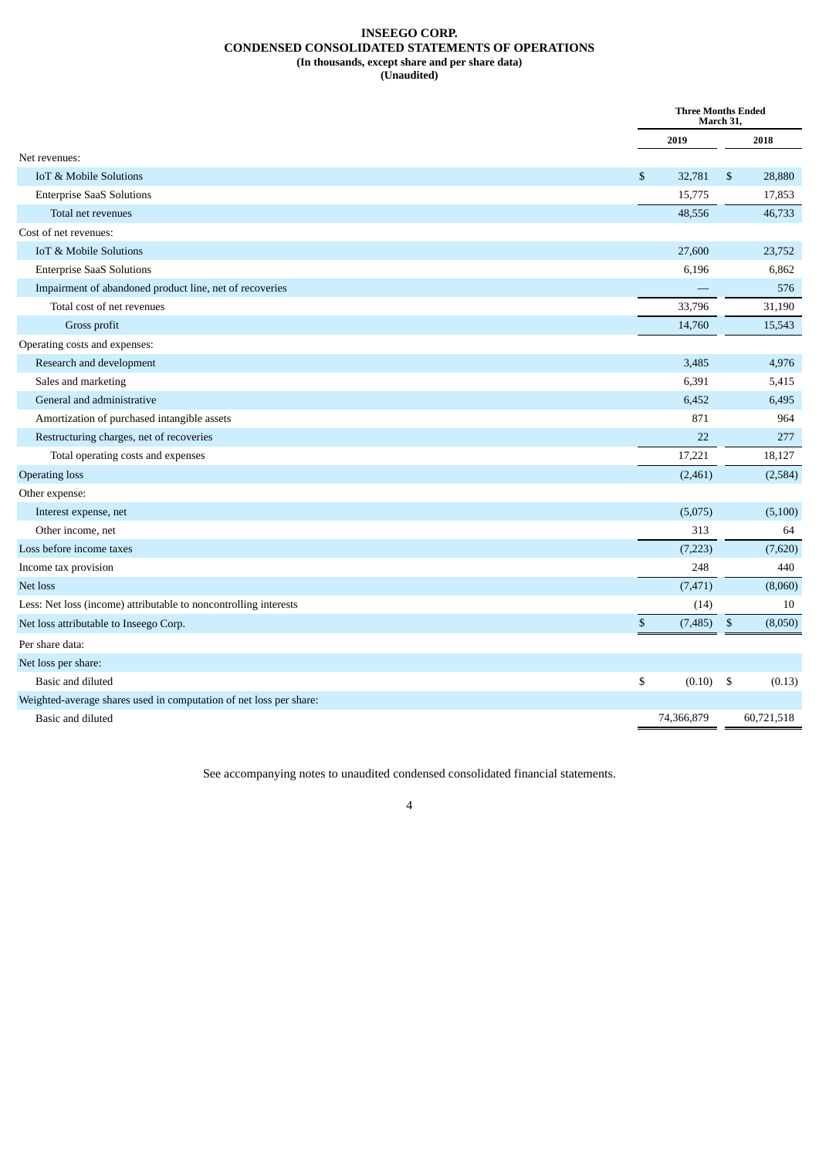## **INSEEGO CORP. CONDENSED CONSOLIDATED STATEMENTS OF OPERATIONS (In thousands, except share and per share data) (Unaudited)**

<span id="page-3-0"></span>

|                                                                    | <b>Three Months Ended</b><br>March 31, |    |            |  |
|--------------------------------------------------------------------|----------------------------------------|----|------------|--|
|                                                                    | 2019                                   |    | 2018       |  |
| Net revenues:                                                      |                                        |    |            |  |
| IoT & Mobile Solutions                                             | \$<br>32,781                           | \$ | 28,880     |  |
| <b>Enterprise SaaS Solutions</b>                                   | 15,775                                 |    | 17,853     |  |
| Total net revenues                                                 | 48,556                                 |    | 46,733     |  |
| Cost of net revenues:                                              |                                        |    |            |  |
| <b>IoT &amp; Mobile Solutions</b>                                  | 27,600                                 |    | 23,752     |  |
| <b>Enterprise SaaS Solutions</b>                                   | 6,196                                  |    | 6,862      |  |
| Impairment of abandoned product line, net of recoveries            |                                        |    | 576        |  |
| Total cost of net revenues                                         | 33,796                                 |    | 31,190     |  |
| Gross profit                                                       | 14,760                                 |    | 15,543     |  |
| Operating costs and expenses:                                      |                                        |    |            |  |
| Research and development                                           | 3,485                                  |    | 4,976      |  |
| Sales and marketing                                                | 6,391                                  |    | 5,415      |  |
| General and administrative                                         | 6,452                                  |    | 6,495      |  |
| Amortization of purchased intangible assets                        | 871                                    |    | 964        |  |
| Restructuring charges, net of recoveries                           | 22                                     |    | 277        |  |
| Total operating costs and expenses                                 | 17,221                                 |    | 18,127     |  |
| <b>Operating loss</b>                                              | (2,461)                                |    | (2,584)    |  |
| Other expense:                                                     |                                        |    |            |  |
| Interest expense, net                                              | (5,075)                                |    | (5,100)    |  |
| Other income, net                                                  | 313                                    |    | 64         |  |
| Loss before income taxes                                           | (7,223)                                |    | (7,620)    |  |
| Income tax provision                                               | 248                                    |    | 440        |  |
| Net loss                                                           | (7, 471)                               |    | (8,060)    |  |
| Less: Net loss (income) attributable to noncontrolling interests   | (14)                                   |    | 10         |  |
| Net loss attributable to Inseego Corp.                             | \$<br>(7, 485)                         | \$ | (8,050)    |  |
| Per share data:                                                    |                                        |    |            |  |
| Net loss per share:                                                |                                        |    |            |  |
| Basic and diluted                                                  | \$<br>(0.10)                           | \$ | (0.13)     |  |
| Weighted-average shares used in computation of net loss per share: |                                        |    |            |  |
| Basic and diluted                                                  | 74,366,879                             |    | 60,721,518 |  |

See accompanying notes to unaudited condensed consolidated financial statements.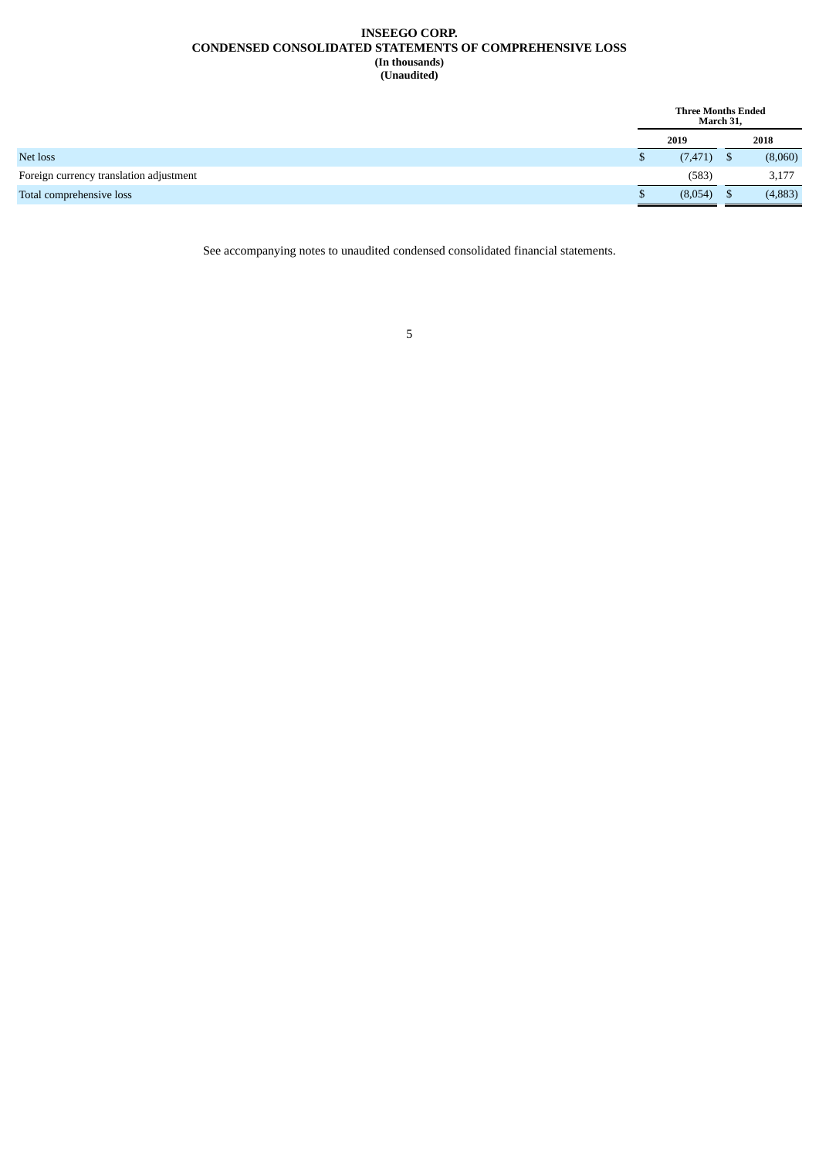## **INSEEGO CORP. CONDENSED CONSOLIDATED STATEMENTS OF COMPREHENSIVE LOSS (In thousands) (Unaudited)**

<span id="page-4-0"></span>

|                                         | <b>Three Months Ended</b><br>March 31, |      |         |
|-----------------------------------------|----------------------------------------|------|---------|
|                                         | 2019                                   |      | 2018    |
| Net loss                                | $(7,471)$ \$                           |      | (8,060) |
| Foreign currency translation adjustment | (583)                                  |      | 3,177   |
| Total comprehensive loss                | (8,054)                                | - \$ | (4,883) |
|                                         |                                        |      |         |

See accompanying notes to unaudited condensed consolidated financial statements.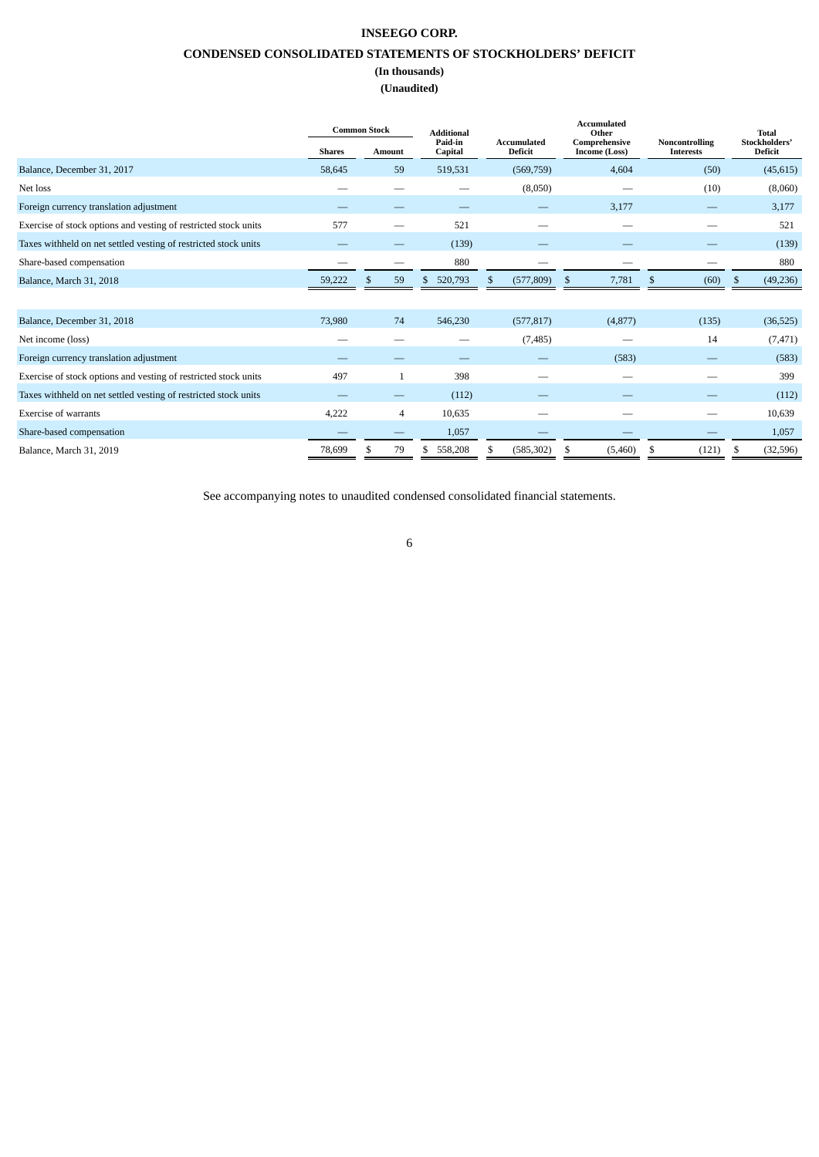# **INSEEGO CORP.**

# **CONDENSED CONSOLIDATED STATEMENTS OF STOCKHOLDERS' DEFICIT**

# **(In thousands)**

# **(Unaudited)**

<span id="page-5-0"></span>

|                                                                 | <b>Common Stock</b> |               | <b>Additional</b>  |                               | <b>Accumulated</b><br>Other    |                                    | <b>Total</b>             |
|-----------------------------------------------------------------|---------------------|---------------|--------------------|-------------------------------|--------------------------------|------------------------------------|--------------------------|
|                                                                 | <b>Shares</b>       | <b>Amount</b> | Paid-in<br>Capital | Accumulated<br><b>Deficit</b> | Comprehensive<br>Income (Loss) | Noncontrolling<br><b>Interests</b> | Stockholders'<br>Deficit |
| Balance, December 31, 2017                                      | 58,645              | 59            | 519,531            | (569, 759)                    | 4,604                          | (50)                               | (45, 615)                |
| Net loss                                                        |                     |               |                    | (8,050)                       |                                | (10)                               | (8,060)                  |
| Foreign currency translation adjustment                         |                     |               |                    |                               | 3,177                          |                                    | 3,177                    |
| Exercise of stock options and vesting of restricted stock units | 577                 |               | 521                |                               |                                |                                    | 521                      |
| Taxes withheld on net settled vesting of restricted stock units |                     |               | (139)              |                               |                                |                                    | (139)                    |
| Share-based compensation                                        |                     |               | 880                |                               |                                |                                    | 880                      |
| Balance, March 31, 2018                                         | 59,222              | 59            | 520,793<br>\$.     | (577, 809)<br>\$.             | 7,781<br>-S                    | (60)                               | (49, 236)<br>S           |
|                                                                 |                     |               |                    |                               |                                |                                    |                          |
| Balance, December 31, 2018                                      | 73,980              | 74            | 546,230            | (577, 817)                    | (4,877)                        | (135)                              | (36, 525)                |
| Net income (loss)                                               |                     |               |                    | (7,485)                       |                                | 14                                 | (7, 471)                 |
| Foreign currency translation adjustment                         |                     |               |                    |                               | (583)                          |                                    | (583)                    |
| Exercise of stock options and vesting of restricted stock units | 497                 | $\mathbf{1}$  | 398                |                               |                                |                                    | 399                      |
| Taxes withheld on net settled vesting of restricted stock units |                     |               | (112)              |                               |                                |                                    | (112)                    |
| Exercise of warrants                                            | 4,222               | 4             | 10,635             |                               |                                |                                    | 10,639                   |
| Share-based compensation                                        |                     |               | 1,057              |                               |                                |                                    | 1,057                    |
| Balance, March 31, 2019                                         | 78,699              | 79            | 558,208<br>S       | (585, 302)                    | (5,460)<br>Ъ                   | (121)                              | (32, 596)<br>S,          |

See accompanying notes to unaudited condensed consolidated financial statements.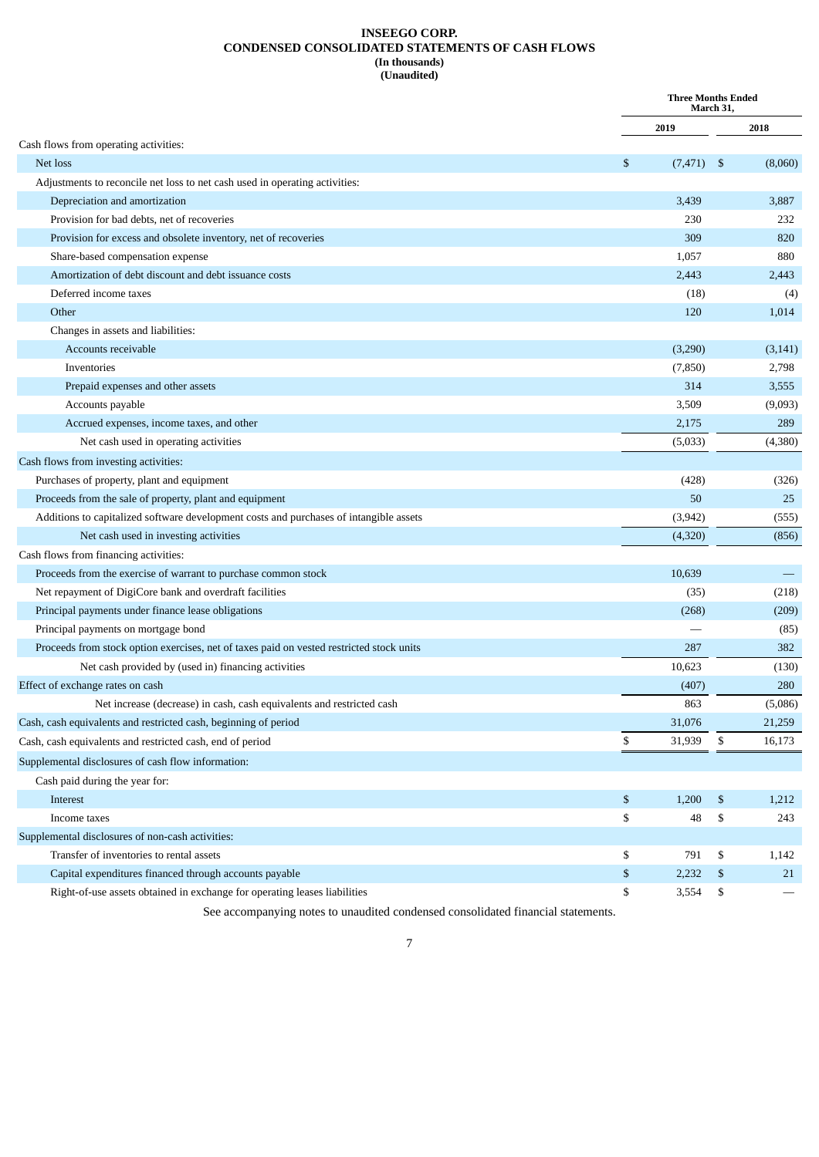## **INSEEGO CORP. CONDENSED CONSOLIDATED STATEMENTS OF CASH FLOWS (In thousands) (Unaudited)**

<span id="page-6-0"></span>

|                                                                                          | <b>Three Months Ended</b><br>March 31, |          |      |          |
|------------------------------------------------------------------------------------------|----------------------------------------|----------|------|----------|
|                                                                                          |                                        | 2019     |      | 2018     |
| Cash flows from operating activities:                                                    |                                        |          |      |          |
| Net loss                                                                                 | \$                                     | (7, 471) | - \$ | (8,060)  |
| Adjustments to reconcile net loss to net cash used in operating activities:              |                                        |          |      |          |
| Depreciation and amortization                                                            |                                        | 3,439    |      | 3,887    |
| Provision for bad debts, net of recoveries                                               |                                        | 230      |      | 232      |
| Provision for excess and obsolete inventory, net of recoveries                           |                                        | 309      |      | 820      |
| Share-based compensation expense                                                         |                                        | 1,057    |      | 880      |
| Amortization of debt discount and debt issuance costs                                    |                                        | 2,443    |      | 2,443    |
| Deferred income taxes                                                                    |                                        | (18)     |      | (4)      |
| Other                                                                                    |                                        | 120      |      | 1,014    |
| Changes in assets and liabilities:                                                       |                                        |          |      |          |
| Accounts receivable                                                                      |                                        | (3,290)  |      | (3, 141) |
| Inventories                                                                              |                                        | (7, 850) |      | 2,798    |
| Prepaid expenses and other assets                                                        |                                        | 314      |      | 3,555    |
| Accounts payable                                                                         |                                        | 3,509    |      | (9,093)  |
| Accrued expenses, income taxes, and other                                                |                                        | 2,175    |      | 289      |
| Net cash used in operating activities                                                    |                                        | (5,033)  |      | (4,380)  |
| Cash flows from investing activities:                                                    |                                        |          |      |          |
| Purchases of property, plant and equipment                                               |                                        | (428)    |      | (326)    |
| Proceeds from the sale of property, plant and equipment                                  |                                        | 50       |      | 25       |
| Additions to capitalized software development costs and purchases of intangible assets   |                                        | (3,942)  |      | (555)    |
| Net cash used in investing activities                                                    |                                        | (4,320)  |      | (856)    |
| Cash flows from financing activities:                                                    |                                        |          |      |          |
| Proceeds from the exercise of warrant to purchase common stock                           |                                        | 10,639   |      |          |
| Net repayment of DigiCore bank and overdraft facilities                                  |                                        | (35)     |      | (218)    |
| Principal payments under finance lease obligations                                       |                                        | (268)    |      | (209)    |
| Principal payments on mortgage bond                                                      |                                        |          |      | (85)     |
| Proceeds from stock option exercises, net of taxes paid on vested restricted stock units |                                        | 287      |      | 382      |
| Net cash provided by (used in) financing activities                                      |                                        | 10,623   |      | (130)    |
| Effect of exchange rates on cash                                                         |                                        | (407)    |      | 280      |
| Net increase (decrease) in cash, cash equivalents and restricted cash                    |                                        | 863      |      | (5,086)  |
| Cash, cash equivalents and restricted cash, beginning of period                          |                                        | 31,076   |      | 21,259   |
| Cash, cash equivalents and restricted cash, end of period                                | \$                                     | 31,939   | \$   | 16,173   |
| Supplemental disclosures of cash flow information:                                       |                                        |          |      |          |
| Cash paid during the year for:                                                           |                                        |          |      |          |
| Interest                                                                                 | \$                                     | 1,200    | \$   | 1,212    |
| Income taxes                                                                             | \$                                     | 48       | \$   | 243      |
| Supplemental disclosures of non-cash activities:                                         |                                        |          |      |          |
| Transfer of inventories to rental assets                                                 | \$                                     | 791      | \$   | 1,142    |
| Capital expenditures financed through accounts payable                                   | \$                                     | 2,232    | \$   | 21       |
| Right-of-use assets obtained in exchange for operating leases liabilities                | \$                                     | 3,554    | \$   |          |
| See accompanying notes to unaudited condensed consolidated financial statements.         |                                        |          |      |          |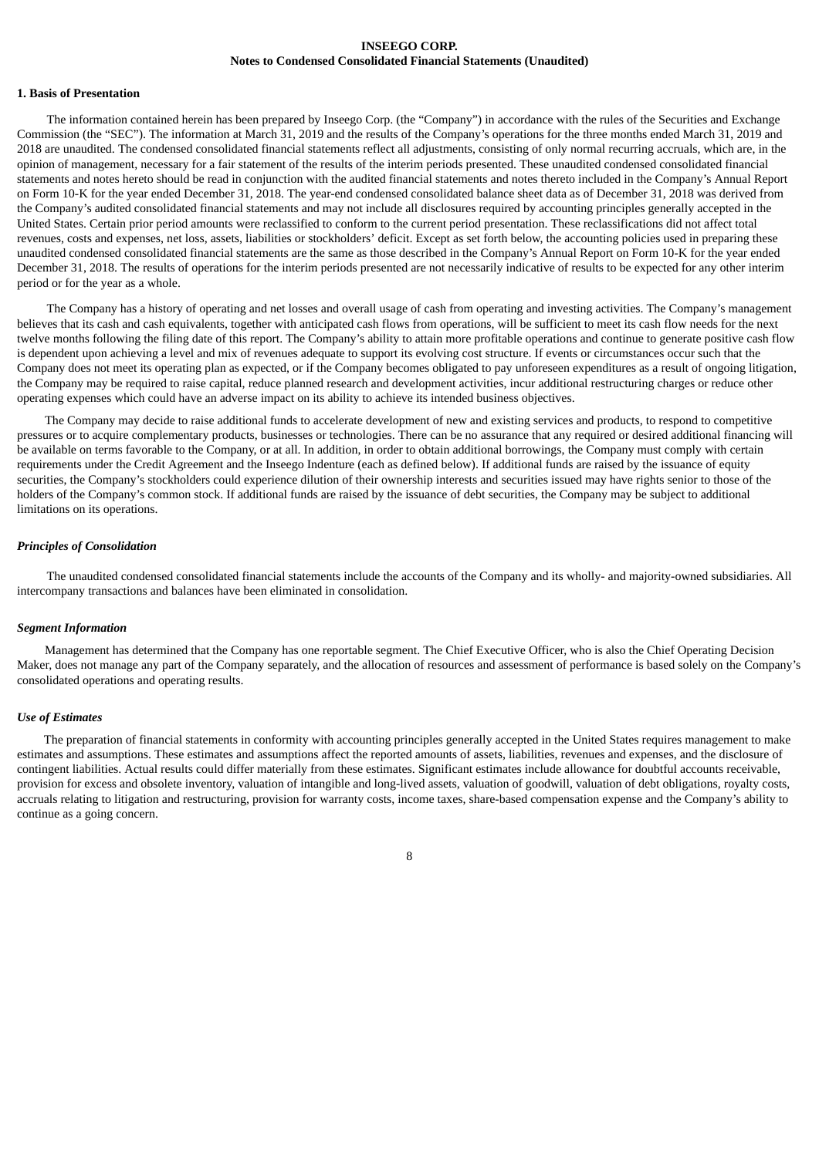## <span id="page-7-0"></span>**1. Basis of Presentation**

The information contained herein has been prepared by Inseego Corp. (the "Company") in accordance with the rules of the Securities and Exchange Commission (the "SEC"). The information at March 31, 2019 and the results of the Company's operations for the three months ended March 31, 2019 and 2018 are unaudited. The condensed consolidated financial statements reflect all adjustments, consisting of only normal recurring accruals, which are, in the opinion of management, necessary for a fair statement of the results of the interim periods presented. These unaudited condensed consolidated financial statements and notes hereto should be read in conjunction with the audited financial statements and notes thereto included in the Company's Annual Report on Form 10-K for the year ended December 31, 2018. The year-end condensed consolidated balance sheet data as of December 31, 2018 was derived from the Company's audited consolidated financial statements and may not include all disclosures required by accounting principles generally accepted in the United States. Certain prior period amounts were reclassified to conform to the current period presentation. These reclassifications did not affect total revenues, costs and expenses, net loss, assets, liabilities or stockholders' deficit. Except as set forth below, the accounting policies used in preparing these unaudited condensed consolidated financial statements are the same as those described in the Company's Annual Report on Form 10-K for the year ended December 31, 2018. The results of operations for the interim periods presented are not necessarily indicative of results to be expected for any other interim period or for the year as a whole.

The Company has a history of operating and net losses and overall usage of cash from operating and investing activities. The Company's management believes that its cash and cash equivalents, together with anticipated cash flows from operations, will be sufficient to meet its cash flow needs for the next twelve months following the filing date of this report. The Company's ability to attain more profitable operations and continue to generate positive cash flow is dependent upon achieving a level and mix of revenues adequate to support its evolving cost structure. If events or circumstances occur such that the Company does not meet its operating plan as expected, or if the Company becomes obligated to pay unforeseen expenditures as a result of ongoing litigation, the Company may be required to raise capital, reduce planned research and development activities, incur additional restructuring charges or reduce other operating expenses which could have an adverse impact on its ability to achieve its intended business objectives.

The Company may decide to raise additional funds to accelerate development of new and existing services and products, to respond to competitive pressures or to acquire complementary products, businesses or technologies. There can be no assurance that any required or desired additional financing will be available on terms favorable to the Company, or at all. In addition, in order to obtain additional borrowings, the Company must comply with certain requirements under the Credit Agreement and the Inseego Indenture (each as defined below). If additional funds are raised by the issuance of equity securities, the Company's stockholders could experience dilution of their ownership interests and securities issued may have rights senior to those of the holders of the Company's common stock. If additional funds are raised by the issuance of debt securities, the Company may be subject to additional limitations on its operations.

#### *Principles of Consolidation*

The unaudited condensed consolidated financial statements include the accounts of the Company and its wholly- and majority-owned subsidiaries. All intercompany transactions and balances have been eliminated in consolidation.

## *Segment Information*

Management has determined that the Company has one reportable segment. The Chief Executive Officer, who is also the Chief Operating Decision Maker, does not manage any part of the Company separately, and the allocation of resources and assessment of performance is based solely on the Company's consolidated operations and operating results.

## *Use of Estimates*

The preparation of financial statements in conformity with accounting principles generally accepted in the United States requires management to make estimates and assumptions. These estimates and assumptions affect the reported amounts of assets, liabilities, revenues and expenses, and the disclosure of contingent liabilities. Actual results could differ materially from these estimates. Significant estimates include allowance for doubtful accounts receivable, provision for excess and obsolete inventory, valuation of intangible and long-lived assets, valuation of goodwill, valuation of debt obligations, royalty costs, accruals relating to litigation and restructuring, provision for warranty costs, income taxes, share-based compensation expense and the Company's ability to continue as a going concern.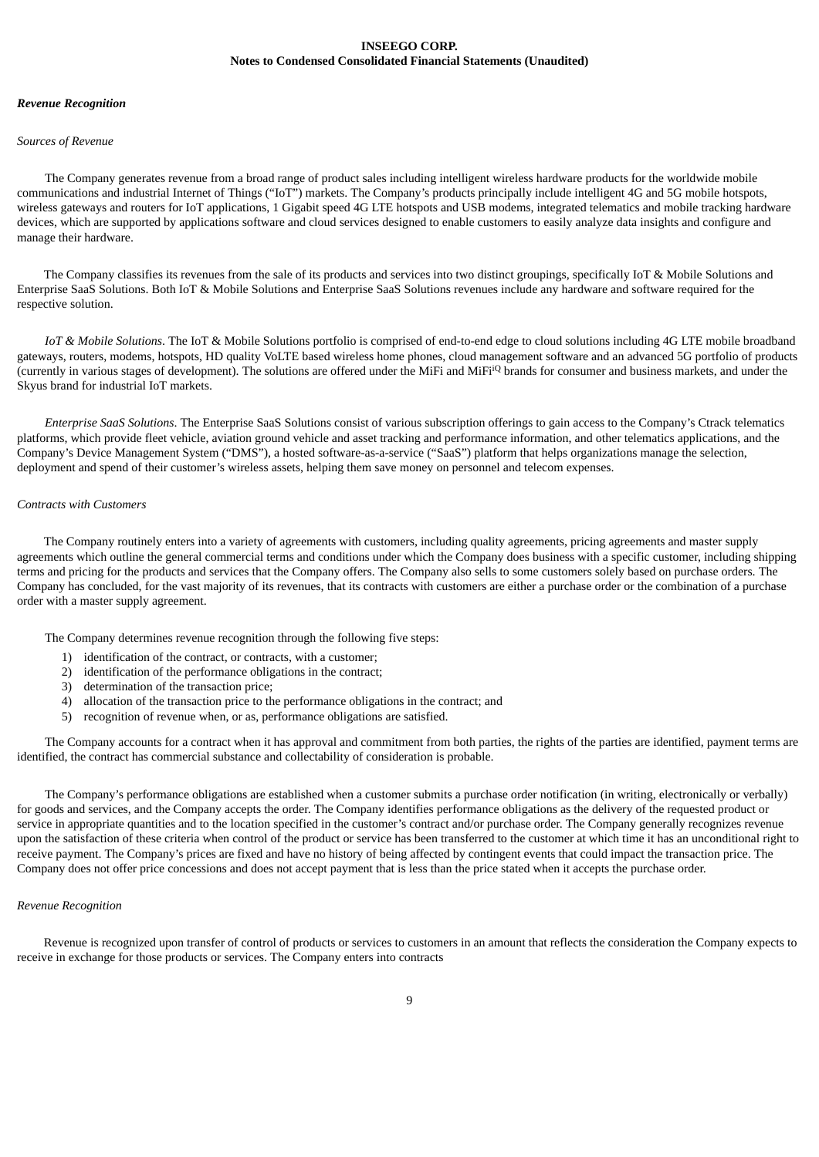#### *Revenue Recognition*

#### *Sources of Revenue*

The Company generates revenue from a broad range of product sales including intelligent wireless hardware products for the worldwide mobile communications and industrial Internet of Things ("IoT") markets. The Company's products principally include intelligent 4G and 5G mobile hotspots, wireless gateways and routers for IoT applications, 1 Gigabit speed 4G LTE hotspots and USB modems, integrated telematics and mobile tracking hardware devices, which are supported by applications software and cloud services designed to enable customers to easily analyze data insights and configure and manage their hardware.

The Company classifies its revenues from the sale of its products and services into two distinct groupings, specifically IoT & Mobile Solutions and Enterprise SaaS Solutions. Both IoT & Mobile Solutions and Enterprise SaaS Solutions revenues include any hardware and software required for the respective solution.

*IoT & Mobile Solutions*. The IoT & Mobile Solutions portfolio is comprised of end-to-end edge to cloud solutions including 4G LTE mobile broadband gateways, routers, modems, hotspots, HD quality VoLTE based wireless home phones, cloud management software and an advanced 5G portfolio of products (currently in various stages of development). The solutions are offered under the MiFi and MiFi<sup>iQ</sup> brands for consumer and business markets, and under the Skyus brand for industrial IoT markets.

*Enterprise SaaS Solutions*. The Enterprise SaaS Solutions consist of various subscription offerings to gain access to the Company's Ctrack telematics platforms, which provide fleet vehicle, aviation ground vehicle and asset tracking and performance information, and other telematics applications, and the Company's Device Management System ("DMS"), a hosted software-as-a-service ("SaaS") platform that helps organizations manage the selection, deployment and spend of their customer's wireless assets, helping them save money on personnel and telecom expenses.

## *Contracts with Customers*

The Company routinely enters into a variety of agreements with customers, including quality agreements, pricing agreements and master supply agreements which outline the general commercial terms and conditions under which the Company does business with a specific customer, including shipping terms and pricing for the products and services that the Company offers. The Company also sells to some customers solely based on purchase orders. The Company has concluded, for the vast majority of its revenues, that its contracts with customers are either a purchase order or the combination of a purchase order with a master supply agreement.

The Company determines revenue recognition through the following five steps:

- 1) identification of the contract, or contracts, with a customer;
- 2) identification of the performance obligations in the contract;
- 3) determination of the transaction price;
- 4) allocation of the transaction price to the performance obligations in the contract; and
- 5) recognition of revenue when, or as, performance obligations are satisfied.

The Company accounts for a contract when it has approval and commitment from both parties, the rights of the parties are identified, payment terms are identified, the contract has commercial substance and collectability of consideration is probable.

The Company's performance obligations are established when a customer submits a purchase order notification (in writing, electronically or verbally) for goods and services, and the Company accepts the order. The Company identifies performance obligations as the delivery of the requested product or service in appropriate quantities and to the location specified in the customer's contract and/or purchase order. The Company generally recognizes revenue upon the satisfaction of these criteria when control of the product or service has been transferred to the customer at which time it has an unconditional right to receive payment. The Company's prices are fixed and have no history of being affected by contingent events that could impact the transaction price. The Company does not offer price concessions and does not accept payment that is less than the price stated when it accepts the purchase order.

#### *Revenue Recognition*

Revenue is recognized upon transfer of control of products or services to customers in an amount that reflects the consideration the Company expects to receive in exchange for those products or services. The Company enters into contracts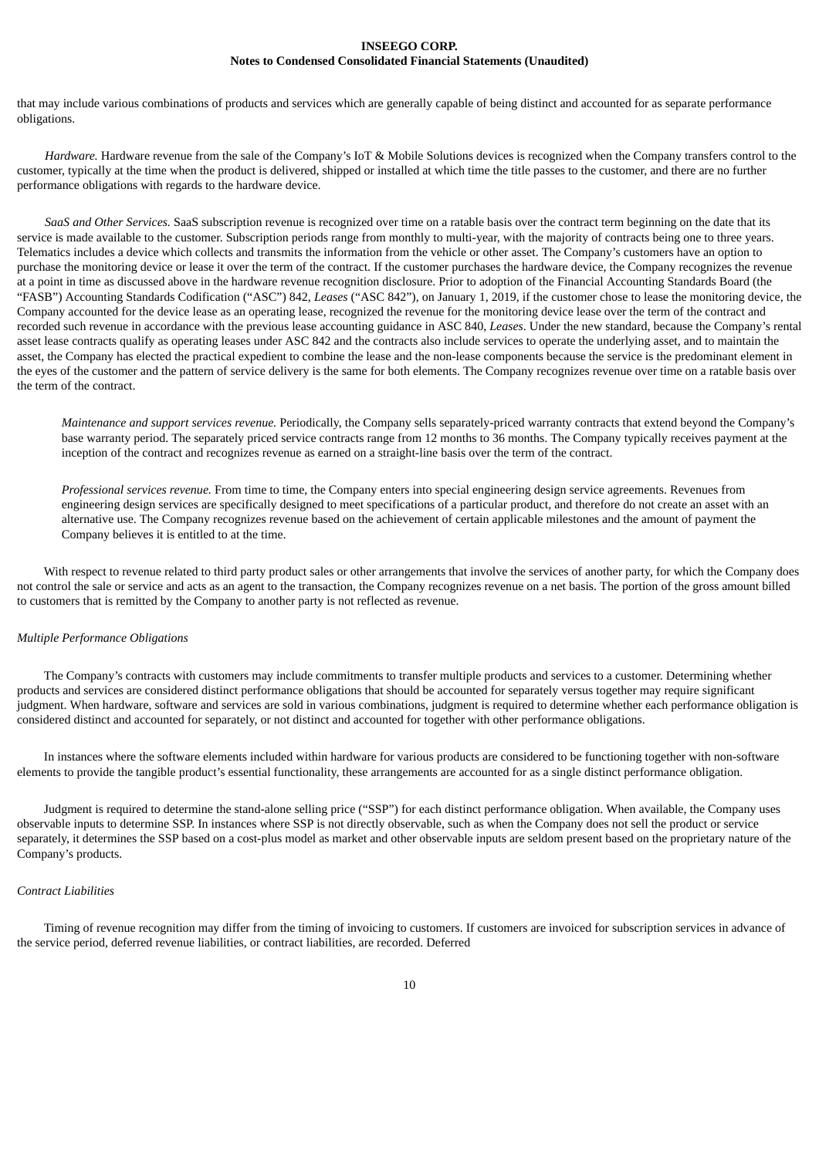that may include various combinations of products and services which are generally capable of being distinct and accounted for as separate performance obligations.

*Hardware.* Hardware revenue from the sale of the Company's IoT & Mobile Solutions devices is recognized when the Company transfers control to the customer, typically at the time when the product is delivered, shipped or installed at which time the title passes to the customer, and there are no further performance obligations with regards to the hardware device.

*SaaS and Other Services.* SaaS subscription revenue is recognized over time on a ratable basis over the contract term beginning on the date that its service is made available to the customer. Subscription periods range from monthly to multi-year, with the majority of contracts being one to three years. Telematics includes a device which collects and transmits the information from the vehicle or other asset. The Company's customers have an option to purchase the monitoring device or lease it over the term of the contract. If the customer purchases the hardware device, the Company recognizes the revenue at a point in time as discussed above in the hardware revenue recognition disclosure. Prior to adoption of the Financial Accounting Standards Board (the "FASB") Accounting Standards Codification ("ASC") 842, *Leases* ("ASC 842"), on January 1, 2019, if the customer chose to lease the monitoring device, the Company accounted for the device lease as an operating lease, recognized the revenue for the monitoring device lease over the term of the contract and recorded such revenue in accordance with the previous lease accounting guidance in ASC 840, *Leases*. Under the new standard, because the Company's rental asset lease contracts qualify as operating leases under ASC 842 and the contracts also include services to operate the underlying asset, and to maintain the asset, the Company has elected the practical expedient to combine the lease and the non-lease components because the service is the predominant element in the eyes of the customer and the pattern of service delivery is the same for both elements. The Company recognizes revenue over time on a ratable basis over the term of the contract.

*Maintenance and support services revenue.* Periodically, the Company sells separately-priced warranty contracts that extend beyond the Company's base warranty period. The separately priced service contracts range from 12 months to 36 months. The Company typically receives payment at the inception of the contract and recognizes revenue as earned on a straight-line basis over the term of the contract.

*Professional services revenue.* From time to time, the Company enters into special engineering design service agreements. Revenues from engineering design services are specifically designed to meet specifications of a particular product, and therefore do not create an asset with an alternative use. The Company recognizes revenue based on the achievement of certain applicable milestones and the amount of payment the Company believes it is entitled to at the time.

With respect to revenue related to third party product sales or other arrangements that involve the services of another party, for which the Company does not control the sale or service and acts as an agent to the transaction, the Company recognizes revenue on a net basis. The portion of the gross amount billed to customers that is remitted by the Company to another party is not reflected as revenue.

## *Multiple Performance Obligations*

The Company's contracts with customers may include commitments to transfer multiple products and services to a customer. Determining whether products and services are considered distinct performance obligations that should be accounted for separately versus together may require significant judgment. When hardware, software and services are sold in various combinations, judgment is required to determine whether each performance obligation is considered distinct and accounted for separately, or not distinct and accounted for together with other performance obligations.

In instances where the software elements included within hardware for various products are considered to be functioning together with non-software elements to provide the tangible product's essential functionality, these arrangements are accounted for as a single distinct performance obligation.

Judgment is required to determine the stand-alone selling price ("SSP") for each distinct performance obligation. When available, the Company uses observable inputs to determine SSP. In instances where SSP is not directly observable, such as when the Company does not sell the product or service separately, it determines the SSP based on a cost-plus model as market and other observable inputs are seldom present based on the proprietary nature of the Company's products.

## *Contract Liabilities*

Timing of revenue recognition may differ from the timing of invoicing to customers. If customers are invoiced for subscription services in advance of the service period, deferred revenue liabilities, or contract liabilities, are recorded. Deferred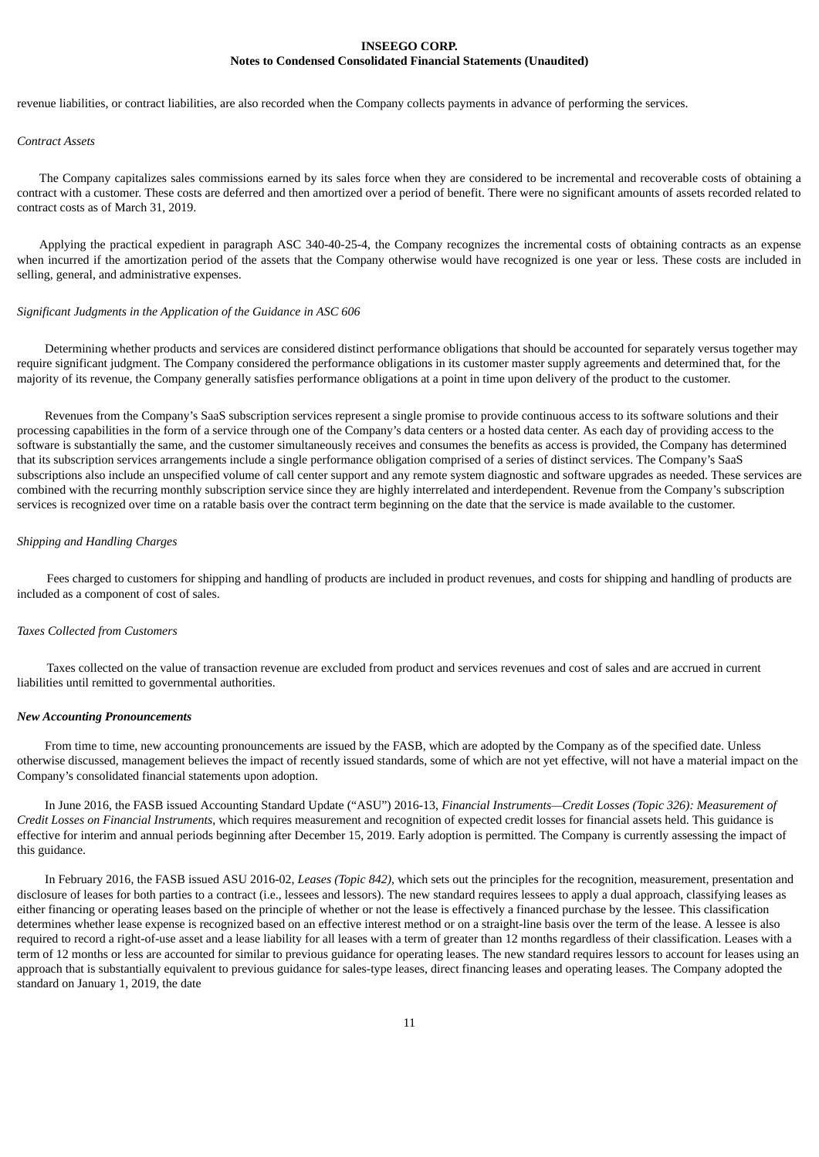revenue liabilities, or contract liabilities, are also recorded when the Company collects payments in advance of performing the services.

### *Contract Assets*

The Company capitalizes sales commissions earned by its sales force when they are considered to be incremental and recoverable costs of obtaining a contract with a customer. These costs are deferred and then amortized over a period of benefit. There were no significant amounts of assets recorded related to contract costs as of March 31, 2019.

Applying the practical expedient in paragraph ASC 340-40-25-4, the Company recognizes the incremental costs of obtaining contracts as an expense when incurred if the amortization period of the assets that the Company otherwise would have recognized is one year or less. These costs are included in selling, general, and administrative expenses.

#### *Significant Judgments in the Application of the Guidance in ASC 606*

Determining whether products and services are considered distinct performance obligations that should be accounted for separately versus together may require significant judgment. The Company considered the performance obligations in its customer master supply agreements and determined that, for the majority of its revenue, the Company generally satisfies performance obligations at a point in time upon delivery of the product to the customer.

Revenues from the Company's SaaS subscription services represent a single promise to provide continuous access to its software solutions and their processing capabilities in the form of a service through one of the Company's data centers or a hosted data center. As each day of providing access to the software is substantially the same, and the customer simultaneously receives and consumes the benefits as access is provided, the Company has determined that its subscription services arrangements include a single performance obligation comprised of a series of distinct services. The Company's SaaS subscriptions also include an unspecified volume of call center support and any remote system diagnostic and software upgrades as needed. These services are combined with the recurring monthly subscription service since they are highly interrelated and interdependent. Revenue from the Company's subscription services is recognized over time on a ratable basis over the contract term beginning on the date that the service is made available to the customer.

#### *Shipping and Handling Charges*

Fees charged to customers for shipping and handling of products are included in product revenues, and costs for shipping and handling of products are included as a component of cost of sales.

#### *Taxes Collected from Customers*

Taxes collected on the value of transaction revenue are excluded from product and services revenues and cost of sales and are accrued in current liabilities until remitted to governmental authorities.

#### *New Accounting Pronouncements*

From time to time, new accounting pronouncements are issued by the FASB, which are adopted by the Company as of the specified date. Unless otherwise discussed, management believes the impact of recently issued standards, some of which are not yet effective, will not have a material impact on the Company's consolidated financial statements upon adoption.

In June 2016, the FASB issued Accounting Standard Update ("ASU") 2016-13, *Financial Instruments—Credit Losses (Topic 326): Measurement of Credit Losses on Financial Instruments*, which requires measurement and recognition of expected credit losses for financial assets held. This guidance is effective for interim and annual periods beginning after December 15, 2019. Early adoption is permitted. The Company is currently assessing the impact of this guidance.

In February 2016, the FASB issued ASU 2016-02, *Leases (Topic 842)*, which sets out the principles for the recognition, measurement, presentation and disclosure of leases for both parties to a contract (i.e., lessees and lessors). The new standard requires lessees to apply a dual approach, classifying leases as either financing or operating leases based on the principle of whether or not the lease is effectively a financed purchase by the lessee. This classification determines whether lease expense is recognized based on an effective interest method or on a straight-line basis over the term of the lease. A lessee is also required to record a right-of-use asset and a lease liability for all leases with a term of greater than 12 months regardless of their classification. Leases with a term of 12 months or less are accounted for similar to previous guidance for operating leases. The new standard requires lessors to account for leases using an approach that is substantially equivalent to previous guidance for sales-type leases, direct financing leases and operating leases. The Company adopted the standard on January 1, 2019, the date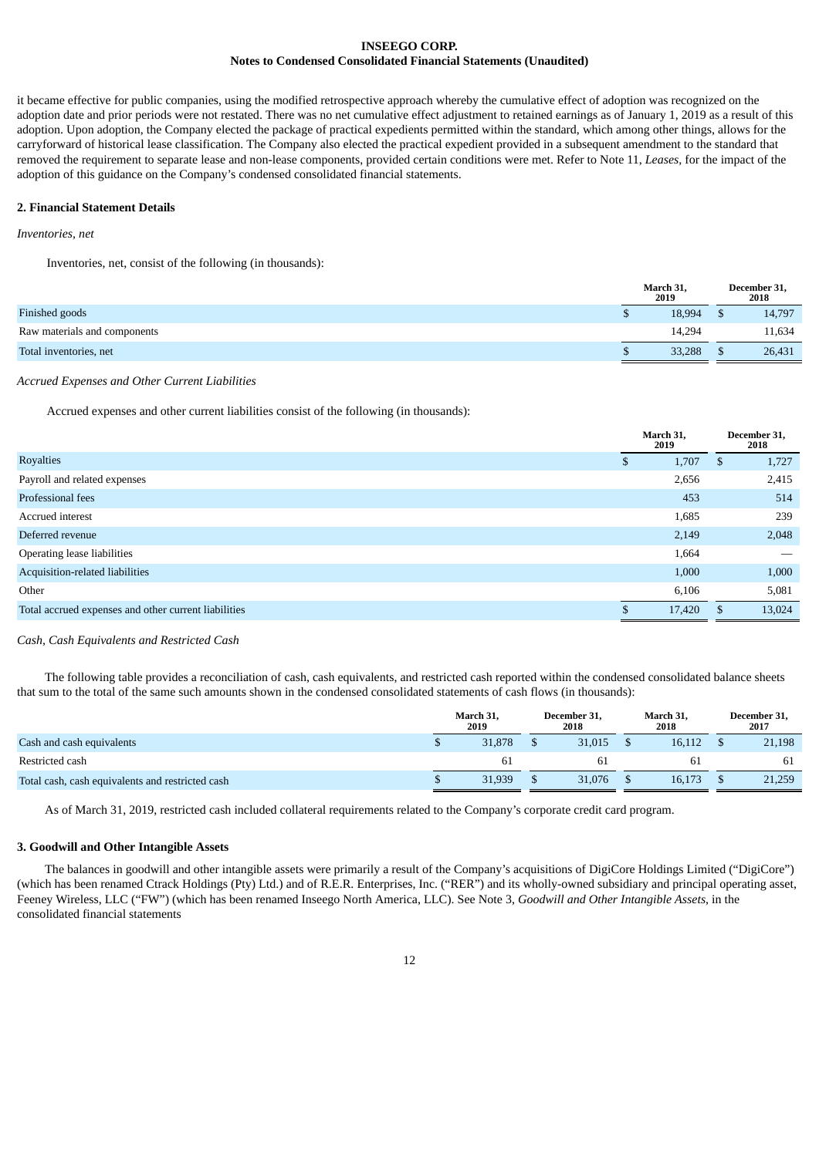it became effective for public companies, using the modified retrospective approach whereby the cumulative effect of adoption was recognized on the adoption date and prior periods were not restated. There was no net cumulative effect adjustment to retained earnings as of January 1, 2019 as a result of this adoption. Upon adoption, the Company elected the package of practical expedients permitted within the standard, which among other things, allows for the carryforward of historical lease classification. The Company also elected the practical expedient provided in a subsequent amendment to the standard that removed the requirement to separate lease and non-lease components, provided certain conditions were met. Refer to Note 11, *Leases,* for the impact of the adoption of this guidance on the Company's condensed consolidated financial statements.

## **2. Financial Statement Details**

## *Inventories, net*

Inventories, net, consist of the following (in thousands):

|                              |   | March 31,<br>2019 |  | December 31,<br>2018 |
|------------------------------|---|-------------------|--|----------------------|
| Finished goods               | Ъ | 18.994            |  | 14,797               |
| Raw materials and components |   | 14,294            |  | 11,634               |
| Total inventories, net       |   | 33,288            |  | 26,431               |
|                              |   |                   |  |                      |

## *Accrued Expenses and Other Current Liabilities*

Accrued expenses and other current liabilities consist of the following (in thousands):

|                                                      | March 31,<br>2019 |        | December 31,<br>2018 |        |
|------------------------------------------------------|-------------------|--------|----------------------|--------|
| Royalties                                            | \$                | 1,707  | \$.                  | 1,727  |
| Payroll and related expenses                         |                   | 2,656  |                      | 2,415  |
| Professional fees                                    |                   | 453    |                      | 514    |
| Accrued interest                                     |                   | 1,685  |                      | 239    |
| Deferred revenue                                     |                   | 2,149  |                      | 2,048  |
| Operating lease liabilities                          |                   | 1,664  |                      | —      |
| Acquisition-related liabilities                      |                   | 1,000  |                      | 1,000  |
| Other                                                |                   | 6,106  |                      | 5,081  |
| Total accrued expenses and other current liabilities | £.                | 17,420 | \$.                  | 13,024 |

## *Cash, Cash Equivalents and Restricted Cash*

The following table provides a reconciliation of cash, cash equivalents, and restricted cash reported within the condensed consolidated balance sheets that sum to the total of the same such amounts shown in the condensed consolidated statements of cash flows (in thousands):

|                                                  | March 31,<br>2019 |        | December 31,<br>2018 |        | March 31,<br>2018 |        | December 31,<br>2017 |        |
|--------------------------------------------------|-------------------|--------|----------------------|--------|-------------------|--------|----------------------|--------|
| Cash and cash equivalents                        |                   | 31,878 |                      | 31.015 |                   | 16,112 |                      | 21,198 |
| Restricted cash                                  |                   | -61    |                      | 61     |                   | 01     |                      | 61     |
| Total cash, cash equivalents and restricted cash |                   | 31,939 |                      | 31,076 |                   | 16.173 |                      | 21,259 |

As of March 31, 2019, restricted cash included collateral requirements related to the Company's corporate credit card program.

## **3. Goodwill and Other Intangible Assets**

The balances in goodwill and other intangible assets were primarily a result of the Company's acquisitions of DigiCore Holdings Limited ("DigiCore") (which has been renamed Ctrack Holdings (Pty) Ltd.) and of R.E.R. Enterprises, Inc. ("RER") and its wholly-owned subsidiary and principal operating asset, Feeney Wireless, LLC ("FW") (which has been renamed Inseego North America, LLC). See Note 3, *Goodwill and Other Intangible Assets*, in the consolidated financial statements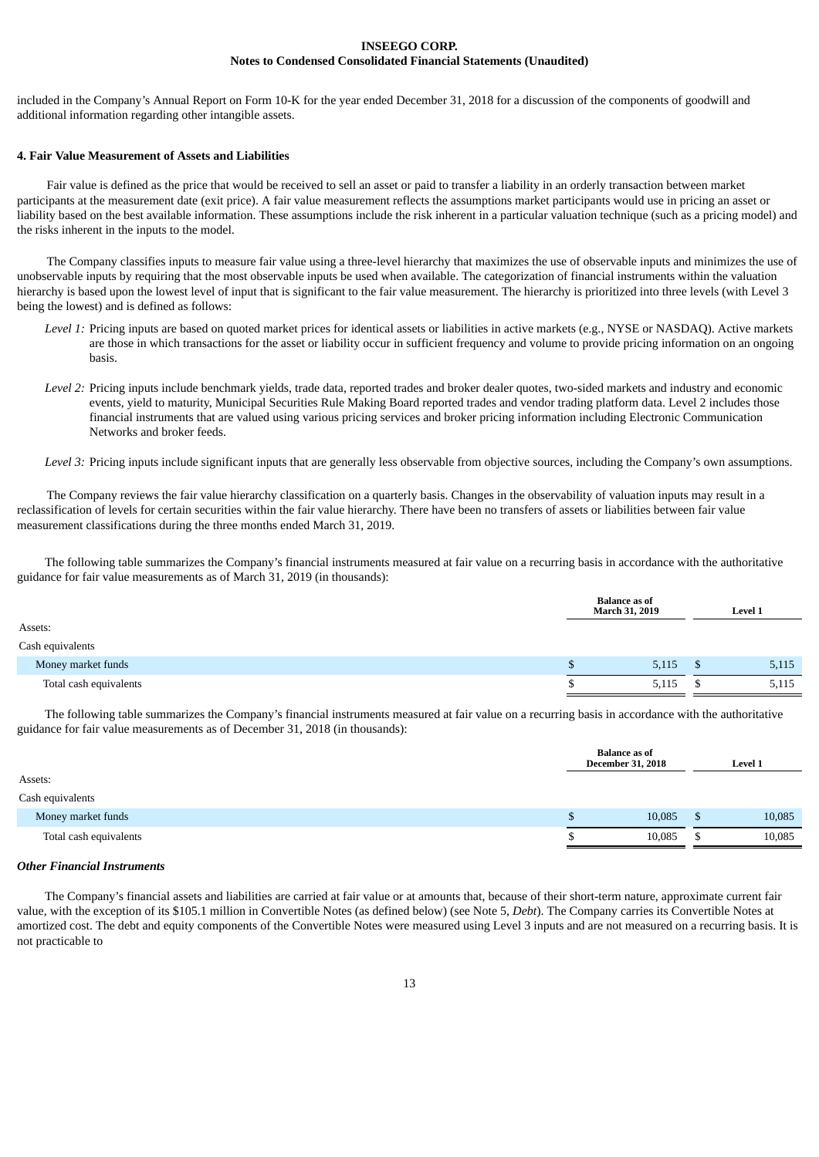included in the Company's Annual Report on Form 10-K for the year ended December 31, 2018 for a discussion of the components of goodwill and additional information regarding other intangible assets.

## **4. Fair Value Measurement of Assets and Liabilities**

Fair value is defined as the price that would be received to sell an asset or paid to transfer a liability in an orderly transaction between market participants at the measurement date (exit price). A fair value measurement reflects the assumptions market participants would use in pricing an asset or liability based on the best available information. These assumptions include the risk inherent in a particular valuation technique (such as a pricing model) and the risks inherent in the inputs to the model.

The Company classifies inputs to measure fair value using a three-level hierarchy that maximizes the use of observable inputs and minimizes the use of unobservable inputs by requiring that the most observable inputs be used when available. The categorization of financial instruments within the valuation hierarchy is based upon the lowest level of input that is significant to the fair value measurement. The hierarchy is prioritized into three levels (with Level 3 being the lowest) and is defined as follows:

- Level 1: Pricing inputs are based on quoted market prices for identical assets or liabilities in active markets (e.g., NYSE or NASDAQ). Active markets are those in which transactions for the asset or liability occur in sufficient frequency and volume to provide pricing information on an ongoing basis.
- *Level 2:* Pricing inputs include benchmark yields, trade data, reported trades and broker dealer quotes, two-sided markets and industry and economic events, yield to maturity, Municipal Securities Rule Making Board reported trades and vendor trading platform data. Level 2 includes those financial instruments that are valued using various pricing services and broker pricing information including Electronic Communication Networks and broker feeds.
- *Level* 3: Pricing inputs include significant inputs that are generally less observable from objective sources, including the Company's own assumptions.

The Company reviews the fair value hierarchy classification on a quarterly basis. Changes in the observability of valuation inputs may result in a reclassification of levels for certain securities within the fair value hierarchy. There have been no transfers of assets or liabilities between fair value measurement classifications during the three months ended March 31, 2019.

The following table summarizes the Company's financial instruments measured at fair value on a recurring basis in accordance with the authoritative guidance for fair value measurements as of March 31, 2019 (in thousands):

|                        | <b>Balance as of</b><br>March 31, 2019 |     | Level 1 |
|------------------------|----------------------------------------|-----|---------|
| Assets:                |                                        |     |         |
| Cash equivalents       |                                        |     |         |
| Money market funds     | 5,115                                  | - S | 5,115   |
| Total cash equivalents | 5,115                                  |     | 5,115   |

The following table summarizes the Company's financial instruments measured at fair value on a recurring basis in accordance with the authoritative guidance for fair value measurements as of December 31, 2018 (in thousands):

|                        |    | <b>Balance as of</b><br><b>December 31, 2018</b> | Level 1 |
|------------------------|----|--------------------------------------------------|---------|
| Assets:                |    |                                                  |         |
| Cash equivalents       |    |                                                  |         |
| Money market funds     | ۰D | 10,085                                           | 10,085  |
| Total cash equivalents | w  | 10,085                                           | 10,085  |

## *Other Financial Instruments*

The Company's financial assets and liabilities are carried at fair value or at amounts that, because of their short-term nature, approximate current fair value, with the exception of its \$105.1 million in Convertible Notes (as defined below) (see Note 5, *Debt*). The Company carries its Convertible Notes at amortized cost. The debt and equity components of the Convertible Notes were measured using Level 3 inputs and are not measured on a recurring basis. It is not practicable to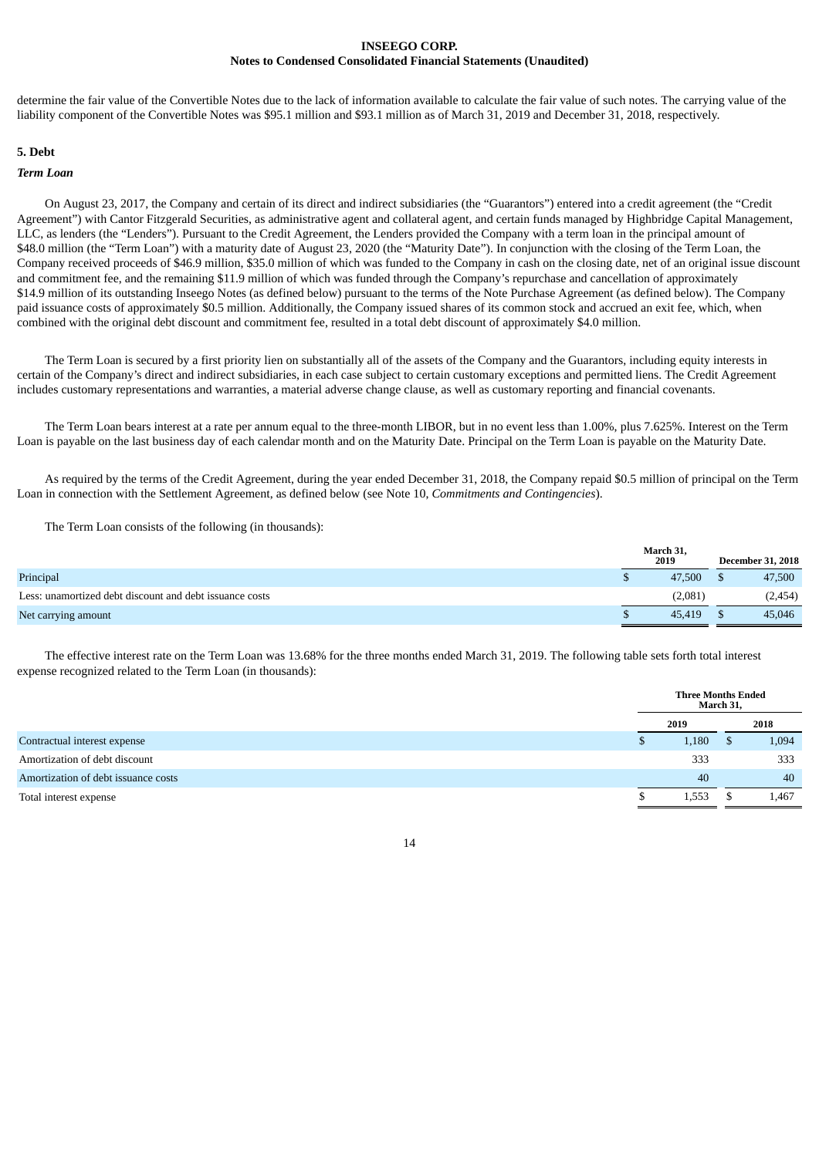determine the fair value of the Convertible Notes due to the lack of information available to calculate the fair value of such notes. The carrying value of the liability component of the Convertible Notes was \$95.1 million and \$93.1 million as of March 31, 2019 and December 31, 2018, respectively.

## **5. Debt**

## *Term Loan*

On August 23, 2017, the Company and certain of its direct and indirect subsidiaries (the "Guarantors") entered into a credit agreement (the "Credit Agreement") with Cantor Fitzgerald Securities, as administrative agent and collateral agent, and certain funds managed by Highbridge Capital Management, LLC, as lenders (the "Lenders"). Pursuant to the Credit Agreement, the Lenders provided the Company with a term loan in the principal amount of \$48.0 million (the "Term Loan") with a maturity date of August 23, 2020 (the "Maturity Date"). In conjunction with the closing of the Term Loan, the Company received proceeds of \$46.9 million, \$35.0 million of which was funded to the Company in cash on the closing date, net of an original issue discount and commitment fee, and the remaining \$11.9 million of which was funded through the Company's repurchase and cancellation of approximately \$14.9 million of its outstanding Inseego Notes (as defined below) pursuant to the terms of the Note Purchase Agreement (as defined below). The Company paid issuance costs of approximately \$0.5 million. Additionally, the Company issued shares of its common stock and accrued an exit fee, which, when combined with the original debt discount and commitment fee, resulted in a total debt discount of approximately \$4.0 million.

The Term Loan is secured by a first priority lien on substantially all of the assets of the Company and the Guarantors, including equity interests in certain of the Company's direct and indirect subsidiaries, in each case subject to certain customary exceptions and permitted liens. The Credit Agreement includes customary representations and warranties, a material adverse change clause, as well as customary reporting and financial covenants.

The Term Loan bears interest at a rate per annum equal to the three-month LIBOR, but in no event less than 1.00%, plus 7.625%. Interest on the Term Loan is payable on the last business day of each calendar month and on the Maturity Date. Principal on the Term Loan is payable on the Maturity Date.

As required by the terms of the Credit Agreement, during the year ended December 31, 2018, the Company repaid \$0.5 million of principal on the Term Loan in connection with the Settlement Agreement, as defined below (see Note 10, *Commitments and Contingencies*).

The Term Loan consists of the following (in thousands):

|                                                         | March 31,<br>2019 | <b>December 31, 2018</b> |
|---------------------------------------------------------|-------------------|--------------------------|
| Principal                                               | 47,500            | 47,500                   |
| Less: unamortized debt discount and debt issuance costs | (2,081)           | (2, 454)                 |
| Net carrying amount                                     | 45,419            | 45,046                   |

The effective interest rate on the Term Loan was 13.68% for the three months ended March 31, 2019. The following table sets forth total interest expense recognized related to the Term Loan (in thousands):

|                                     | <b>Three Months Ended</b><br>March 31, |       |
|-------------------------------------|----------------------------------------|-------|
|                                     | 2019                                   | 2018  |
| Contractual interest expense        | 1,180                                  | 1,094 |
| Amortization of debt discount       | 333                                    | 333   |
| Amortization of debt issuance costs | 40                                     | 40    |
| Total interest expense              | 1,553                                  | 1,467 |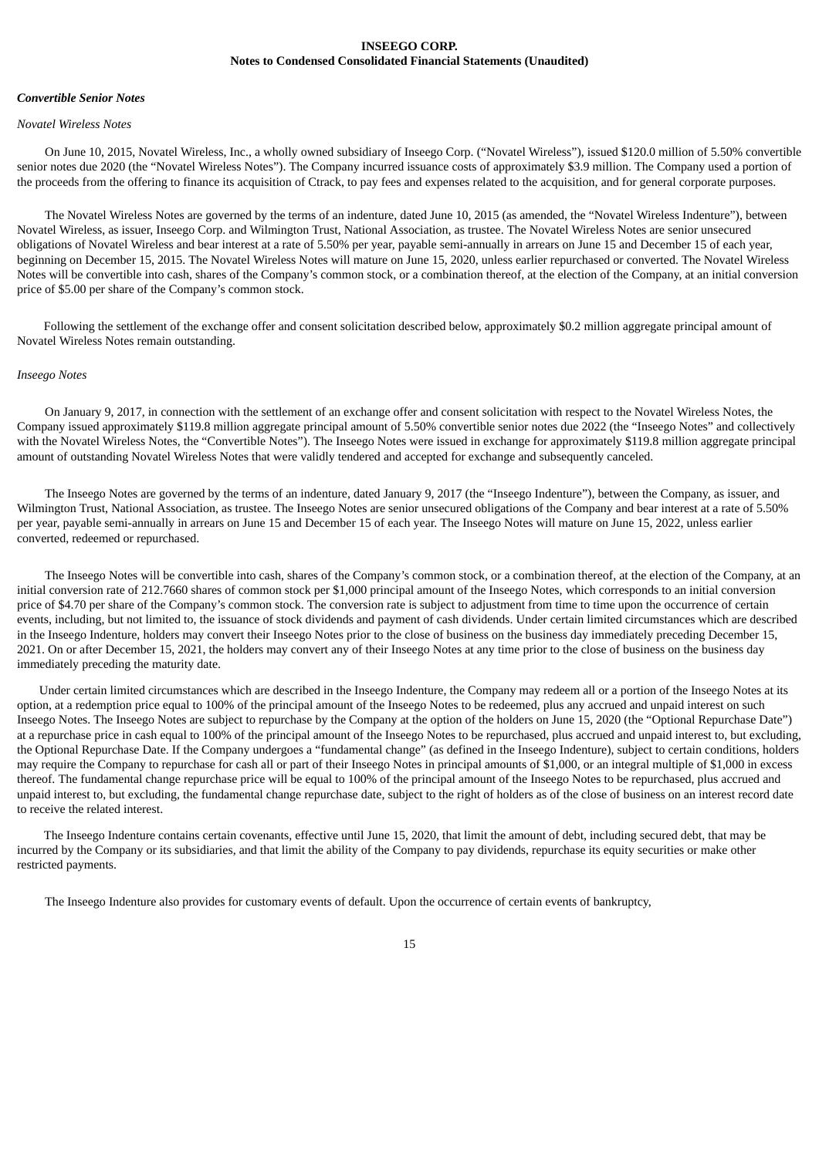## *Convertible Senior Notes*

#### *Novatel Wireless Notes*

On June 10, 2015, Novatel Wireless, Inc., a wholly owned subsidiary of Inseego Corp. ("Novatel Wireless"), issued \$120.0 million of 5.50% convertible senior notes due 2020 (the "Novatel Wireless Notes"). The Company incurred issuance costs of approximately \$3.9 million. The Company used a portion of the proceeds from the offering to finance its acquisition of Ctrack, to pay fees and expenses related to the acquisition, and for general corporate purposes.

The Novatel Wireless Notes are governed by the terms of an indenture, dated June 10, 2015 (as amended, the "Novatel Wireless Indenture"), between Novatel Wireless, as issuer, Inseego Corp. and Wilmington Trust, National Association, as trustee. The Novatel Wireless Notes are senior unsecured obligations of Novatel Wireless and bear interest at a rate of 5.50% per year, payable semi-annually in arrears on June 15 and December 15 of each year, beginning on December 15, 2015. The Novatel Wireless Notes will mature on June 15, 2020, unless earlier repurchased or converted. The Novatel Wireless Notes will be convertible into cash, shares of the Company's common stock, or a combination thereof, at the election of the Company, at an initial conversion price of \$5.00 per share of the Company's common stock.

Following the settlement of the exchange offer and consent solicitation described below, approximately \$0.2 million aggregate principal amount of Novatel Wireless Notes remain outstanding.

#### *Inseego Notes*

On January 9, 2017, in connection with the settlement of an exchange offer and consent solicitation with respect to the Novatel Wireless Notes, the Company issued approximately \$119.8 million aggregate principal amount of 5.50% convertible senior notes due 2022 (the "Inseego Notes" and collectively with the Novatel Wireless Notes, the "Convertible Notes"). The Inseego Notes were issued in exchange for approximately \$119.8 million aggregate principal amount of outstanding Novatel Wireless Notes that were validly tendered and accepted for exchange and subsequently canceled.

The Inseego Notes are governed by the terms of an indenture, dated January 9, 2017 (the "Inseego Indenture"), between the Company, as issuer, and Wilmington Trust, National Association, as trustee. The Inseego Notes are senior unsecured obligations of the Company and bear interest at a rate of 5.50% per year, payable semi-annually in arrears on June 15 and December 15 of each year. The Inseego Notes will mature on June 15, 2022, unless earlier converted, redeemed or repurchased.

The Inseego Notes will be convertible into cash, shares of the Company's common stock, or a combination thereof, at the election of the Company, at an initial conversion rate of 212.7660 shares of common stock per \$1,000 principal amount of the Inseego Notes, which corresponds to an initial conversion price of \$4.70 per share of the Company's common stock. The conversion rate is subject to adjustment from time to time upon the occurrence of certain events, including, but not limited to, the issuance of stock dividends and payment of cash dividends. Under certain limited circumstances which are described in the Inseego Indenture, holders may convert their Inseego Notes prior to the close of business on the business day immediately preceding December 15, 2021. On or after December 15, 2021, the holders may convert any of their Inseego Notes at any time prior to the close of business on the business day immediately preceding the maturity date.

Under certain limited circumstances which are described in the Inseego Indenture, the Company may redeem all or a portion of the Inseego Notes at its option, at a redemption price equal to 100% of the principal amount of the Inseego Notes to be redeemed, plus any accrued and unpaid interest on such Inseego Notes. The Inseego Notes are subject to repurchase by the Company at the option of the holders on June 15, 2020 (the "Optional Repurchase Date") at a repurchase price in cash equal to 100% of the principal amount of the Inseego Notes to be repurchased, plus accrued and unpaid interest to, but excluding, the Optional Repurchase Date. If the Company undergoes a "fundamental change" (as defined in the Inseego Indenture), subject to certain conditions, holders may require the Company to repurchase for cash all or part of their Inseego Notes in principal amounts of \$1,000, or an integral multiple of \$1,000 in excess thereof. The fundamental change repurchase price will be equal to 100% of the principal amount of the Inseego Notes to be repurchased, plus accrued and unpaid interest to, but excluding, the fundamental change repurchase date, subject to the right of holders as of the close of business on an interest record date to receive the related interest.

The Inseego Indenture contains certain covenants, effective until June 15, 2020, that limit the amount of debt, including secured debt, that may be incurred by the Company or its subsidiaries, and that limit the ability of the Company to pay dividends, repurchase its equity securities or make other restricted payments.

The Inseego Indenture also provides for customary events of default. Upon the occurrence of certain events of bankruptcy,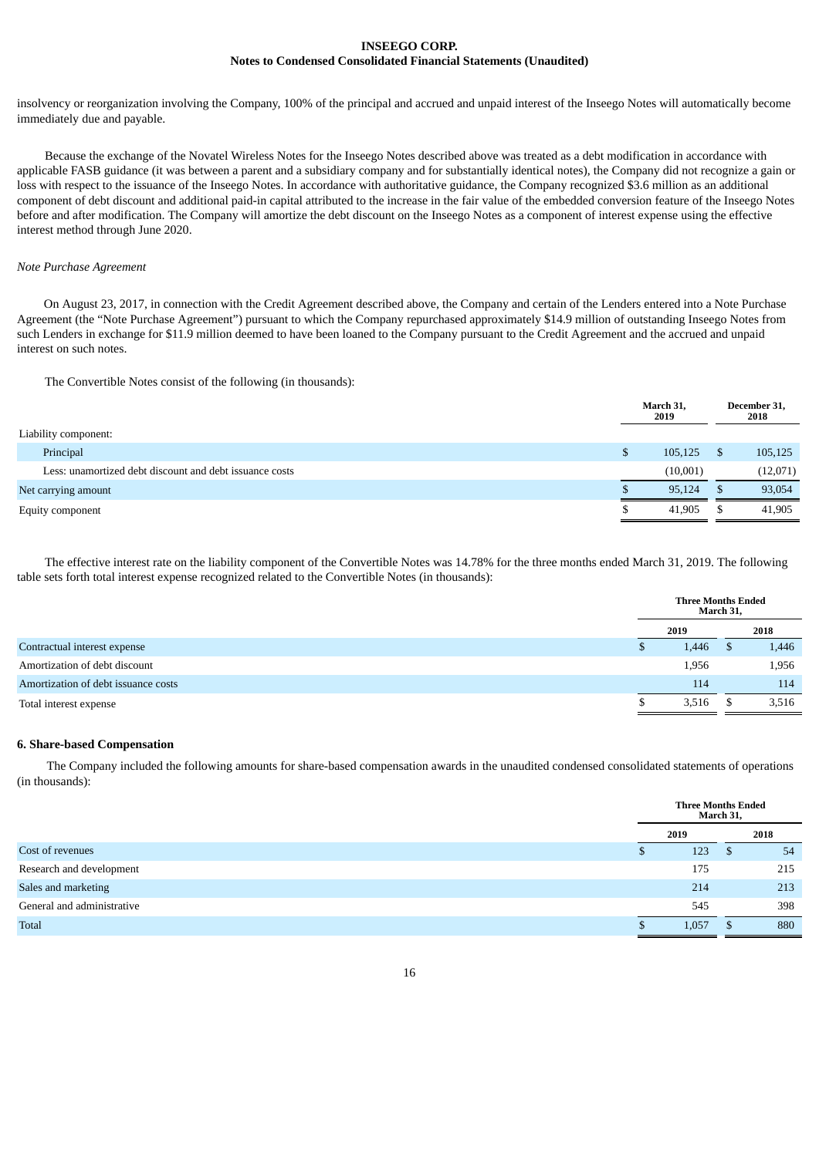insolvency or reorganization involving the Company, 100% of the principal and accrued and unpaid interest of the Inseego Notes will automatically become immediately due and payable.

Because the exchange of the Novatel Wireless Notes for the Inseego Notes described above was treated as a debt modification in accordance with applicable FASB guidance (it was between a parent and a subsidiary company and for substantially identical notes), the Company did not recognize a gain or loss with respect to the issuance of the Inseego Notes. In accordance with authoritative guidance, the Company recognized \$3.6 million as an additional component of debt discount and additional paid-in capital attributed to the increase in the fair value of the embedded conversion feature of the Inseego Notes before and after modification. The Company will amortize the debt discount on the Inseego Notes as a component of interest expense using the effective interest method through June 2020.

## *Note Purchase Agreement*

On August 23, 2017, in connection with the Credit Agreement described above, the Company and certain of the Lenders entered into a Note Purchase Agreement (the "Note Purchase Agreement") pursuant to which the Company repurchased approximately \$14.9 million of outstanding Inseego Notes from such Lenders in exchange for \$11.9 million deemed to have been loaned to the Company pursuant to the Credit Agreement and the accrued and unpaid interest on such notes.

The Convertible Notes consist of the following (in thousands):

|                                                         |   | March 31.<br>2019 | December 31,<br>2018 |          |  |
|---------------------------------------------------------|---|-------------------|----------------------|----------|--|
| Liability component:                                    |   |                   |                      |          |  |
| Principal                                               | S | 105,125           |                      | 105,125  |  |
| Less: unamortized debt discount and debt issuance costs |   | (10,001)          |                      | (12,071) |  |
| Net carrying amount                                     |   | 95,124            | S                    | 93,054   |  |
| Equity component                                        |   | 41,905            | S                    | 41,905   |  |
|                                                         |   |                   |                      |          |  |

The effective interest rate on the liability component of the Convertible Notes was 14.78% for the three months ended March 31, 2019. The following table sets forth total interest expense recognized related to the Convertible Notes (in thousands):

|                                     |       | March 31, | <b>Three Months Ended</b> |  |  |
|-------------------------------------|-------|-----------|---------------------------|--|--|
|                                     | 2019  |           | 2018                      |  |  |
| Contractual interest expense        | 1,446 | \$.       | 1,446                     |  |  |
| Amortization of debt discount       | 1,956 |           | 1,956                     |  |  |
| Amortization of debt issuance costs | 114   |           | 114                       |  |  |
| Total interest expense              | 3,516 |           | 3,516                     |  |  |

## **6. Share-based Compensation**

The Company included the following amounts for share-based compensation awards in the unaudited condensed consolidated statements of operations (in thousands):

|                            | <b>Three Months Ended</b> | March 31, |      |
|----------------------------|---------------------------|-----------|------|
|                            | 2019                      |           | 2018 |
| Cost of revenues           | 123                       | ৾৾ঌ       | 54   |
| Research and development   | 175                       |           | 215  |
| Sales and marketing        | 214                       |           | 213  |
| General and administrative | 545                       |           | 398  |
| <b>Total</b>               | 1,057                     | D         | 880  |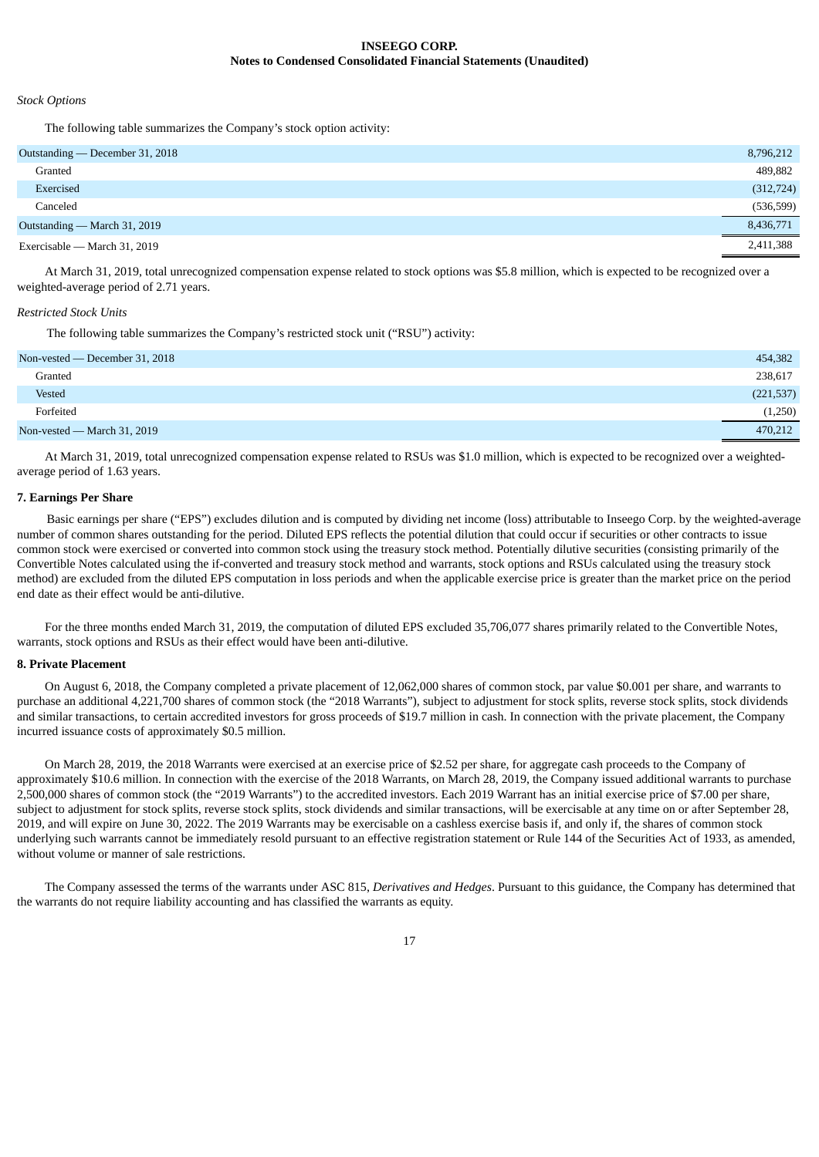## *Stock Options*

The following table summarizes the Company's stock option activity:

| Outstanding — December 31, 2018 | 8,796,212  |
|---------------------------------|------------|
| Granted                         | 489,882    |
| Exercised                       | (312, 724) |
| Canceled                        | (536,599)  |
| Outstanding — March 31, 2019    | 8,436,771  |
| Exercisable — March 31, 2019    | 2,411,388  |
|                                 |            |

At March 31, 2019, total unrecognized compensation expense related to stock options was \$5.8 million, which is expected to be recognized over a weighted-average period of 2.71 years.

## *Restricted Stock Units*

The following table summarizes the Company's restricted stock unit ("RSU") activity:

| Non-vested — December 31, 2018 | 454,382    |
|--------------------------------|------------|
| Granted                        | 238,617    |
| Vested                         | (221, 537) |
| Forfeited                      | (1,250)    |
| Non-vested — March 31, 2019    | 470,212    |

At March 31, 2019, total unrecognized compensation expense related to RSUs was \$1.0 million, which is expected to be recognized over a weightedaverage period of 1.63 years.

#### **7. Earnings Per Share**

Basic earnings per share ("EPS") excludes dilution and is computed by dividing net income (loss) attributable to Inseego Corp. by the weighted-average number of common shares outstanding for the period. Diluted EPS reflects the potential dilution that could occur if securities or other contracts to issue common stock were exercised or converted into common stock using the treasury stock method. Potentially dilutive securities (consisting primarily of the Convertible Notes calculated using the if-converted and treasury stock method and warrants, stock options and RSUs calculated using the treasury stock method) are excluded from the diluted EPS computation in loss periods and when the applicable exercise price is greater than the market price on the period end date as their effect would be anti-dilutive.

For the three months ended March 31, 2019, the computation of diluted EPS excluded 35,706,077 shares primarily related to the Convertible Notes, warrants, stock options and RSUs as their effect would have been anti-dilutive.

## **8. Private Placement**

On August 6, 2018, the Company completed a private placement of 12,062,000 shares of common stock, par value \$0.001 per share, and warrants to purchase an additional 4,221,700 shares of common stock (the "2018 Warrants"), subject to adjustment for stock splits, reverse stock splits, stock dividends and similar transactions, to certain accredited investors for gross proceeds of \$19.7 million in cash. In connection with the private placement, the Company incurred issuance costs of approximately \$0.5 million.

On March 28, 2019, the 2018 Warrants were exercised at an exercise price of \$2.52 per share, for aggregate cash proceeds to the Company of approximately \$10.6 million. In connection with the exercise of the 2018 Warrants, on March 28, 2019, the Company issued additional warrants to purchase 2,500,000 shares of common stock (the "2019 Warrants") to the accredited investors. Each 2019 Warrant has an initial exercise price of \$7.00 per share, subject to adjustment for stock splits, reverse stock splits, stock dividends and similar transactions, will be exercisable at any time on or after September 28, 2019, and will expire on June 30, 2022. The 2019 Warrants may be exercisable on a cashless exercise basis if, and only if, the shares of common stock underlying such warrants cannot be immediately resold pursuant to an effective registration statement or Rule 144 of the Securities Act of 1933, as amended, without volume or manner of sale restrictions.

The Company assessed the terms of the warrants under ASC 815, *Derivatives and Hedges*. Pursuant to this guidance, the Company has determined that the warrants do not require liability accounting and has classified the warrants as equity.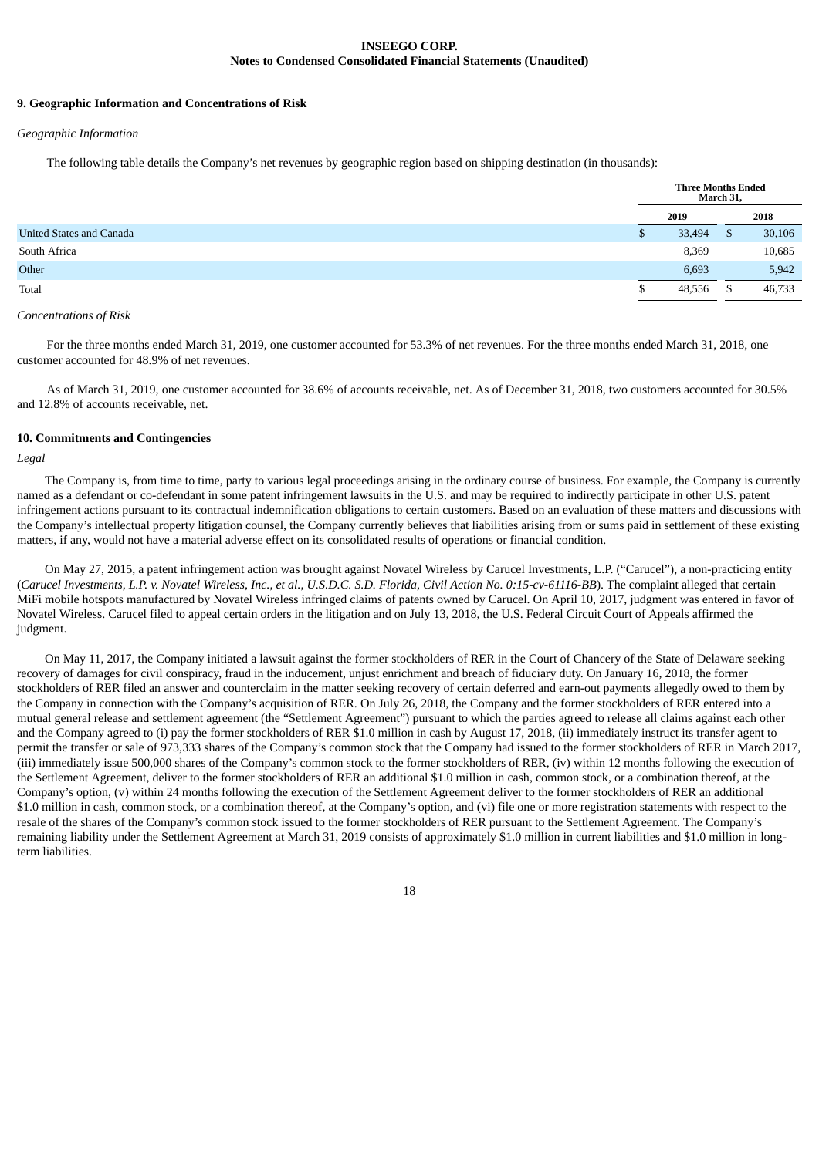## **9. Geographic Information and Concentrations of Risk**

## *Geographic Information*

The following table details the Company's net revenues by geographic region based on shipping destination (in thousands):

|                                 |   | <b>Three Months Ended</b><br>March 31, |    |        |
|---------------------------------|---|----------------------------------------|----|--------|
|                                 |   | 2019                                   |    | 2018   |
| <b>United States and Canada</b> | D | 33,494                                 | \$ | 30,106 |
| South Africa                    |   | 8,369                                  |    | 10,685 |
| Other                           |   | 6,693                                  |    | 5,942  |
| Total                           |   | 48,556                                 | ل  | 46,733 |

#### *Concentrations of Risk*

For the three months ended March 31, 2019, one customer accounted for 53.3% of net revenues. For the three months ended March 31, 2018, one customer accounted for 48.9% of net revenues.

As of March 31, 2019, one customer accounted for 38.6% of accounts receivable, net. As of December 31, 2018, two customers accounted for 30.5% and 12.8% of accounts receivable, net.

#### **10. Commitments and Contingencies**

## *Legal*

The Company is, from time to time, party to various legal proceedings arising in the ordinary course of business. For example, the Company is currently named as a defendant or co-defendant in some patent infringement lawsuits in the U.S. and may be required to indirectly participate in other U.S. patent infringement actions pursuant to its contractual indemnification obligations to certain customers. Based on an evaluation of these matters and discussions with the Company's intellectual property litigation counsel, the Company currently believes that liabilities arising from or sums paid in settlement of these existing matters, if any, would not have a material adverse effect on its consolidated results of operations or financial condition.

On May 27, 2015, a patent infringement action was brought against Novatel Wireless by Carucel Investments, L.P. ("Carucel"), a non-practicing entity (Carucel Investments, L.P. v. Novatel Wireless, Inc., et al., U.S.D.C. S.D. Florida, Civil Action No. 0:15-cv-61116-BB). The complaint alleged that certain MiFi mobile hotspots manufactured by Novatel Wireless infringed claims of patents owned by Carucel. On April 10, 2017, judgment was entered in favor of Novatel Wireless. Carucel filed to appeal certain orders in the litigation and on July 13, 2018, the U.S. Federal Circuit Court of Appeals affirmed the judgment.

On May 11, 2017, the Company initiated a lawsuit against the former stockholders of RER in the Court of Chancery of the State of Delaware seeking recovery of damages for civil conspiracy, fraud in the inducement, unjust enrichment and breach of fiduciary duty. On January 16, 2018, the former stockholders of RER filed an answer and counterclaim in the matter seeking recovery of certain deferred and earn-out payments allegedly owed to them by the Company in connection with the Company's acquisition of RER. On July 26, 2018, the Company and the former stockholders of RER entered into a mutual general release and settlement agreement (the "Settlement Agreement") pursuant to which the parties agreed to release all claims against each other and the Company agreed to (i) pay the former stockholders of RER \$1.0 million in cash by August 17, 2018, (ii) immediately instruct its transfer agent to permit the transfer or sale of 973,333 shares of the Company's common stock that the Company had issued to the former stockholders of RER in March 2017, (iii) immediately issue 500,000 shares of the Company's common stock to the former stockholders of RER, (iv) within 12 months following the execution of the Settlement Agreement, deliver to the former stockholders of RER an additional \$1.0 million in cash, common stock, or a combination thereof, at the Company's option, (v) within 24 months following the execution of the Settlement Agreement deliver to the former stockholders of RER an additional \$1.0 million in cash, common stock, or a combination thereof, at the Company's option, and (vi) file one or more registration statements with respect to the resale of the shares of the Company's common stock issued to the former stockholders of RER pursuant to the Settlement Agreement. The Company's remaining liability under the Settlement Agreement at March 31, 2019 consists of approximately \$1.0 million in current liabilities and \$1.0 million in longterm liabilities.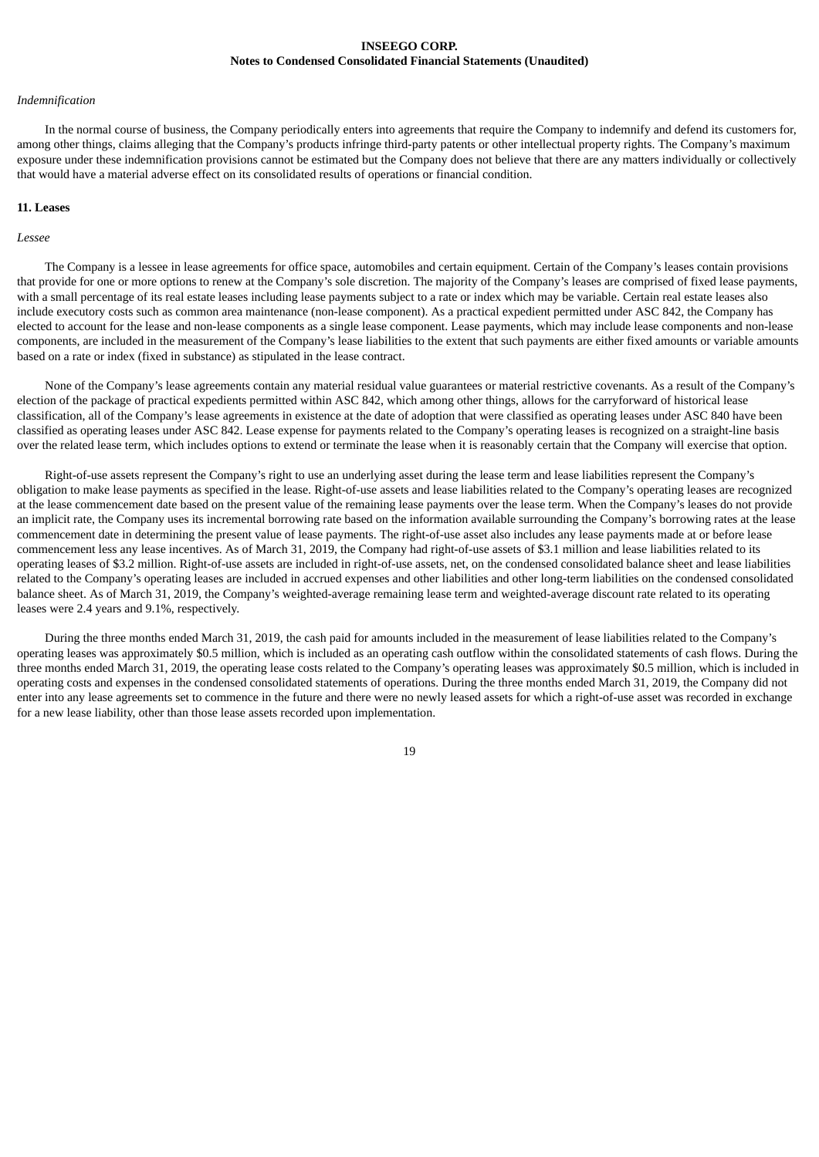## *Indemnification*

In the normal course of business, the Company periodically enters into agreements that require the Company to indemnify and defend its customers for, among other things, claims alleging that the Company's products infringe third-party patents or other intellectual property rights. The Company's maximum exposure under these indemnification provisions cannot be estimated but the Company does not believe that there are any matters individually or collectively that would have a material adverse effect on its consolidated results of operations or financial condition.

#### **11. Leases**

#### *Lessee*

The Company is a lessee in lease agreements for office space, automobiles and certain equipment. Certain of the Company's leases contain provisions that provide for one or more options to renew at the Company's sole discretion. The majority of the Company's leases are comprised of fixed lease payments, with a small percentage of its real estate leases including lease payments subject to a rate or index which may be variable. Certain real estate leases also include executory costs such as common area maintenance (non-lease component). As a practical expedient permitted under ASC 842, the Company has elected to account for the lease and non-lease components as a single lease component. Lease payments, which may include lease components and non-lease components, are included in the measurement of the Company's lease liabilities to the extent that such payments are either fixed amounts or variable amounts based on a rate or index (fixed in substance) as stipulated in the lease contract.

None of the Company's lease agreements contain any material residual value guarantees or material restrictive covenants. As a result of the Company's election of the package of practical expedients permitted within ASC 842, which among other things, allows for the carryforward of historical lease classification, all of the Company's lease agreements in existence at the date of adoption that were classified as operating leases under ASC 840 have been classified as operating leases under ASC 842. Lease expense for payments related to the Company's operating leases is recognized on a straight-line basis over the related lease term, which includes options to extend or terminate the lease when it is reasonably certain that the Company will exercise that option.

Right-of-use assets represent the Company's right to use an underlying asset during the lease term and lease liabilities represent the Company's obligation to make lease payments as specified in the lease. Right-of-use assets and lease liabilities related to the Company's operating leases are recognized at the lease commencement date based on the present value of the remaining lease payments over the lease term. When the Company's leases do not provide an implicit rate, the Company uses its incremental borrowing rate based on the information available surrounding the Company's borrowing rates at the lease commencement date in determining the present value of lease payments. The right-of-use asset also includes any lease payments made at or before lease commencement less any lease incentives. As of March 31, 2019, the Company had right-of-use assets of \$3.1 million and lease liabilities related to its operating leases of \$3.2 million. Right-of-use assets are included in right-of-use assets, net, on the condensed consolidated balance sheet and lease liabilities related to the Company's operating leases are included in accrued expenses and other liabilities and other long-term liabilities on the condensed consolidated balance sheet. As of March 31, 2019, the Company's weighted-average remaining lease term and weighted-average discount rate related to its operating leases were 2.4 years and 9.1%, respectively.

During the three months ended March 31, 2019, the cash paid for amounts included in the measurement of lease liabilities related to the Company's operating leases was approximately \$0.5 million, which is included as an operating cash outflow within the consolidated statements of cash flows. During the three months ended March 31, 2019, the operating lease costs related to the Company's operating leases was approximately \$0.5 million, which is included in operating costs and expenses in the condensed consolidated statements of operations. During the three months ended March 31, 2019, the Company did not enter into any lease agreements set to commence in the future and there were no newly leased assets for which a right-of-use asset was recorded in exchange for a new lease liability, other than those lease assets recorded upon implementation.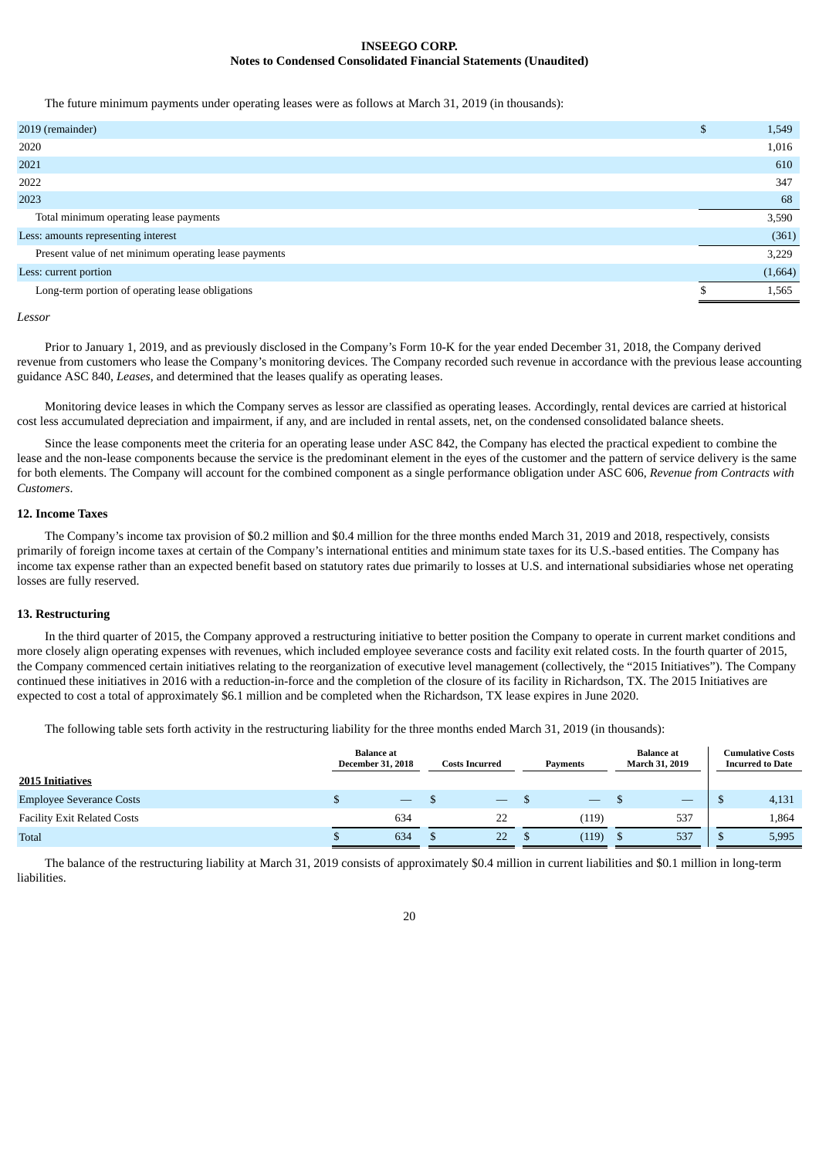The future minimum payments under operating leases were as follows at March 31, 2019 (in thousands):

| \$<br>1,549 |
|-------------|
| 1,016       |
| 610         |
| 347         |
| 68          |
| 3,590       |
| (361)       |
| 3,229       |
| (1,664)     |
| 1,565       |
|             |

#### *Lessor*

Prior to January 1, 2019, and as previously disclosed in the Company's Form 10-K for the year ended December 31, 2018, the Company derived revenue from customers who lease the Company's monitoring devices. The Company recorded such revenue in accordance with the previous lease accounting guidance ASC 840, *Leases*, and determined that the leases qualify as operating leases.

Monitoring device leases in which the Company serves as lessor are classified as operating leases. Accordingly, rental devices are carried at historical cost less accumulated depreciation and impairment, if any, and are included in rental assets, net, on the condensed consolidated balance sheets.

Since the lease components meet the criteria for an operating lease under ASC 842, the Company has elected the practical expedient to combine the lease and the non-lease components because the service is the predominant element in the eyes of the customer and the pattern of service delivery is the same for both elements. The Company will account for the combined component as a single performance obligation under ASC 606, *Revenue from Contracts with Customers*.

## **12. Income Taxes**

The Company's income tax provision of \$0.2 million and \$0.4 million for the three months ended March 31, 2019 and 2018, respectively, consists primarily of foreign income taxes at certain of the Company's international entities and minimum state taxes for its U.S.-based entities. The Company has income tax expense rather than an expected benefit based on statutory rates due primarily to losses at U.S. and international subsidiaries whose net operating losses are fully reserved.

## **13. Restructuring**

In the third quarter of 2015, the Company approved a restructuring initiative to better position the Company to operate in current market conditions and more closely align operating expenses with revenues, which included employee severance costs and facility exit related costs. In the fourth quarter of 2015, the Company commenced certain initiatives relating to the reorganization of executive level management (collectively, the "2015 Initiatives"). The Company continued these initiatives in 2016 with a reduction-in-force and the completion of the closure of its facility in Richardson, TX. The 2015 Initiatives are expected to cost a total of approximately \$6.1 million and be completed when the Richardson, TX lease expires in June 2020.

The following table sets forth activity in the restructuring liability for the three months ended March 31, 2019 (in thousands):

|                                    | <b>Balance</b> at<br><b>December 31, 2018</b> |                               | <b>Costs Incurred</b>    | <b>Payments</b> |                                 | <b>Balance</b> at<br>March 31, 2019 |     | <b>Cumulative Costs</b><br><b>Incurred to Date</b> |
|------------------------------------|-----------------------------------------------|-------------------------------|--------------------------|-----------------|---------------------------------|-------------------------------------|-----|----------------------------------------------------|
| 2015 Initiatives                   |                                               |                               |                          |                 |                                 |                                     |     |                                                    |
| <b>Employee Severance Costs</b>    | w                                             | $\overbrace{\phantom{13333}}$ | $\overline{\phantom{0}}$ |                 | $\hspace{0.1mm}-\hspace{0.1mm}$ |                                     |     | 4,131                                              |
| <b>Facility Exit Related Costs</b> |                                               | 634                           | 22                       |                 | (119)                           |                                     | 537 | 1,864                                              |
| <b>Total</b>                       | Œ                                             | 634                           | 22                       |                 | (119)                           |                                     | 537 | 5,995                                              |

The balance of the restructuring liability at March 31, 2019 consists of approximately \$0.4 million in current liabilities and \$0.1 million in long-term liabilities.

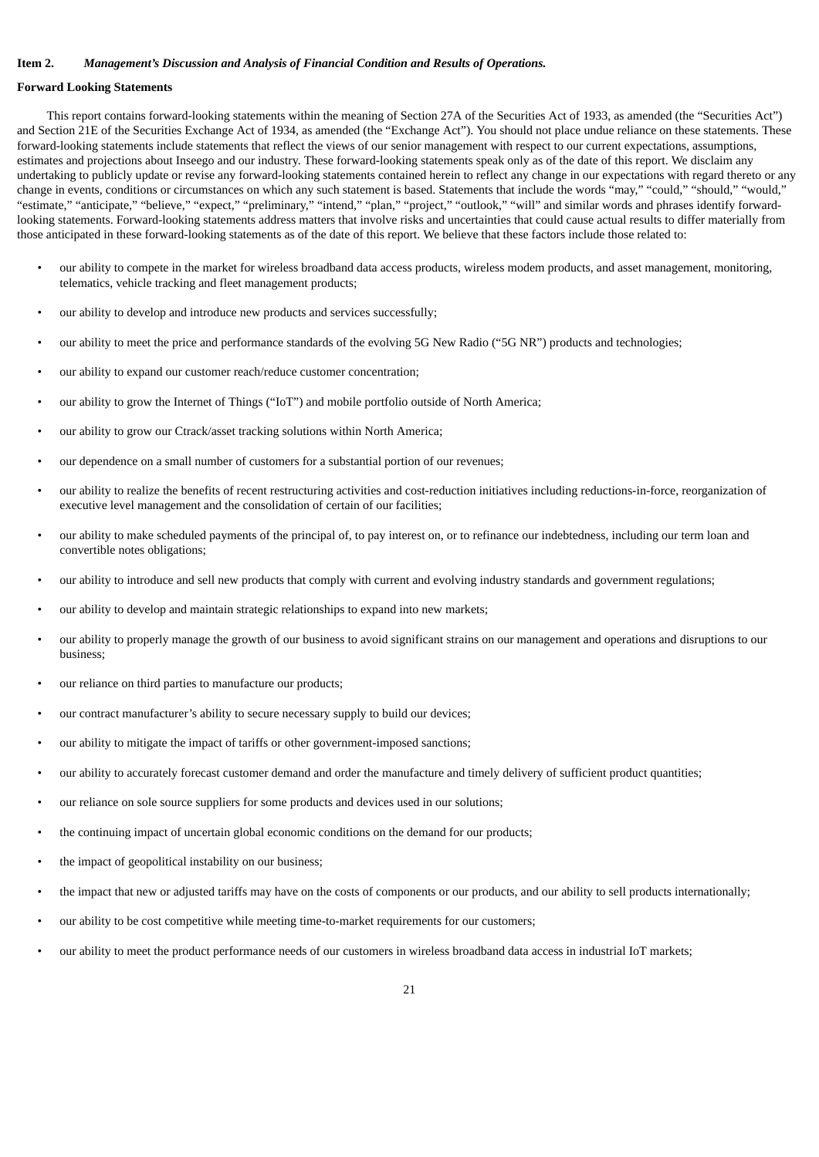## <span id="page-20-0"></span>**Item 2.** *Management's Discussion and Analysis of Financial Condition and Results of Operations.*

## **Forward Looking Statements**

This report contains forward-looking statements within the meaning of Section 27A of the Securities Act of 1933, as amended (the "Securities Act") and Section 21E of the Securities Exchange Act of 1934, as amended (the "Exchange Act"). You should not place undue reliance on these statements. These forward-looking statements include statements that reflect the views of our senior management with respect to our current expectations, assumptions, estimates and projections about Inseego and our industry. These forward-looking statements speak only as of the date of this report. We disclaim any undertaking to publicly update or revise any forward-looking statements contained herein to reflect any change in our expectations with regard thereto or any change in events, conditions or circumstances on which any such statement is based. Statements that include the words "may," "could," "should," "would," "estimate," "anticipate," "believe," "expect," "preliminary," "intend," "plan," "project," "outlook," "will" and similar words and phrases identify forwardlooking statements. Forward-looking statements address matters that involve risks and uncertainties that could cause actual results to differ materially from those anticipated in these forward-looking statements as of the date of this report. We believe that these factors include those related to:

- our ability to compete in the market for wireless broadband data access products, wireless modem products, and asset management, monitoring, telematics, vehicle tracking and fleet management products;
- our ability to develop and introduce new products and services successfully;
- our ability to meet the price and performance standards of the evolving 5G New Radio ("5G NR") products and technologies;
- our ability to expand our customer reach/reduce customer concentration;
- our ability to grow the Internet of Things ("IoT") and mobile portfolio outside of North America;
- our ability to grow our Ctrack/asset tracking solutions within North America;
- our dependence on a small number of customers for a substantial portion of our revenues;
- our ability to realize the benefits of recent restructuring activities and cost-reduction initiatives including reductions-in-force, reorganization of executive level management and the consolidation of certain of our facilities;
- our ability to make scheduled payments of the principal of, to pay interest on, or to refinance our indebtedness, including our term loan and convertible notes obligations;
- our ability to introduce and sell new products that comply with current and evolving industry standards and government regulations;
- our ability to develop and maintain strategic relationships to expand into new markets;
- our ability to properly manage the growth of our business to avoid significant strains on our management and operations and disruptions to our business;
- our reliance on third parties to manufacture our products;
- our contract manufacturer's ability to secure necessary supply to build our devices;
- our ability to mitigate the impact of tariffs or other government-imposed sanctions;
- our ability to accurately forecast customer demand and order the manufacture and timely delivery of sufficient product quantities;
- our reliance on sole source suppliers for some products and devices used in our solutions;
- the continuing impact of uncertain global economic conditions on the demand for our products;
- the impact of geopolitical instability on our business;
- the impact that new or adjusted tariffs may have on the costs of components or our products, and our ability to sell products internationally;
- our ability to be cost competitive while meeting time-to-market requirements for our customers;
- our ability to meet the product performance needs of our customers in wireless broadband data access in industrial IoT markets;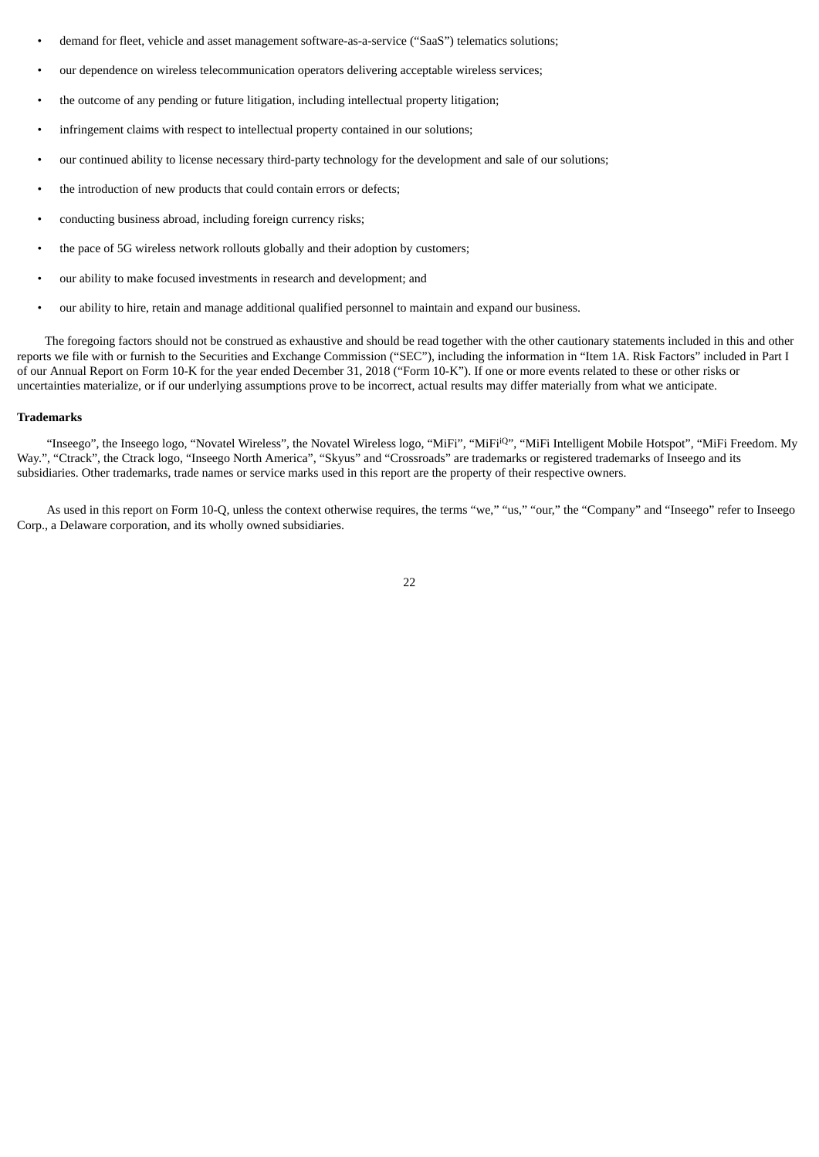- demand for fleet, vehicle and asset management software-as-a-service ("SaaS") telematics solutions;
- our dependence on wireless telecommunication operators delivering acceptable wireless services;
- the outcome of any pending or future litigation, including intellectual property litigation;
- infringement claims with respect to intellectual property contained in our solutions;
- our continued ability to license necessary third-party technology for the development and sale of our solutions;
- the introduction of new products that could contain errors or defects;
- conducting business abroad, including foreign currency risks;
- the pace of 5G wireless network rollouts globally and their adoption by customers;
- our ability to make focused investments in research and development; and
- our ability to hire, retain and manage additional qualified personnel to maintain and expand our business.

The foregoing factors should not be construed as exhaustive and should be read together with the other cautionary statements included in this and other reports we file with or furnish to the Securities and Exchange Commission ("SEC"), including the information in "Item 1A. Risk Factors" included in Part I of our Annual Report on Form 10-K for the year ended December 31, 2018 ("Form 10-K"). If one or more events related to these or other risks or uncertainties materialize, or if our underlying assumptions prove to be incorrect, actual results may differ materially from what we anticipate.

## **Trademarks**

"Inseego", the Inseego logo, "Novatel Wireless", the Novatel Wireless logo, "MiFi", "MiFi<sup>Q</sup>", "MiFi Intelligent Mobile Hotspot", "MiFi Freedom. My Way.", "Ctrack", the Ctrack logo, "Inseego North America", "Skyus" and "Crossroads" are trademarks or registered trademarks of Inseego and its subsidiaries. Other trademarks, trade names or service marks used in this report are the property of their respective owners.

As used in this report on Form 10-Q, unless the context otherwise requires, the terms "we," "us," "our," the "Company" and "Inseego" refer to Inseego Corp., a Delaware corporation, and its wholly owned subsidiaries.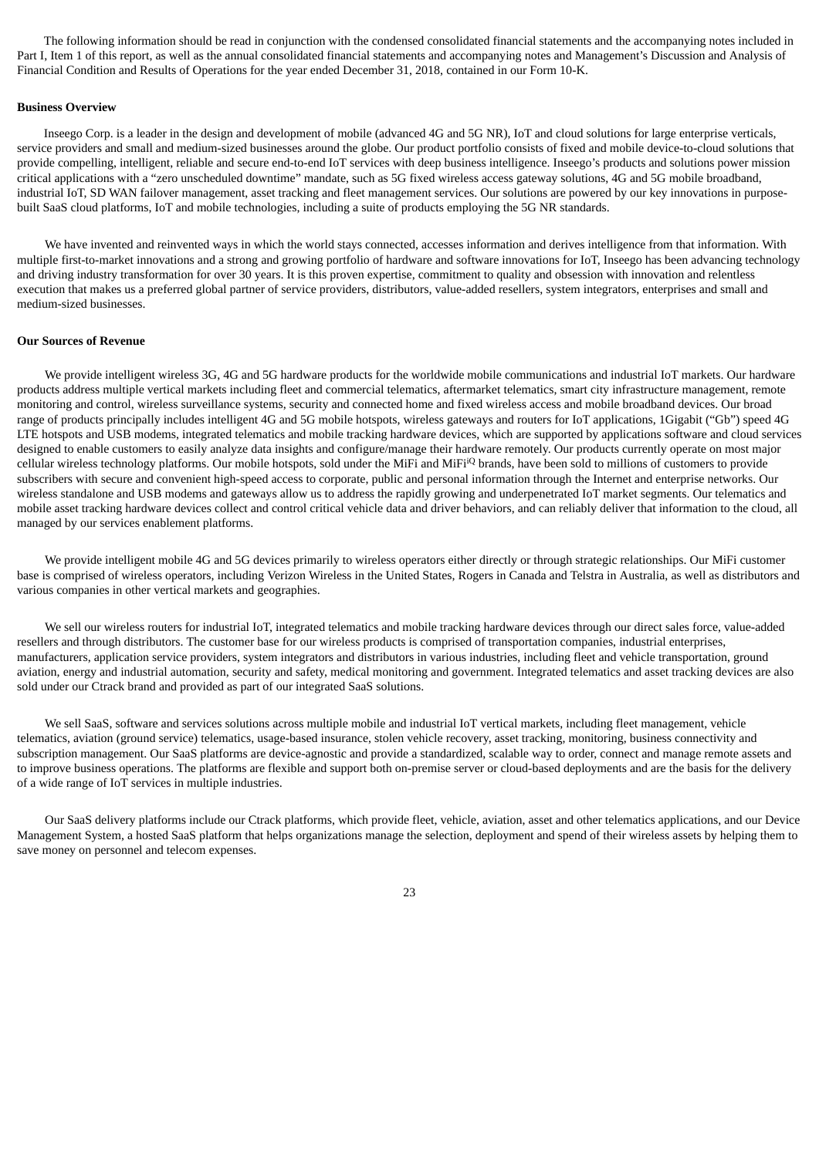The following information should be read in conjunction with the condensed consolidated financial statements and the accompanying notes included in Part I, Item 1 of this report, as well as the annual consolidated financial statements and accompanying notes and Management's Discussion and Analysis of Financial Condition and Results of Operations for the year ended December 31, 2018, contained in our Form 10-K.

#### **Business Overview**

Inseego Corp. is a leader in the design and development of mobile (advanced 4G and 5G NR), IoT and cloud solutions for large enterprise verticals, service providers and small and medium-sized businesses around the globe. Our product portfolio consists of fixed and mobile device-to-cloud solutions that provide compelling, intelligent, reliable and secure end-to-end IoT services with deep business intelligence. Inseego's products and solutions power mission critical applications with a "zero unscheduled downtime" mandate, such as 5G fixed wireless access gateway solutions, 4G and 5G mobile broadband, industrial IoT, SD WAN failover management, asset tracking and fleet management services. Our solutions are powered by our key innovations in purposebuilt SaaS cloud platforms, IoT and mobile technologies, including a suite of products employing the 5G NR standards.

We have invented and reinvented ways in which the world stays connected, accesses information and derives intelligence from that information. With multiple first-to-market innovations and a strong and growing portfolio of hardware and software innovations for IoT, Inseego has been advancing technology and driving industry transformation for over 30 years. It is this proven expertise, commitment to quality and obsession with innovation and relentless execution that makes us a preferred global partner of service providers, distributors, value-added resellers, system integrators, enterprises and small and medium-sized businesses.

## **Our Sources of Revenue**

We provide intelligent wireless 3G, 4G and 5G hardware products for the worldwide mobile communications and industrial IoT markets. Our hardware products address multiple vertical markets including fleet and commercial telematics, aftermarket telematics, smart city infrastructure management, remote monitoring and control, wireless surveillance systems, security and connected home and fixed wireless access and mobile broadband devices. Our broad range of products principally includes intelligent 4G and 5G mobile hotspots, wireless gateways and routers for IoT applications, 1Gigabit ("Gb") speed 4G LTE hotspots and USB modems, integrated telematics and mobile tracking hardware devices, which are supported by applications software and cloud services designed to enable customers to easily analyze data insights and configure/manage their hardware remotely. Our products currently operate on most major cellular wireless technology platforms. Our mobile hotspots, sold under the MiFi and MiFi<sup>iQ</sup> brands, have been sold to millions of customers to provide subscribers with secure and convenient high-speed access to corporate, public and personal information through the Internet and enterprise networks. Our wireless standalone and USB modems and gateways allow us to address the rapidly growing and underpenetrated IoT market segments. Our telematics and mobile asset tracking hardware devices collect and control critical vehicle data and driver behaviors, and can reliably deliver that information to the cloud, all managed by our services enablement platforms.

We provide intelligent mobile 4G and 5G devices primarily to wireless operators either directly or through strategic relationships. Our MiFi customer base is comprised of wireless operators, including Verizon Wireless in the United States, Rogers in Canada and Telstra in Australia, as well as distributors and various companies in other vertical markets and geographies.

We sell our wireless routers for industrial IoT, integrated telematics and mobile tracking hardware devices through our direct sales force, value-added resellers and through distributors. The customer base for our wireless products is comprised of transportation companies, industrial enterprises, manufacturers, application service providers, system integrators and distributors in various industries, including fleet and vehicle transportation, ground aviation, energy and industrial automation, security and safety, medical monitoring and government. Integrated telematics and asset tracking devices are also sold under our Ctrack brand and provided as part of our integrated SaaS solutions.

We sell SaaS, software and services solutions across multiple mobile and industrial IoT vertical markets, including fleet management, vehicle telematics, aviation (ground service) telematics, usage-based insurance, stolen vehicle recovery, asset tracking, monitoring, business connectivity and subscription management. Our SaaS platforms are device-agnostic and provide a standardized, scalable way to order, connect and manage remote assets and to improve business operations. The platforms are flexible and support both on-premise server or cloud-based deployments and are the basis for the delivery of a wide range of IoT services in multiple industries.

Our SaaS delivery platforms include our Ctrack platforms, which provide fleet, vehicle, aviation, asset and other telematics applications, and our Device Management System, a hosted SaaS platform that helps organizations manage the selection, deployment and spend of their wireless assets by helping them to save money on personnel and telecom expenses.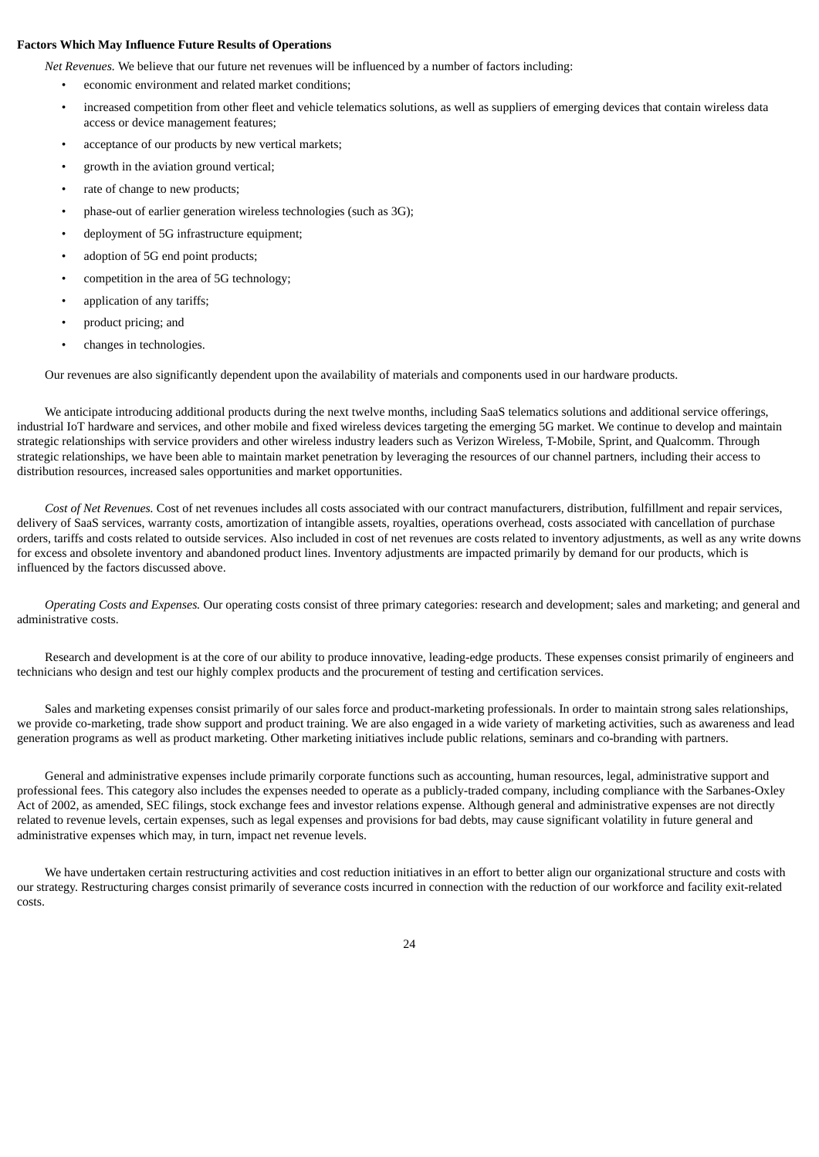#### **Factors Which May Influence Future Results of Operations**

*Net Revenues.* We believe that our future net revenues will be influenced by a number of factors including:

- economic environment and related market conditions;
- increased competition from other fleet and vehicle telematics solutions, as well as suppliers of emerging devices that contain wireless data access or device management features;
- acceptance of our products by new vertical markets;
- growth in the aviation ground vertical;
- rate of change to new products;
- phase-out of earlier generation wireless technologies (such as 3G);
- deployment of 5G infrastructure equipment;
- adoption of 5G end point products;
- competition in the area of 5G technology;
- application of any tariffs;
- product pricing; and
- changes in technologies.

Our revenues are also significantly dependent upon the availability of materials and components used in our hardware products.

We anticipate introducing additional products during the next twelve months, including SaaS telematics solutions and additional service offerings, industrial IoT hardware and services, and other mobile and fixed wireless devices targeting the emerging 5G market. We continue to develop and maintain strategic relationships with service providers and other wireless industry leaders such as Verizon Wireless, T-Mobile, Sprint, and Qualcomm. Through strategic relationships, we have been able to maintain market penetration by leveraging the resources of our channel partners, including their access to distribution resources, increased sales opportunities and market opportunities.

*Cost of Net Revenues.* Cost of net revenues includes all costs associated with our contract manufacturers, distribution, fulfillment and repair services, delivery of SaaS services, warranty costs, amortization of intangible assets, royalties, operations overhead, costs associated with cancellation of purchase orders, tariffs and costs related to outside services. Also included in cost of net revenues are costs related to inventory adjustments, as well as any write downs for excess and obsolete inventory and abandoned product lines. Inventory adjustments are impacted primarily by demand for our products, which is influenced by the factors discussed above.

*Operating Costs and Expenses.* Our operating costs consist of three primary categories: research and development; sales and marketing; and general and administrative costs.

Research and development is at the core of our ability to produce innovative, leading-edge products. These expenses consist primarily of engineers and technicians who design and test our highly complex products and the procurement of testing and certification services.

Sales and marketing expenses consist primarily of our sales force and product-marketing professionals. In order to maintain strong sales relationships, we provide co-marketing, trade show support and product training. We are also engaged in a wide variety of marketing activities, such as awareness and lead generation programs as well as product marketing. Other marketing initiatives include public relations, seminars and co-branding with partners.

General and administrative expenses include primarily corporate functions such as accounting, human resources, legal, administrative support and professional fees. This category also includes the expenses needed to operate as a publicly-traded company, including compliance with the Sarbanes-Oxley Act of 2002, as amended, SEC filings, stock exchange fees and investor relations expense. Although general and administrative expenses are not directly related to revenue levels, certain expenses, such as legal expenses and provisions for bad debts, may cause significant volatility in future general and administrative expenses which may, in turn, impact net revenue levels.

We have undertaken certain restructuring activities and cost reduction initiatives in an effort to better align our organizational structure and costs with our strategy. Restructuring charges consist primarily of severance costs incurred in connection with the reduction of our workforce and facility exit-related costs.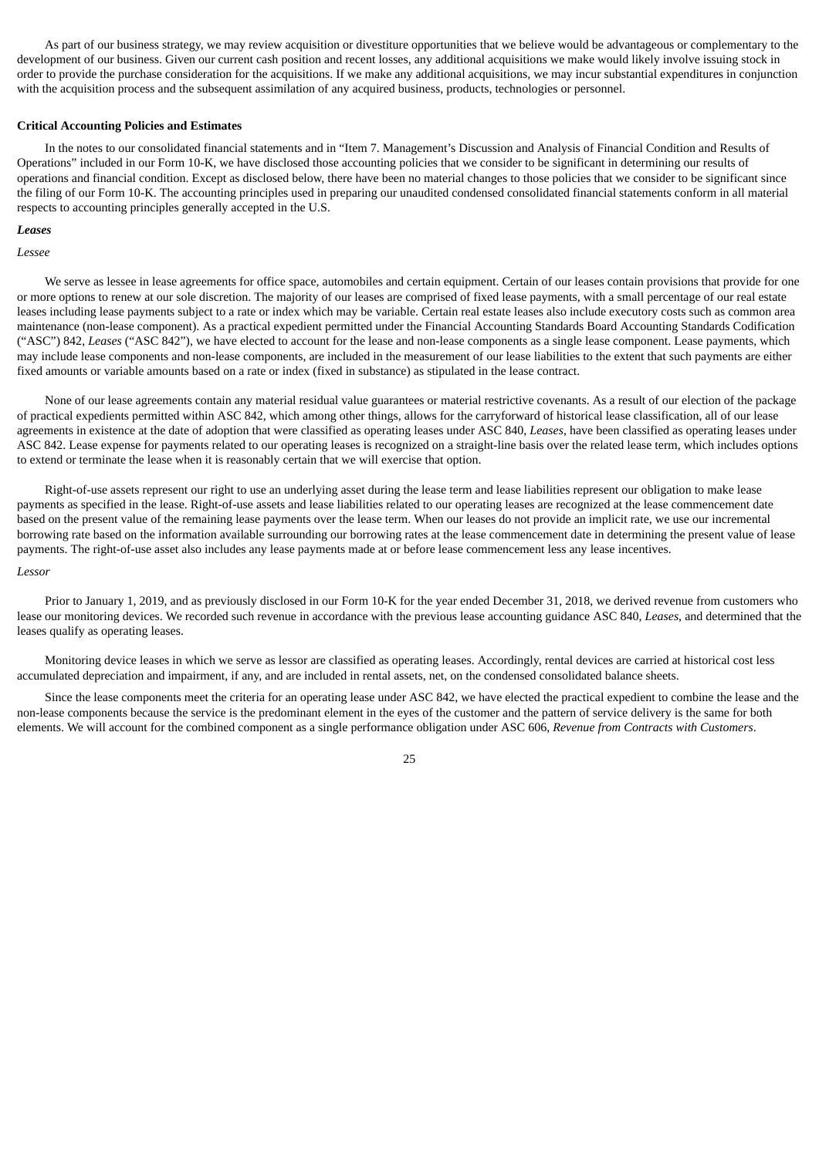As part of our business strategy, we may review acquisition or divestiture opportunities that we believe would be advantageous or complementary to the development of our business. Given our current cash position and recent losses, any additional acquisitions we make would likely involve issuing stock in order to provide the purchase consideration for the acquisitions. If we make any additional acquisitions, we may incur substantial expenditures in conjunction with the acquisition process and the subsequent assimilation of any acquired business, products, technologies or personnel.

#### **Critical Accounting Policies and Estimates**

In the notes to our consolidated financial statements and in "Item 7. Management's Discussion and Analysis of Financial Condition and Results of Operations" included in our Form 10-K, we have disclosed those accounting policies that we consider to be significant in determining our results of operations and financial condition. Except as disclosed below, there have been no material changes to those policies that we consider to be significant since the filing of our Form 10-K. The accounting principles used in preparing our unaudited condensed consolidated financial statements conform in all material respects to accounting principles generally accepted in the U.S.

#### *Leases*

#### *Lessee*

We serve as lessee in lease agreements for office space, automobiles and certain equipment. Certain of our leases contain provisions that provide for one or more options to renew at our sole discretion. The majority of our leases are comprised of fixed lease payments, with a small percentage of our real estate leases including lease payments subject to a rate or index which may be variable. Certain real estate leases also include executory costs such as common area maintenance (non-lease component). As a practical expedient permitted under the Financial Accounting Standards Board Accounting Standards Codification ("ASC") 842, *Leases* ("ASC 842"), we have elected to account for the lease and non-lease components as a single lease component. Lease payments, which may include lease components and non-lease components, are included in the measurement of our lease liabilities to the extent that such payments are either fixed amounts or variable amounts based on a rate or index (fixed in substance) as stipulated in the lease contract.

None of our lease agreements contain any material residual value guarantees or material restrictive covenants. As a result of our election of the package of practical expedients permitted within ASC 842, which among other things, allows for the carryforward of historical lease classification, all of our lease agreements in existence at the date of adoption that were classified as operating leases under ASC 840, *Leases*, have been classified as operating leases under ASC 842. Lease expense for payments related to our operating leases is recognized on a straight-line basis over the related lease term, which includes options to extend or terminate the lease when it is reasonably certain that we will exercise that option.

Right-of-use assets represent our right to use an underlying asset during the lease term and lease liabilities represent our obligation to make lease payments as specified in the lease. Right-of-use assets and lease liabilities related to our operating leases are recognized at the lease commencement date based on the present value of the remaining lease payments over the lease term. When our leases do not provide an implicit rate, we use our incremental borrowing rate based on the information available surrounding our borrowing rates at the lease commencement date in determining the present value of lease payments. The right-of-use asset also includes any lease payments made at or before lease commencement less any lease incentives. *Lessor*

Prior to January 1, 2019, and as previously disclosed in our Form 10-K for the year ended December 31, 2018, we derived revenue from customers who lease our monitoring devices. We recorded such revenue in accordance with the previous lease accounting guidance ASC 840, *Leases*, and determined that the leases qualify as operating leases.

Monitoring device leases in which we serve as lessor are classified as operating leases. Accordingly, rental devices are carried at historical cost less accumulated depreciation and impairment, if any, and are included in rental assets, net, on the condensed consolidated balance sheets.

Since the lease components meet the criteria for an operating lease under ASC 842, we have elected the practical expedient to combine the lease and the non-lease components because the service is the predominant element in the eyes of the customer and the pattern of service delivery is the same for both elements. We will account for the combined component as a single performance obligation under ASC 606, *Revenue from Contracts with Customers*.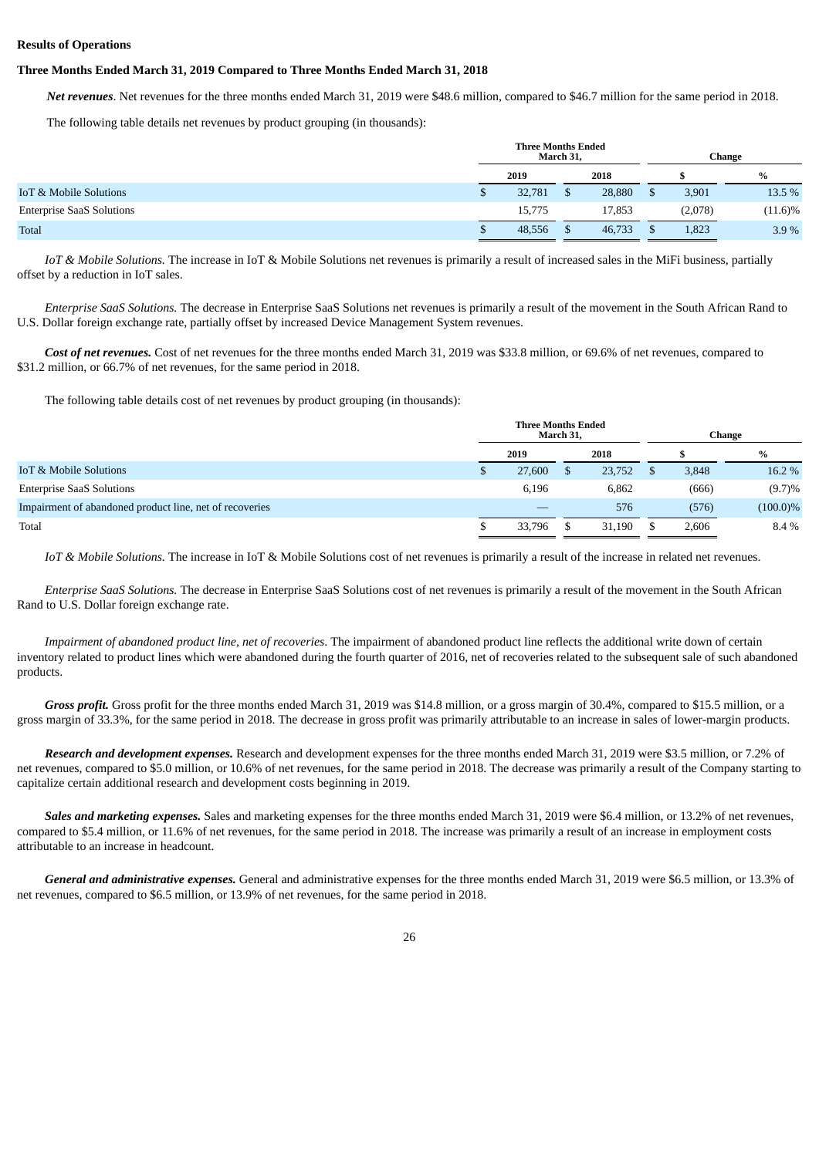#### **Results of Operations**

## **Three Months Ended March 31, 2019 Compared to Three Months Ended March 31, 2018**

*Net revenues*. Net revenues for the three months ended March 31, 2019 were \$48.6 million, compared to \$46.7 million for the same period in 2018.

The following table details net revenues by product grouping (in thousands):

|                                  | <b>Three Months Ended</b><br>March 31, |        |    |        |  | Change  |            |  |  |
|----------------------------------|----------------------------------------|--------|----|--------|--|---------|------------|--|--|
|                                  | 2019                                   |        |    | 2018   |  |         | $\%$       |  |  |
| IoT & Mobile Solutions           | D                                      | 32,781 |    | 28,880 |  | 3,901   | 13.5 %     |  |  |
| <b>Enterprise SaaS Solutions</b> |                                        | 15,775 |    | 17,853 |  | (2,078) | $(11.6)\%$ |  |  |
| <b>Total</b>                     |                                        | 48,556 | S. | 46,733 |  | 1,823   | 3.9%       |  |  |

*IoT & Mobile Solutions.* The increase in IoT & Mobile Solutions net revenues is primarily a result of increased sales in the MiFi business, partially offset by a reduction in IoT sales.

*Enterprise SaaS Solutions.* The decrease in Enterprise SaaS Solutions net revenues is primarily a result of the movement in the South African Rand to U.S. Dollar foreign exchange rate, partially offset by increased Device Management System revenues.

*Cost of net revenues.* Cost of net revenues for the three months ended March 31, 2019 was \$33.8 million, or 69.6% of net revenues, compared to \$31.2 million, or 66.7% of net revenues, for the same period in 2018.

The following table details cost of net revenues by product grouping (in thousands):

|                                                         | <b>Three Months Ended</b><br>March 31. |   |        | Change |       |             |
|---------------------------------------------------------|----------------------------------------|---|--------|--------|-------|-------------|
|                                                         | 2019                                   |   | 2018   |        |       | $\%$        |
| <b>IoT &amp; Mobile Solutions</b>                       | 27,600                                 | S | 23,752 |        | 3,848 | 16.2 %      |
| <b>Enterprise SaaS Solutions</b>                        | 6,196                                  |   | 6,862  |        | (666) | (9.7)%      |
| Impairment of abandoned product line, net of recoveries |                                        |   | 576    |        | (576) | $(100.0)\%$ |
| Total                                                   | 33.796                                 |   | 31.190 |        | 2,606 | 8.4 %       |

*IoT & Mobile Solutions.* The increase in IoT & Mobile Solutions cost of net revenues is primarily a result of the increase in related net revenues.

*Enterprise SaaS Solutions.* The decrease in Enterprise SaaS Solutions cost of net revenues is primarily a result of the movement in the South African Rand to U.S. Dollar foreign exchange rate.

*Impairment of abandoned product line, net of recoveries*. The impairment of abandoned product line reflects the additional write down of certain inventory related to product lines which were abandoned during the fourth quarter of 2016, net of recoveries related to the subsequent sale of such abandoned products.

*Gross profit.* Gross profit for the three months ended March 31, 2019 was \$14.8 million, or a gross margin of 30.4%, compared to \$15.5 million, or a gross margin of 33.3%, for the same period in 2018. The decrease in gross profit was primarily attributable to an increase in sales of lower-margin products.

*Research and development expenses.* Research and development expenses for the three months ended March 31, 2019 were \$3.5 million, or 7.2% of net revenues, compared to \$5.0 million, or 10.6% of net revenues, for the same period in 2018. The decrease was primarily a result of the Company starting to capitalize certain additional research and development costs beginning in 2019.

*Sales and marketing expenses.* Sales and marketing expenses for the three months ended March 31, 2019 were \$6.4 million, or 13.2% of net revenues, compared to \$5.4 million, or 11.6% of net revenues, for the same period in 2018. The increase was primarily a result of an increase in employment costs attributable to an increase in headcount.

*General and administrative expenses.* General and administrative expenses for the three months ended March 31, 2019 were \$6.5 million, or 13.3% of net revenues, compared to \$6.5 million, or 13.9% of net revenues, for the same period in 2018.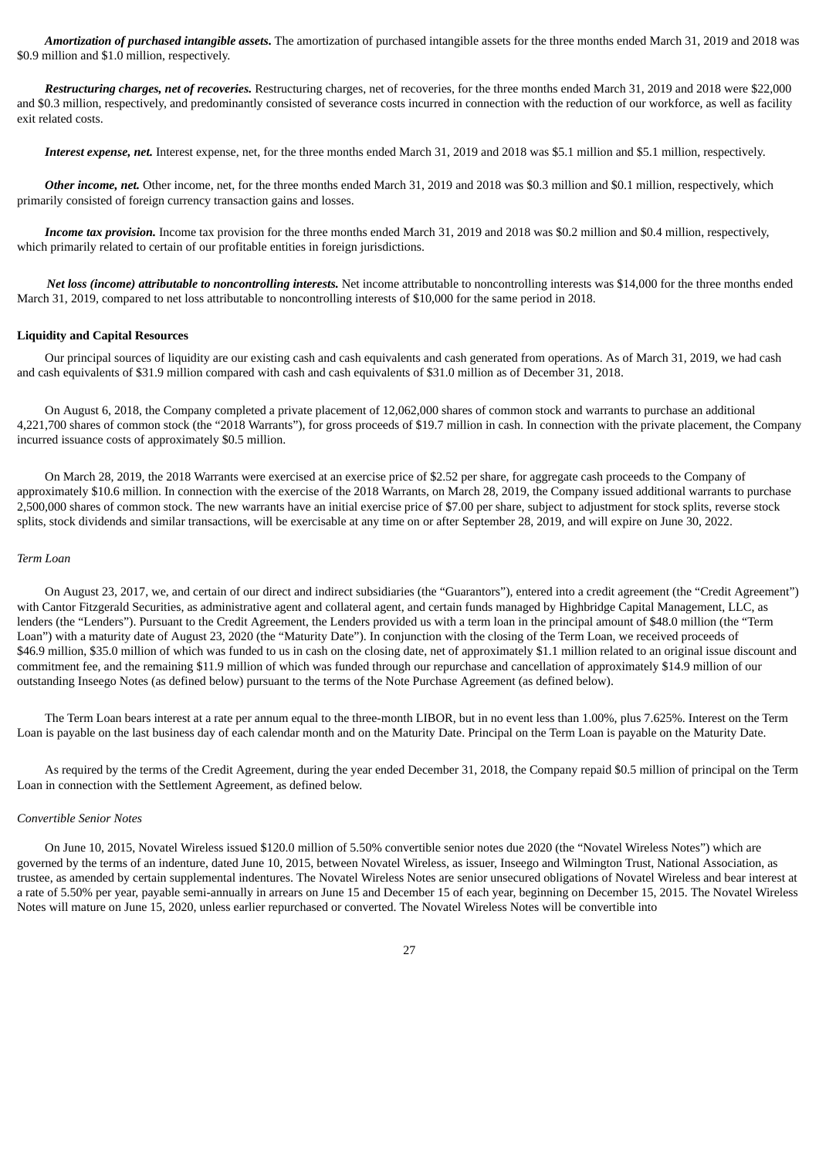*Amortization of purchased intangible assets***.** The amortization of purchased intangible assets for the three months ended March 31, 2019 and 2018 was \$0.9 million and \$1.0 million, respectively.

*Restructuring charges, net of recoveries.* Restructuring charges, net of recoveries, for the three months ended March 31, 2019 and 2018 were \$22,000 and \$0.3 million, respectively, and predominantly consisted of severance costs incurred in connection with the reduction of our workforce, as well as facility exit related costs.

*Interest expense, net.* Interest expense, net, for the three months ended March 31, 2019 and 2018 was \$5.1 million and \$5.1 million, respectively.

*Other income, net.* Other income, net, for the three months ended March 31, 2019 and 2018 was \$0.3 million and \$0.1 million, respectively, which primarily consisted of foreign currency transaction gains and losses.

*Income tax provision.* Income tax provision for the three months ended March 31, 2019 and 2018 was \$0.2 million and \$0.4 million, respectively, which primarily related to certain of our profitable entities in foreign jurisdictions.

*Net loss (income) attributable to noncontrolling interests.* Net income attributable to noncontrolling interests was \$14,000 for the three months ended March 31, 2019, compared to net loss attributable to noncontrolling interests of \$10,000 for the same period in 2018.

## **Liquidity and Capital Resources**

Our principal sources of liquidity are our existing cash and cash equivalents and cash generated from operations. As of March 31, 2019, we had cash and cash equivalents of \$31.9 million compared with cash and cash equivalents of \$31.0 million as of December 31, 2018.

On August 6, 2018, the Company completed a private placement of 12,062,000 shares of common stock and warrants to purchase an additional 4,221,700 shares of common stock (the "2018 Warrants"), for gross proceeds of \$19.7 million in cash. In connection with the private placement, the Company incurred issuance costs of approximately \$0.5 million.

On March 28, 2019, the 2018 Warrants were exercised at an exercise price of \$2.52 per share, for aggregate cash proceeds to the Company of approximately \$10.6 million. In connection with the exercise of the 2018 Warrants, on March 28, 2019, the Company issued additional warrants to purchase 2,500,000 shares of common stock. The new warrants have an initial exercise price of \$7.00 per share, subject to adjustment for stock splits, reverse stock splits, stock dividends and similar transactions, will be exercisable at any time on or after September 28, 2019, and will expire on June 30, 2022.

#### *Term Loan*

On August 23, 2017, we, and certain of our direct and indirect subsidiaries (the "Guarantors"), entered into a credit agreement (the "Credit Agreement") with Cantor Fitzgerald Securities, as administrative agent and collateral agent, and certain funds managed by Highbridge Capital Management, LLC, as lenders (the "Lenders"). Pursuant to the Credit Agreement, the Lenders provided us with a term loan in the principal amount of \$48.0 million (the "Term Loan") with a maturity date of August 23, 2020 (the "Maturity Date"). In conjunction with the closing of the Term Loan, we received proceeds of \$46.9 million, \$35.0 million of which was funded to us in cash on the closing date, net of approximately \$1.1 million related to an original issue discount and commitment fee, and the remaining \$11.9 million of which was funded through our repurchase and cancellation of approximately \$14.9 million of our outstanding Inseego Notes (as defined below) pursuant to the terms of the Note Purchase Agreement (as defined below).

The Term Loan bears interest at a rate per annum equal to the three-month LIBOR, but in no event less than 1.00%, plus 7.625%. Interest on the Term Loan is payable on the last business day of each calendar month and on the Maturity Date. Principal on the Term Loan is payable on the Maturity Date.

As required by the terms of the Credit Agreement, during the year ended December 31, 2018, the Company repaid \$0.5 million of principal on the Term Loan in connection with the Settlement Agreement, as defined below.

## *Convertible Senior Notes*

On June 10, 2015, Novatel Wireless issued \$120.0 million of 5.50% convertible senior notes due 2020 (the "Novatel Wireless Notes") which are governed by the terms of an indenture, dated June 10, 2015, between Novatel Wireless, as issuer, Inseego and Wilmington Trust, National Association, as trustee, as amended by certain supplemental indentures. The Novatel Wireless Notes are senior unsecured obligations of Novatel Wireless and bear interest at a rate of 5.50% per year, payable semi-annually in arrears on June 15 and December 15 of each year, beginning on December 15, 2015. The Novatel Wireless Notes will mature on June 15, 2020, unless earlier repurchased or converted. The Novatel Wireless Notes will be convertible into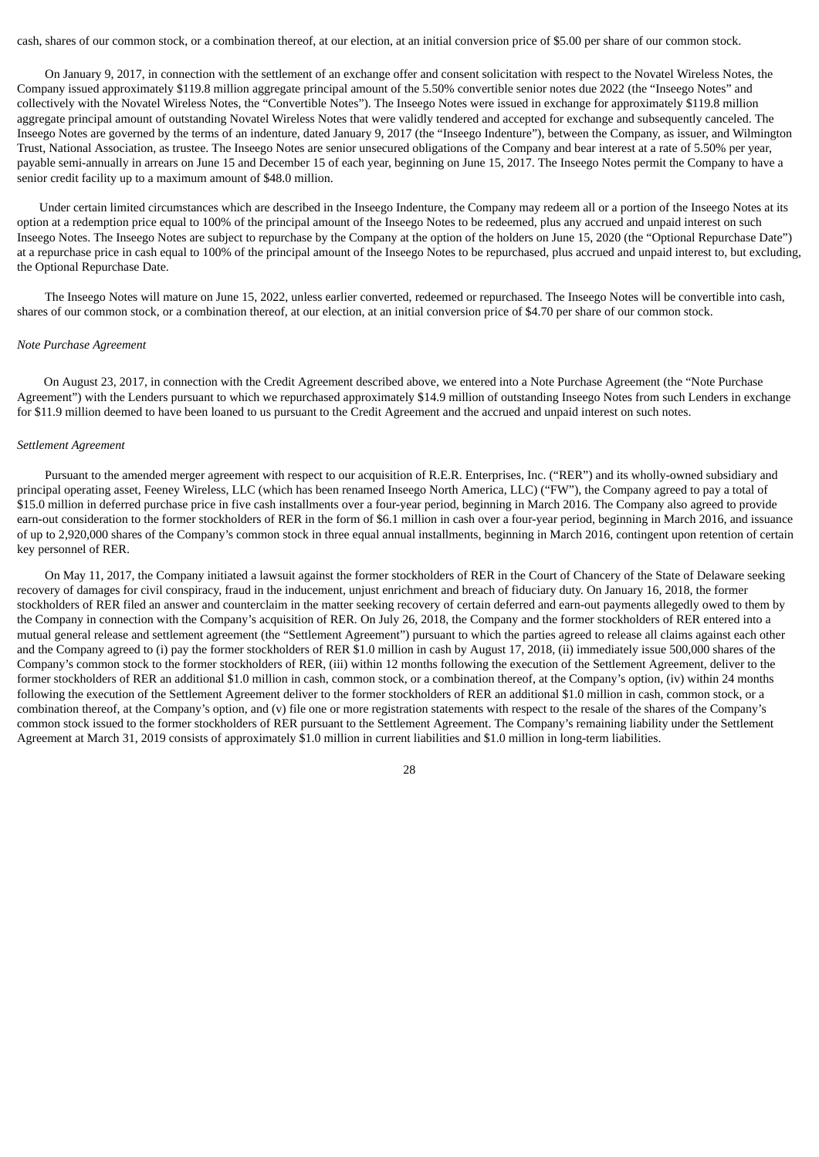cash, shares of our common stock, or a combination thereof, at our election, at an initial conversion price of \$5.00 per share of our common stock.

On January 9, 2017, in connection with the settlement of an exchange offer and consent solicitation with respect to the Novatel Wireless Notes, the Company issued approximately \$119.8 million aggregate principal amount of the 5.50% convertible senior notes due 2022 (the "Inseego Notes" and collectively with the Novatel Wireless Notes, the "Convertible Notes"). The Inseego Notes were issued in exchange for approximately \$119.8 million aggregate principal amount of outstanding Novatel Wireless Notes that were validly tendered and accepted for exchange and subsequently canceled. The Inseego Notes are governed by the terms of an indenture, dated January 9, 2017 (the "Inseego Indenture"), between the Company, as issuer, and Wilmington Trust, National Association, as trustee. The Inseego Notes are senior unsecured obligations of the Company and bear interest at a rate of 5.50% per year, payable semi-annually in arrears on June 15 and December 15 of each year, beginning on June 15, 2017. The Inseego Notes permit the Company to have a senior credit facility up to a maximum amount of \$48.0 million.

Under certain limited circumstances which are described in the Inseego Indenture, the Company may redeem all or a portion of the Inseego Notes at its option at a redemption price equal to 100% of the principal amount of the Inseego Notes to be redeemed, plus any accrued and unpaid interest on such Inseego Notes. The Inseego Notes are subject to repurchase by the Company at the option of the holders on June 15, 2020 (the "Optional Repurchase Date") at a repurchase price in cash equal to 100% of the principal amount of the Inseego Notes to be repurchased, plus accrued and unpaid interest to, but excluding, the Optional Repurchase Date.

The Inseego Notes will mature on June 15, 2022, unless earlier converted, redeemed or repurchased. The Inseego Notes will be convertible into cash, shares of our common stock, or a combination thereof, at our election, at an initial conversion price of \$4.70 per share of our common stock.

#### *Note Purchase Agreement*

On August 23, 2017, in connection with the Credit Agreement described above, we entered into a Note Purchase Agreement (the "Note Purchase Agreement") with the Lenders pursuant to which we repurchased approximately \$14.9 million of outstanding Inseego Notes from such Lenders in exchange for \$11.9 million deemed to have been loaned to us pursuant to the Credit Agreement and the accrued and unpaid interest on such notes.

#### *Settlement Agreement*

Pursuant to the amended merger agreement with respect to our acquisition of R.E.R. Enterprises, Inc. ("RER") and its wholly-owned subsidiary and principal operating asset, Feeney Wireless, LLC (which has been renamed Inseego North America, LLC) ("FW"), the Company agreed to pay a total of \$15.0 million in deferred purchase price in five cash installments over a four-year period, beginning in March 2016. The Company also agreed to provide earn-out consideration to the former stockholders of RER in the form of \$6.1 million in cash over a four-year period, beginning in March 2016, and issuance of up to 2,920,000 shares of the Company's common stock in three equal annual installments, beginning in March 2016, contingent upon retention of certain key personnel of RER.

On May 11, 2017, the Company initiated a lawsuit against the former stockholders of RER in the Court of Chancery of the State of Delaware seeking recovery of damages for civil conspiracy, fraud in the inducement, unjust enrichment and breach of fiduciary duty. On January 16, 2018, the former stockholders of RER filed an answer and counterclaim in the matter seeking recovery of certain deferred and earn-out payments allegedly owed to them by the Company in connection with the Company's acquisition of RER. On July 26, 2018, the Company and the former stockholders of RER entered into a mutual general release and settlement agreement (the "Settlement Agreement") pursuant to which the parties agreed to release all claims against each other and the Company agreed to (i) pay the former stockholders of RER \$1.0 million in cash by August 17, 2018, (ii) immediately issue 500,000 shares of the Company's common stock to the former stockholders of RER, (iii) within 12 months following the execution of the Settlement Agreement, deliver to the former stockholders of RER an additional \$1.0 million in cash, common stock, or a combination thereof, at the Company's option, (iv) within 24 months following the execution of the Settlement Agreement deliver to the former stockholders of RER an additional \$1.0 million in cash, common stock, or a combination thereof, at the Company's option, and (v) file one or more registration statements with respect to the resale of the shares of the Company's common stock issued to the former stockholders of RER pursuant to the Settlement Agreement. The Company's remaining liability under the Settlement Agreement at March 31, 2019 consists of approximately \$1.0 million in current liabilities and \$1.0 million in long-term liabilities.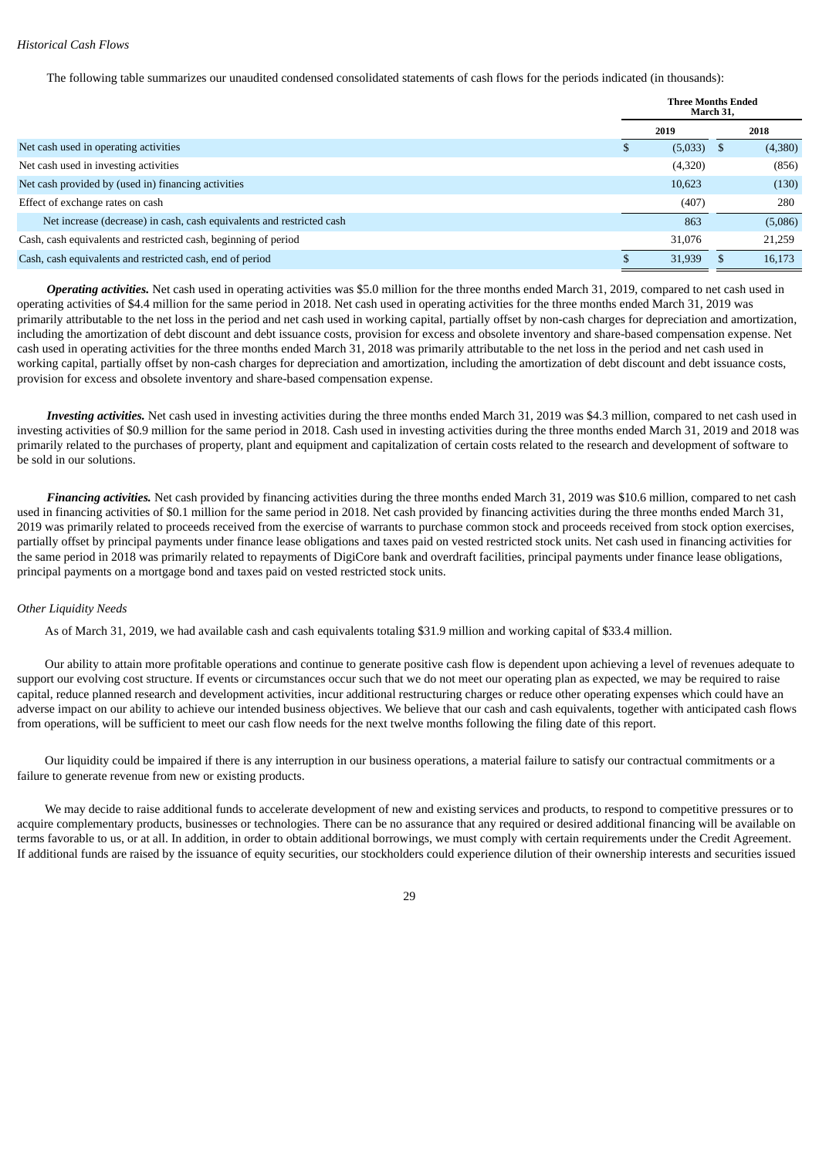#### *Historical Cash Flows*

The following table summarizes our unaudited condensed consolidated statements of cash flows for the periods indicated (in thousands):

|                                                                       | <b>Three Months Ended</b><br>March 31, |         |    |         |
|-----------------------------------------------------------------------|----------------------------------------|---------|----|---------|
|                                                                       |                                        | 2019    |    | 2018    |
| Net cash used in operating activities                                 |                                        | (5,033) | S, | (4,380) |
| Net cash used in investing activities                                 |                                        | (4,320) |    | (856)   |
| Net cash provided by (used in) financing activities                   |                                        | 10,623  |    | (130)   |
| Effect of exchange rates on cash                                      |                                        | (407)   |    | 280     |
| Net increase (decrease) in cash, cash equivalents and restricted cash |                                        | 863     |    | (5,086) |
| Cash, cash equivalents and restricted cash, beginning of period       |                                        | 31,076  |    | 21,259  |
| Cash, cash equivalents and restricted cash, end of period             |                                        | 31,939  |    | 16,173  |

*Operating activities.* Net cash used in operating activities was \$5.0 million for the three months ended March 31, 2019, compared to net cash used in operating activities of \$4.4 million for the same period in 2018. Net cash used in operating activities for the three months ended March 31, 2019 was primarily attributable to the net loss in the period and net cash used in working capital, partially offset by non-cash charges for depreciation and amortization, including the amortization of debt discount and debt issuance costs, provision for excess and obsolete inventory and share-based compensation expense. Net cash used in operating activities for the three months ended March 31, 2018 was primarily attributable to the net loss in the period and net cash used in working capital, partially offset by non-cash charges for depreciation and amortization, including the amortization of debt discount and debt issuance costs, provision for excess and obsolete inventory and share-based compensation expense.

*Investing activities.* Net cash used in investing activities during the three months ended March 31, 2019 was \$4.3 million, compared to net cash used in investing activities of \$0.9 million for the same period in 2018. Cash used in investing activities during the three months ended March 31, 2019 and 2018 was primarily related to the purchases of property, plant and equipment and capitalization of certain costs related to the research and development of software to be sold in our solutions.

*Financing activities.* Net cash provided by financing activities during the three months ended March 31, 2019 was \$10.6 million, compared to net cash used in financing activities of \$0.1 million for the same period in 2018. Net cash provided by financing activities during the three months ended March 31, 2019 was primarily related to proceeds received from the exercise of warrants to purchase common stock and proceeds received from stock option exercises, partially offset by principal payments under finance lease obligations and taxes paid on vested restricted stock units. Net cash used in financing activities for the same period in 2018 was primarily related to repayments of DigiCore bank and overdraft facilities, principal payments under finance lease obligations, principal payments on a mortgage bond and taxes paid on vested restricted stock units.

## *Other Liquidity Needs*

As of March 31, 2019, we had available cash and cash equivalents totaling \$31.9 million and working capital of \$33.4 million.

Our ability to attain more profitable operations and continue to generate positive cash flow is dependent upon achieving a level of revenues adequate to support our evolving cost structure. If events or circumstances occur such that we do not meet our operating plan as expected, we may be required to raise capital, reduce planned research and development activities, incur additional restructuring charges or reduce other operating expenses which could have an adverse impact on our ability to achieve our intended business objectives. We believe that our cash and cash equivalents, together with anticipated cash flows from operations, will be sufficient to meet our cash flow needs for the next twelve months following the filing date of this report.

Our liquidity could be impaired if there is any interruption in our business operations, a material failure to satisfy our contractual commitments or a failure to generate revenue from new or existing products.

We may decide to raise additional funds to accelerate development of new and existing services and products, to respond to competitive pressures or to acquire complementary products, businesses or technologies. There can be no assurance that any required or desired additional financing will be available on terms favorable to us, or at all. In addition, in order to obtain additional borrowings, we must comply with certain requirements under the Credit Agreement. If additional funds are raised by the issuance of equity securities, our stockholders could experience dilution of their ownership interests and securities issued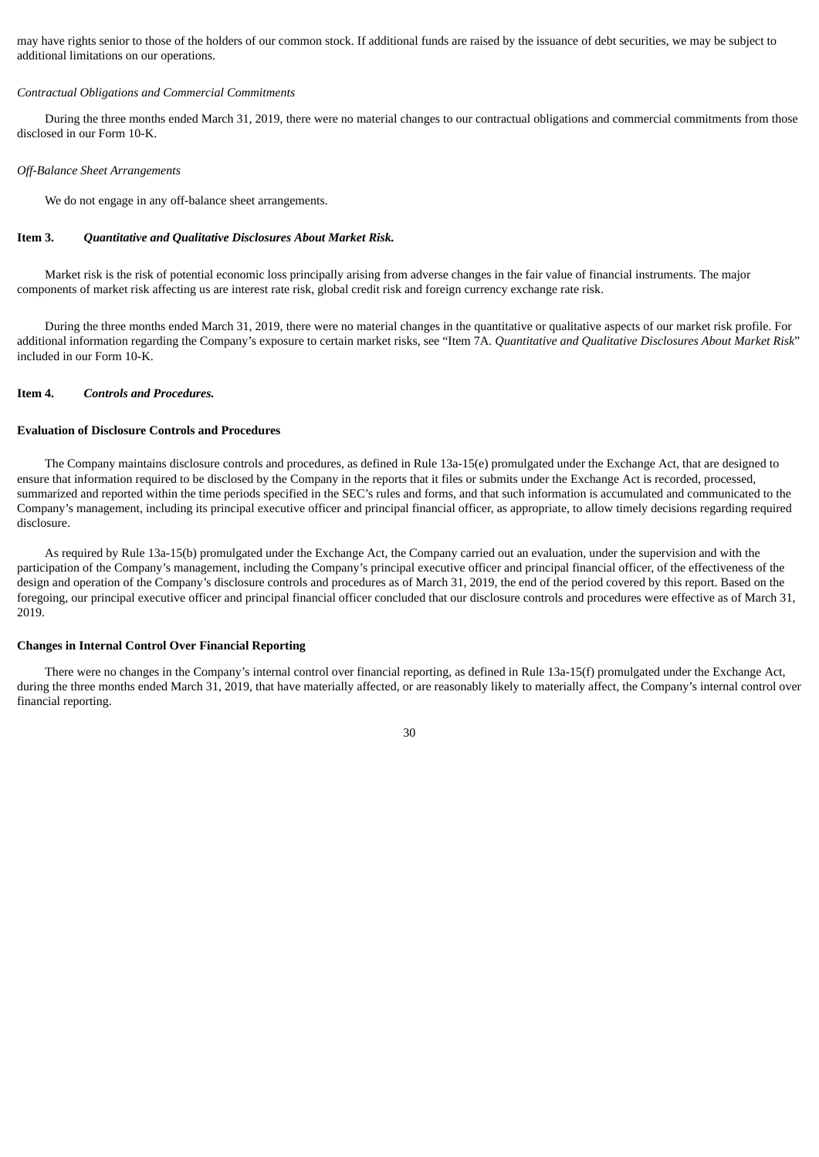may have rights senior to those of the holders of our common stock. If additional funds are raised by the issuance of debt securities, we may be subject to additional limitations on our operations.

#### *Contractual Obligations and Commercial Commitments*

During the three months ended March 31, 2019, there were no material changes to our contractual obligations and commercial commitments from those disclosed in our Form 10-K.

#### *Off-Balance Sheet Arrangements*

We do not engage in any off-balance sheet arrangements.

#### <span id="page-29-0"></span>**Item 3.** *Quantitative and Qualitative Disclosures About Market Risk.*

Market risk is the risk of potential economic loss principally arising from adverse changes in the fair value of financial instruments. The major components of market risk affecting us are interest rate risk, global credit risk and foreign currency exchange rate risk.

During the three months ended March 31, 2019, there were no material changes in the quantitative or qualitative aspects of our market risk profile. For additional information regarding the Company's exposure to certain market risks, see "Item 7A. *Quantitative and Qualitative Disclosures About Market Risk*" included in our Form 10-K.

## <span id="page-29-1"></span>**Item 4.** *Controls and Procedures.*

#### **Evaluation of Disclosure Controls and Procedures**

The Company maintains disclosure controls and procedures, as defined in Rule 13a-15(e) promulgated under the Exchange Act, that are designed to ensure that information required to be disclosed by the Company in the reports that it files or submits under the Exchange Act is recorded, processed, summarized and reported within the time periods specified in the SEC's rules and forms, and that such information is accumulated and communicated to the Company's management, including its principal executive officer and principal financial officer, as appropriate, to allow timely decisions regarding required disclosure.

As required by Rule 13a-15(b) promulgated under the Exchange Act, the Company carried out an evaluation, under the supervision and with the participation of the Company's management, including the Company's principal executive officer and principal financial officer, of the effectiveness of the design and operation of the Company's disclosure controls and procedures as of March 31, 2019, the end of the period covered by this report. Based on the foregoing, our principal executive officer and principal financial officer concluded that our disclosure controls and procedures were effective as of March 31, 2019.

#### **Changes in Internal Control Over Financial Reporting**

There were no changes in the Company's internal control over financial reporting, as defined in Rule 13a-15(f) promulgated under the Exchange Act, during the three months ended March 31, 2019, that have materially affected, or are reasonably likely to materially affect, the Company's internal control over financial reporting.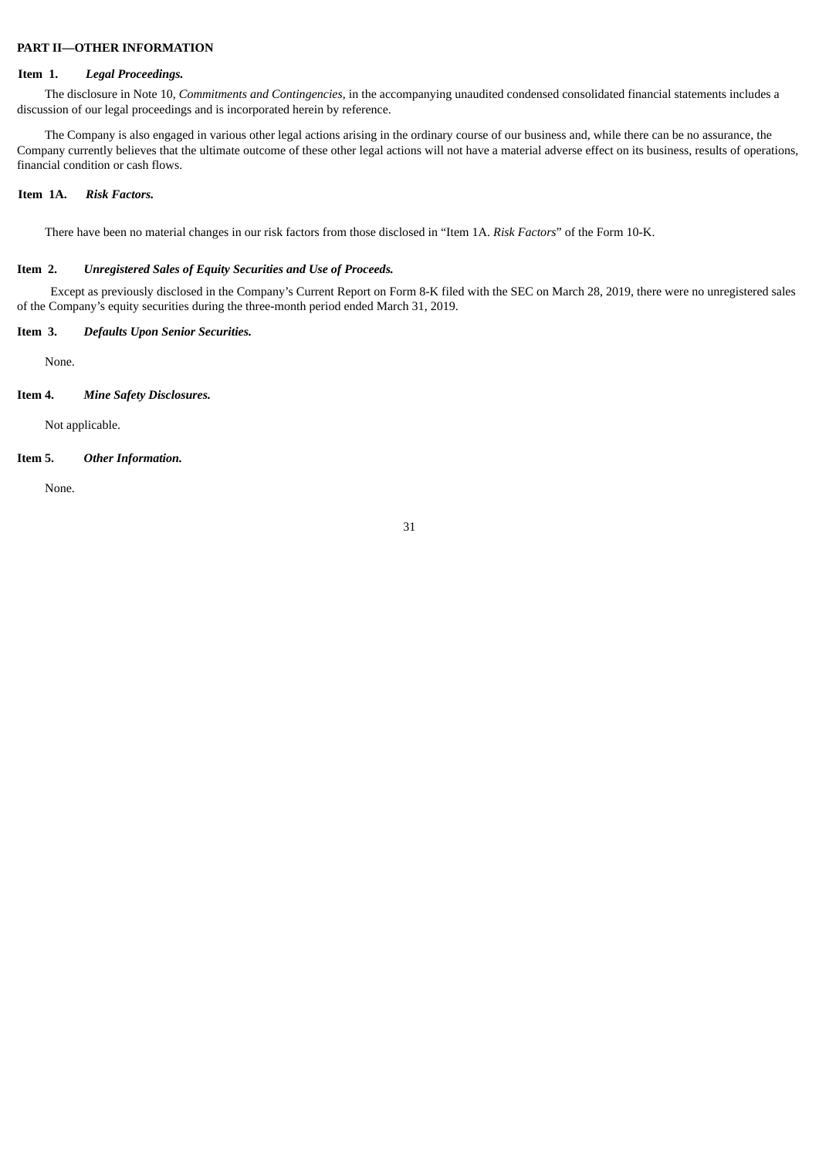## <span id="page-30-0"></span>**PART II—OTHER INFORMATION**

## <span id="page-30-1"></span>**Item 1.** *Legal Proceedings.*

The disclosure in Note 10, *Commitments and Contingencies*, in the accompanying unaudited condensed consolidated financial statements includes a discussion of our legal proceedings and is incorporated herein by reference.

The Company is also engaged in various other legal actions arising in the ordinary course of our business and, while there can be no assurance, the Company currently believes that the ultimate outcome of these other legal actions will not have a material adverse effect on its business, results of operations, financial condition or cash flows.

## <span id="page-30-2"></span>**Item 1A.** *Risk Factors.*

There have been no material changes in our risk factors from those disclosed in "Item 1A. *Risk Factors*" of the Form 10-K.

#### <span id="page-30-3"></span>**Item 2.** *Unregistered Sales of Equity Securities and Use of Proceeds.*

Except as previously disclosed in the Company's Current Report on Form 8-K filed with the SEC on March 28, 2019, there were no unregistered sales of the Company's equity securities during the three-month period ended March 31, 2019.

## <span id="page-30-4"></span>**Item 3.** *Defaults Upon Senior Securities.*

None.

## <span id="page-30-5"></span>**Item 4.** *Mine Safety Disclosures.*

Not applicable.

## <span id="page-30-6"></span>**Item 5.** *Other Information.*

None.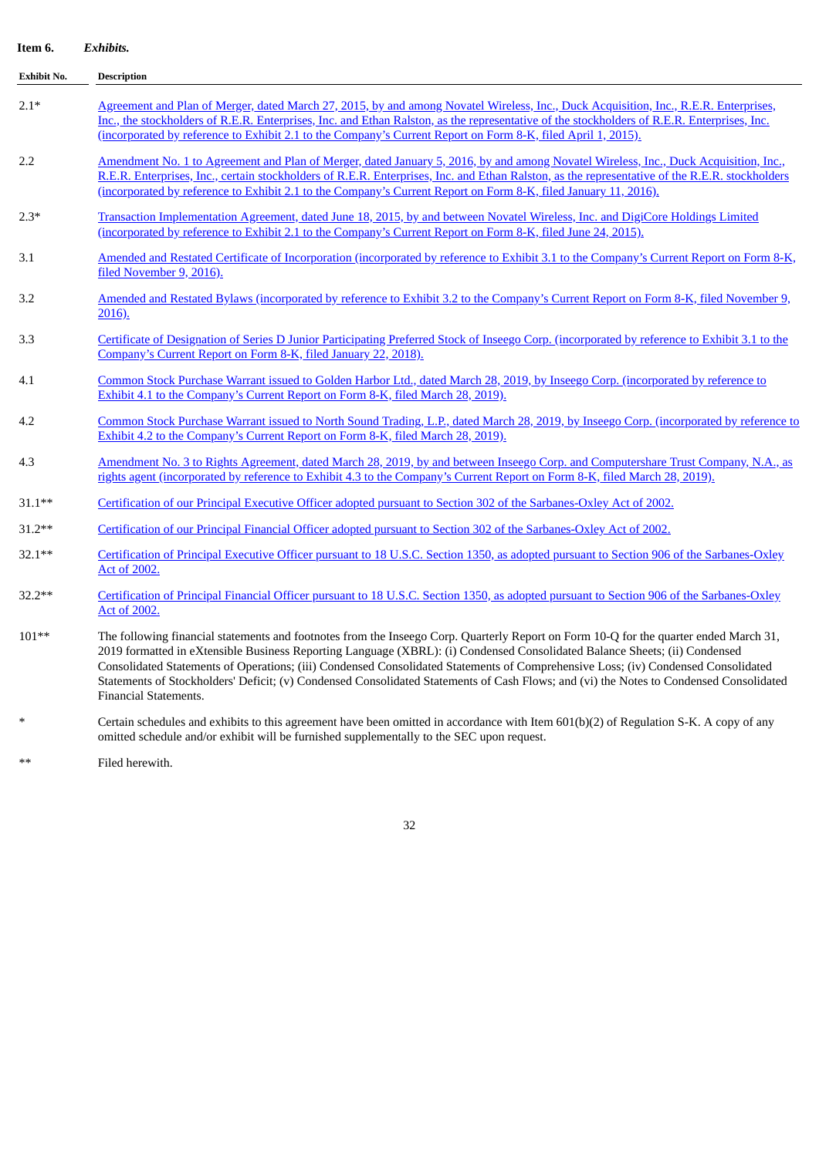<span id="page-31-0"></span>

| Item 6. | Exhibits. |
|---------|-----------|
|         |           |

| Exhibit No. | <b>Description</b>                                                                                                                                                                                                                                                                                                                                                                                                                                                                                                                                                                 |  |  |  |  |
|-------------|------------------------------------------------------------------------------------------------------------------------------------------------------------------------------------------------------------------------------------------------------------------------------------------------------------------------------------------------------------------------------------------------------------------------------------------------------------------------------------------------------------------------------------------------------------------------------------|--|--|--|--|
| $2.1*$      | Agreement and Plan of Merger, dated March 27, 2015, by and among Novatel Wireless, Inc., Duck Acquisition, Inc., R.E.R. Enterprises,<br>Inc., the stockholders of R.E.R. Enterprises, Inc. and Ethan Ralston, as the representative of the stockholders of R.E.R. Enterprises, Inc.<br>(incorporated by reference to Exhibit 2.1 to the Company's Current Report on Form 8-K, filed April 1, 2015).                                                                                                                                                                                |  |  |  |  |
| 2.2         | Amendment No. 1 to Agreement and Plan of Merger, dated January 5, 2016, by and among Novatel Wireless, Inc., Duck Acquisition, Inc.,<br>R.E.R. Enterprises, Inc., certain stockholders of R.E.R. Enterprises, Inc. and Ethan Ralston, as the representative of the R.E.R. stockholders<br>(incorporated by reference to Exhibit 2.1 to the Company's Current Report on Form 8-K, filed January 11, 2016).                                                                                                                                                                          |  |  |  |  |
| $2.3*$      | Transaction Implementation Agreement, dated June 18, 2015, by and between Novatel Wireless, Inc. and DigiCore Holdings Limited<br>(incorporated by reference to Exhibit 2.1 to the Company's Current Report on Form 8-K, filed June 24, 2015).                                                                                                                                                                                                                                                                                                                                     |  |  |  |  |
| 3.1         | Amended and Restated Certificate of Incorporation (incorporated by reference to Exhibit 3.1 to the Company's Current Report on Form 8-K,<br>filed November 9, 2016).                                                                                                                                                                                                                                                                                                                                                                                                               |  |  |  |  |
| 3.2         | Amended and Restated Bylaws (incorporated by reference to Exhibit 3.2 to the Company's Current Report on Form 8-K, filed November 9,<br>2016).                                                                                                                                                                                                                                                                                                                                                                                                                                     |  |  |  |  |
| 3.3         | Certificate of Designation of Series D Junior Participating Preferred Stock of Inseego Corp. (incorporated by reference to Exhibit 3.1 to the<br>Company's Current Report on Form 8-K, filed January 22, 2018).                                                                                                                                                                                                                                                                                                                                                                    |  |  |  |  |
| 4.1         | Common Stock Purchase Warrant issued to Golden Harbor Ltd., dated March 28, 2019, by Inseego Corp. (incorporated by reference to<br>Exhibit 4.1 to the Company's Current Report on Form 8-K, filed March 28, 2019).                                                                                                                                                                                                                                                                                                                                                                |  |  |  |  |
| 4.2         | Common Stock Purchase Warrant issued to North Sound Trading, L.P., dated March 28, 2019, by Inseego Corp. (incorporated by reference to<br>Exhibit 4.2 to the Company's Current Report on Form 8-K, filed March 28, 2019).                                                                                                                                                                                                                                                                                                                                                         |  |  |  |  |
| 4.3         | Amendment No. 3 to Rights Agreement, dated March 28, 2019, by and between Inseego Corp. and Computershare Trust Company, N.A., as<br>rights agent (incorporated by reference to Exhibit 4.3 to the Company's Current Report on Form 8-K, filed March 28, 2019).                                                                                                                                                                                                                                                                                                                    |  |  |  |  |
| $31.1**$    | Certification of our Principal Executive Officer adopted pursuant to Section 302 of the Sarbanes-Oxley Act of 2002.                                                                                                                                                                                                                                                                                                                                                                                                                                                                |  |  |  |  |
| $31.2**$    | Certification of our Principal Financial Officer adopted pursuant to Section 302 of the Sarbanes-Oxley Act of 2002.                                                                                                                                                                                                                                                                                                                                                                                                                                                                |  |  |  |  |
| $32.1**$    | Certification of Principal Executive Officer pursuant to 18 U.S.C. Section 1350, as adopted pursuant to Section 906 of the Sarbanes-Oxley<br><b>Act of 2002.</b>                                                                                                                                                                                                                                                                                                                                                                                                                   |  |  |  |  |
| $32.2**$    | Certification of Principal Financial Officer pursuant to 18 U.S.C. Section 1350, as adopted pursuant to Section 906 of the Sarbanes-Oxley<br>Act of 2002.                                                                                                                                                                                                                                                                                                                                                                                                                          |  |  |  |  |
| 101**       | The following financial statements and footnotes from the Inseego Corp. Quarterly Report on Form 10-Q for the quarter ended March 31,<br>2019 formatted in eXtensible Business Reporting Language (XBRL): (i) Condensed Consolidated Balance Sheets; (ii) Condensed<br>Consolidated Statements of Operations; (iii) Condensed Consolidated Statements of Comprehensive Loss; (iv) Condensed Consolidated<br>Statements of Stockholders' Deficit; (v) Condensed Consolidated Statements of Cash Flows; and (vi) the Notes to Condensed Consolidated<br><b>Financial Statements.</b> |  |  |  |  |

- \* Certain schedules and exhibits to this agreement have been omitted in accordance with Item 601(b)(2) of Regulation S-K. A copy of any omitted schedule and/or exhibit will be furnished supplementally to the SEC upon request.
- \*\* Filed herewith.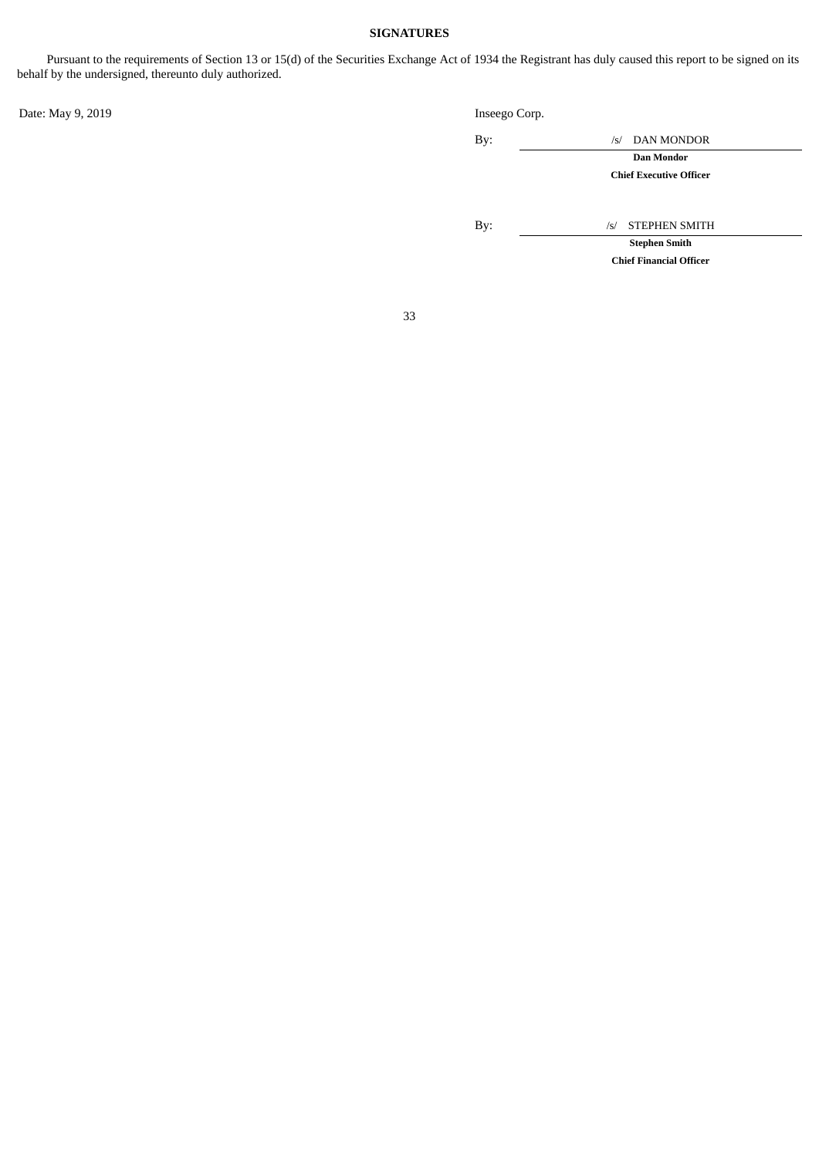# **SIGNATURES**

<span id="page-32-0"></span>Pursuant to the requirements of Section 13 or 15(d) of the Securities Exchange Act of 1934 the Registrant has duly caused this report to be signed on its behalf by the undersigned, thereunto duly authorized.

| Date: May 9, 2019 | Inseego Corp. |
|-------------------|---------------|
|                   |               |

|     | Dan Mondor     |
|-----|----------------|
| By: | /s/ DAN MONDOR |

**Chief Executive Officer**

By: /s/ STEPHEN SMITH

**Stephen Smith Chief Financial Officer**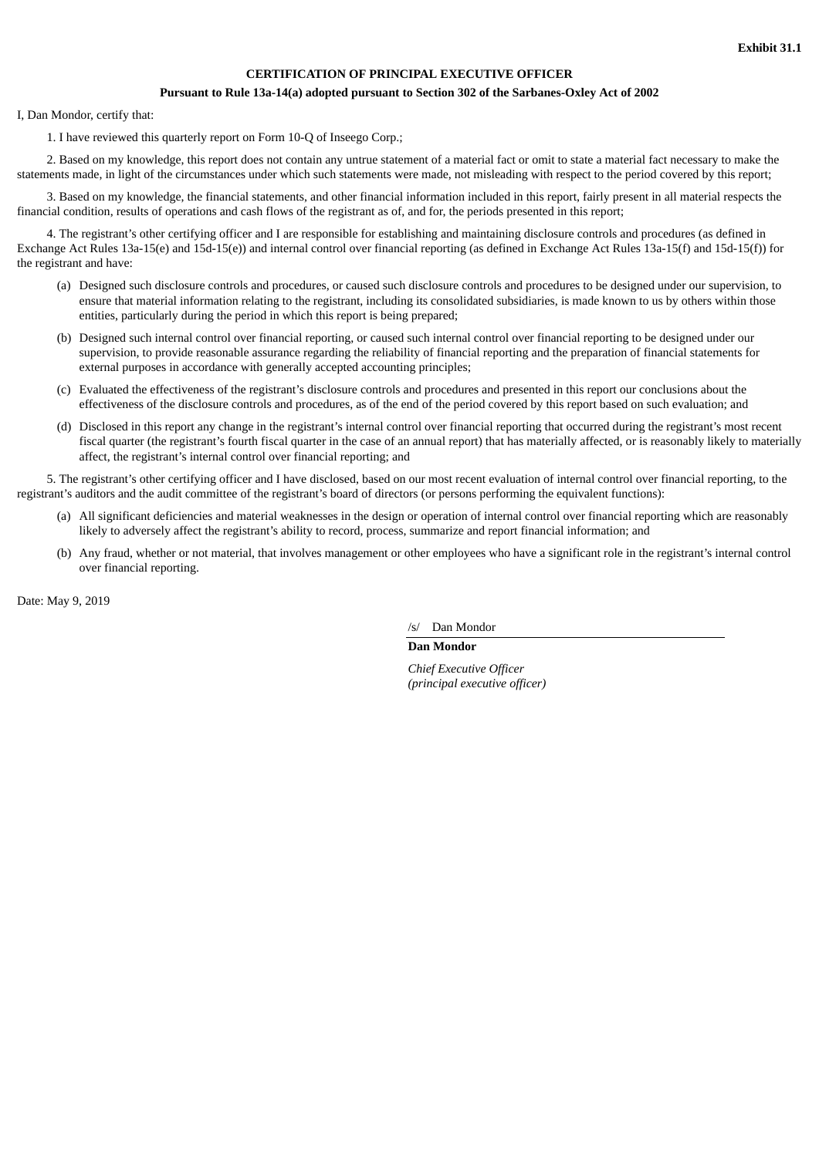## **CERTIFICATION OF PRINCIPAL EXECUTIVE OFFICER**

#### **Pursuant to Rule 13a-14(a) adopted pursuant to Section 302 of the Sarbanes-Oxley Act of 2002**

<span id="page-33-0"></span>I, Dan Mondor, certify that:

1. I have reviewed this quarterly report on Form 10-Q of Inseego Corp.;

2. Based on my knowledge, this report does not contain any untrue statement of a material fact or omit to state a material fact necessary to make the statements made, in light of the circumstances under which such statements were made, not misleading with respect to the period covered by this report;

3. Based on my knowledge, the financial statements, and other financial information included in this report, fairly present in all material respects the financial condition, results of operations and cash flows of the registrant as of, and for, the periods presented in this report;

4. The registrant's other certifying officer and I are responsible for establishing and maintaining disclosure controls and procedures (as defined in Exchange Act Rules 13a-15(e) and 15d-15(e)) and internal control over financial reporting (as defined in Exchange Act Rules 13a-15(f) and 15d-15(f)) for the registrant and have:

- (a) Designed such disclosure controls and procedures, or caused such disclosure controls and procedures to be designed under our supervision, to ensure that material information relating to the registrant, including its consolidated subsidiaries, is made known to us by others within those entities, particularly during the period in which this report is being prepared;
- (b) Designed such internal control over financial reporting, or caused such internal control over financial reporting to be designed under our supervision, to provide reasonable assurance regarding the reliability of financial reporting and the preparation of financial statements for external purposes in accordance with generally accepted accounting principles;
- (c) Evaluated the effectiveness of the registrant's disclosure controls and procedures and presented in this report our conclusions about the effectiveness of the disclosure controls and procedures, as of the end of the period covered by this report based on such evaluation; and
- (d) Disclosed in this report any change in the registrant's internal control over financial reporting that occurred during the registrant's most recent fiscal quarter (the registrant's fourth fiscal quarter in the case of an annual report) that has materially affected, or is reasonably likely to materially affect, the registrant's internal control over financial reporting; and

5. The registrant's other certifying officer and I have disclosed, based on our most recent evaluation of internal control over financial reporting, to the registrant's auditors and the audit committee of the registrant's board of directors (or persons performing the equivalent functions):

- (a) All significant deficiencies and material weaknesses in the design or operation of internal control over financial reporting which are reasonably likely to adversely affect the registrant's ability to record, process, summarize and report financial information; and
- (b) Any fraud, whether or not material, that involves management or other employees who have a significant role in the registrant's internal control over financial reporting.

Date: May 9, 2019

/s/ Dan Mondor

**Dan Mondor**

*Chief Executive Officer (principal executive officer)*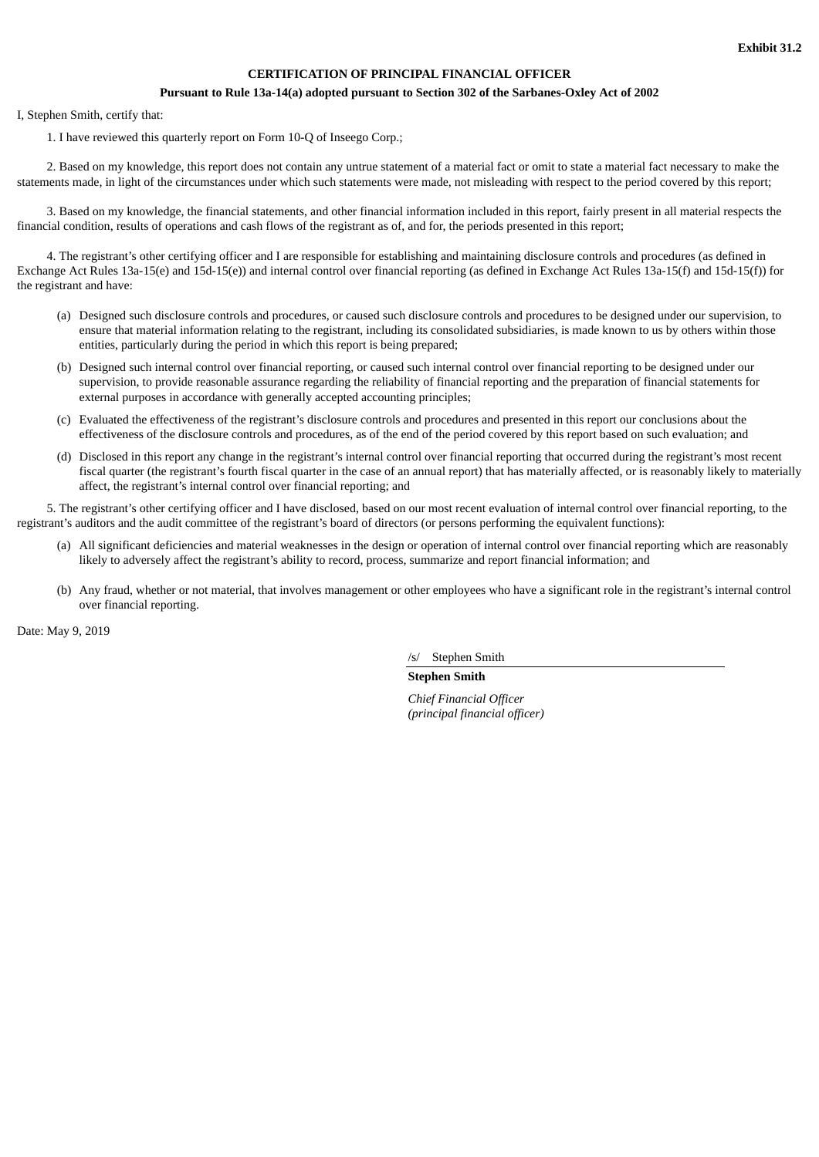## **CERTIFICATION OF PRINCIPAL FINANCIAL OFFICER**

#### **Pursuant to Rule 13a-14(a) adopted pursuant to Section 302 of the Sarbanes-Oxley Act of 2002**

<span id="page-34-0"></span>I, Stephen Smith, certify that:

1. I have reviewed this quarterly report on Form 10-Q of Inseego Corp.;

2. Based on my knowledge, this report does not contain any untrue statement of a material fact or omit to state a material fact necessary to make the statements made, in light of the circumstances under which such statements were made, not misleading with respect to the period covered by this report;

3. Based on my knowledge, the financial statements, and other financial information included in this report, fairly present in all material respects the financial condition, results of operations and cash flows of the registrant as of, and for, the periods presented in this report;

4. The registrant's other certifying officer and I are responsible for establishing and maintaining disclosure controls and procedures (as defined in Exchange Act Rules 13a-15(e) and 15d-15(e)) and internal control over financial reporting (as defined in Exchange Act Rules 13a-15(f) and 15d-15(f)) for the registrant and have:

- (a) Designed such disclosure controls and procedures, or caused such disclosure controls and procedures to be designed under our supervision, to ensure that material information relating to the registrant, including its consolidated subsidiaries, is made known to us by others within those entities, particularly during the period in which this report is being prepared;
- (b) Designed such internal control over financial reporting, or caused such internal control over financial reporting to be designed under our supervision, to provide reasonable assurance regarding the reliability of financial reporting and the preparation of financial statements for external purposes in accordance with generally accepted accounting principles;
- (c) Evaluated the effectiveness of the registrant's disclosure controls and procedures and presented in this report our conclusions about the effectiveness of the disclosure controls and procedures, as of the end of the period covered by this report based on such evaluation; and
- (d) Disclosed in this report any change in the registrant's internal control over financial reporting that occurred during the registrant's most recent fiscal quarter (the registrant's fourth fiscal quarter in the case of an annual report) that has materially affected, or is reasonably likely to materially affect, the registrant's internal control over financial reporting; and

5. The registrant's other certifying officer and I have disclosed, based on our most recent evaluation of internal control over financial reporting, to the registrant's auditors and the audit committee of the registrant's board of directors (or persons performing the equivalent functions):

- (a) All significant deficiencies and material weaknesses in the design or operation of internal control over financial reporting which are reasonably likely to adversely affect the registrant's ability to record, process, summarize and report financial information; and
- (b) Any fraud, whether or not material, that involves management or other employees who have a significant role in the registrant's internal control over financial reporting.

Date: May 9, 2019

/s/ Stephen Smith

**Stephen Smith**

*Chief Financial Officer (principal financial officer)*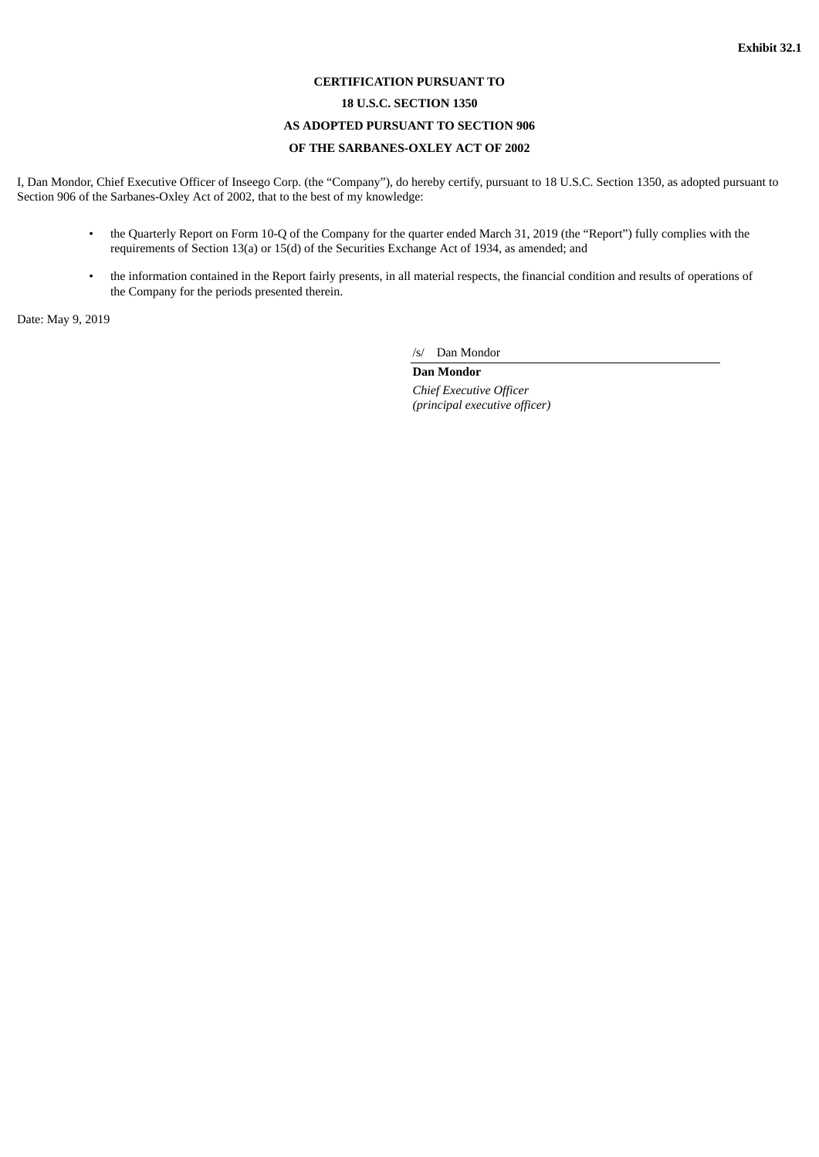## **CERTIFICATION PURSUANT TO**

## **18 U.S.C. SECTION 1350**

# **AS ADOPTED PURSUANT TO SECTION 906**

## **OF THE SARBANES-OXLEY ACT OF 2002**

<span id="page-35-0"></span>I, Dan Mondor, Chief Executive Officer of Inseego Corp. (the "Company"), do hereby certify, pursuant to 18 U.S.C. Section 1350, as adopted pursuant to Section 906 of the Sarbanes-Oxley Act of 2002, that to the best of my knowledge:

- the Quarterly Report on Form 10-Q of the Company for the quarter ended March 31, 2019 (the "Report") fully complies with the requirements of Section 13(a) or 15(d) of the Securities Exchange Act of 1934, as amended; and
- the information contained in the Report fairly presents, in all material respects, the financial condition and results of operations of the Company for the periods presented therein.

Date: May 9, 2019

/s/ Dan Mondor

**Dan Mondor** *Chief Executive Officer (principal executive officer)*